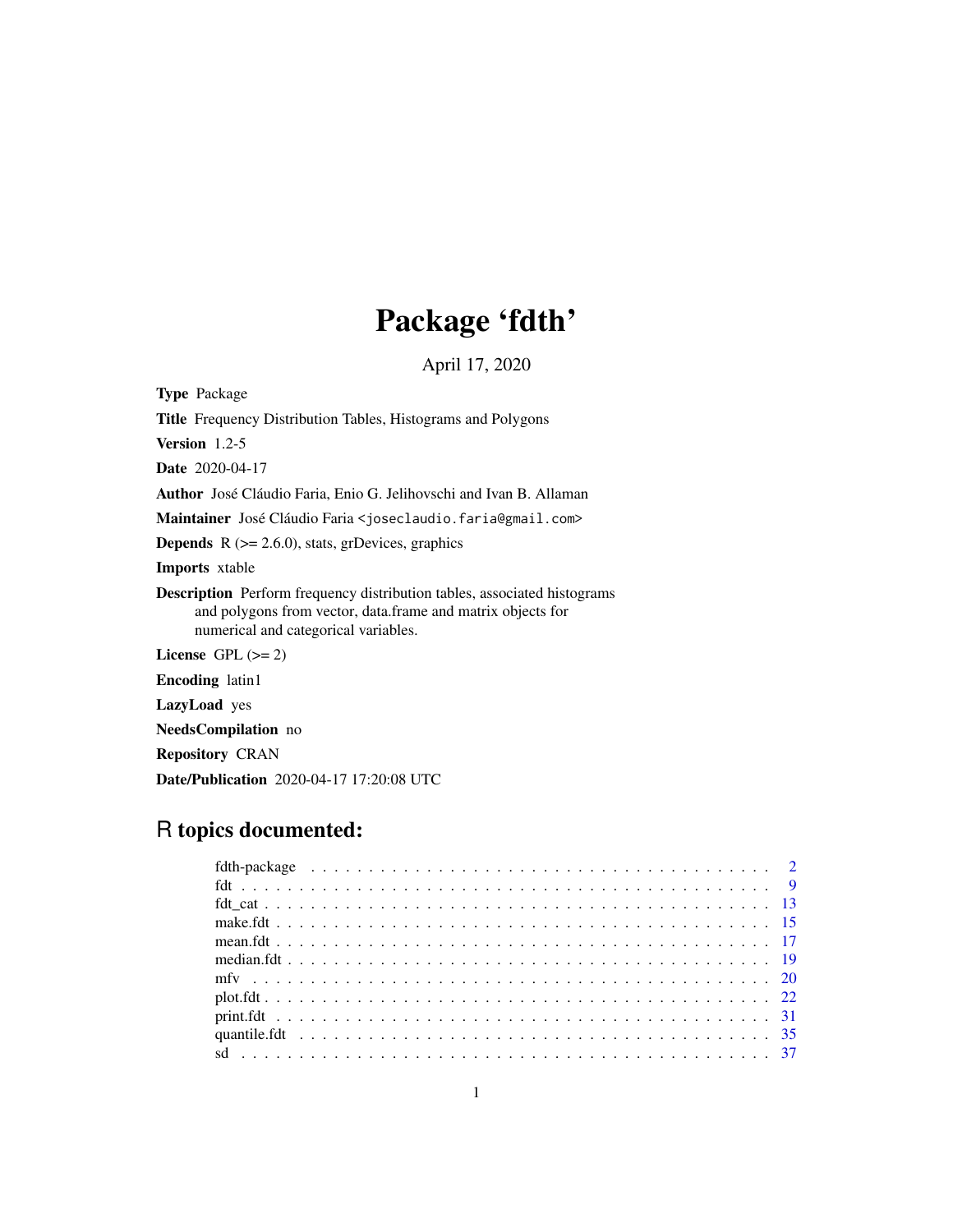# Package 'fdth'

April 17, 2020

<span id="page-0-0"></span>Type Package Title Frequency Distribution Tables, Histograms and Polygons Version 1.2-5 Date 2020-04-17 Author José Cláudio Faria, Enio G. Jelihovschi and Ivan B. Allaman Maintainer José Cláudio Faria <joseclaudio.faria@gmail.com> **Depends**  $R$  ( $>= 2.6.0$ ), stats, grDevices, graphics Imports xtable Description Perform frequency distribution tables, associated histograms and polygons from vector, data.frame and matrix objects for numerical and categorical variables. License GPL  $(>= 2)$ Encoding latin1 LazyLoad yes NeedsCompilation no Repository CRAN Date/Publication 2020-04-17 17:20:08 UTC

# R topics documented: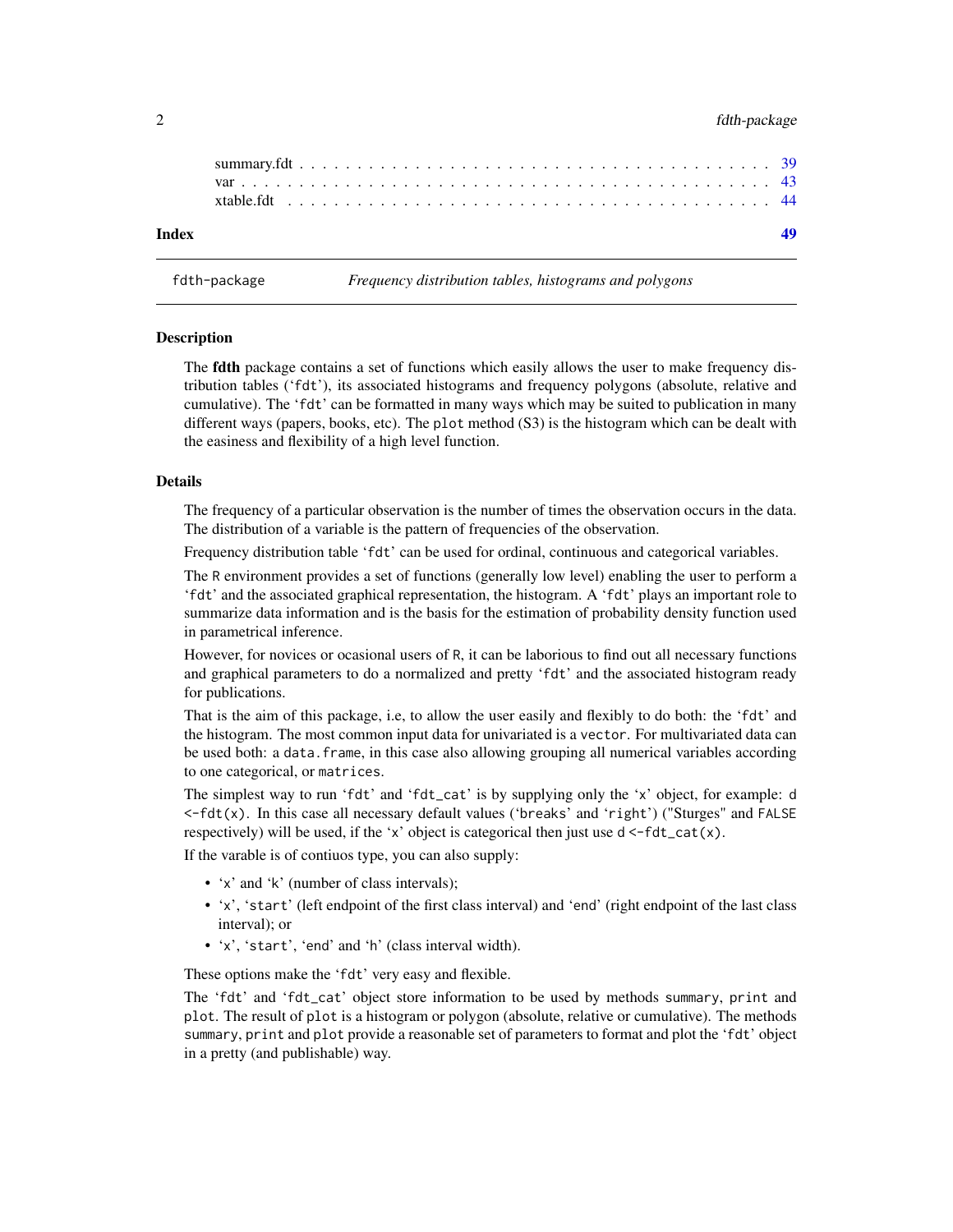#### <span id="page-1-0"></span>2 fdth-package control of the state of the state of the state of the state of the state of the state of the state of the state of the state of the state of the state of the state of the state of the state of the state of t

| Index |  |  |  |  |  |  |  |  |  |  |  |  |  |  |  |  |  |  |  |  |  |
|-------|--|--|--|--|--|--|--|--|--|--|--|--|--|--|--|--|--|--|--|--|--|
|       |  |  |  |  |  |  |  |  |  |  |  |  |  |  |  |  |  |  |  |  |  |
|       |  |  |  |  |  |  |  |  |  |  |  |  |  |  |  |  |  |  |  |  |  |
|       |  |  |  |  |  |  |  |  |  |  |  |  |  |  |  |  |  |  |  |  |  |

fdth-package *Frequency distribution tables, histograms and polygons*

#### **Description**

The **fdth** package contains a set of functions which easily allows the user to make frequency distribution tables ('fdt'), its associated histograms and frequency polygons (absolute, relative and cumulative). The 'fdt' can be formatted in many ways which may be suited to publication in many different ways (papers, books, etc). The plot method (S3) is the histogram which can be dealt with the easiness and flexibility of a high level function.

#### Details

The frequency of a particular observation is the number of times the observation occurs in the data. The distribution of a variable is the pattern of frequencies of the observation.

Frequency distribution table 'fdt' can be used for ordinal, continuous and categorical variables.

The R environment provides a set of functions (generally low level) enabling the user to perform a 'fdt' and the associated graphical representation, the histogram. A 'fdt' plays an important role to summarize data information and is the basis for the estimation of probability density function used in parametrical inference.

However, for novices or ocasional users of R, it can be laborious to find out all necessary functions and graphical parameters to do a normalized and pretty 'fdt' and the associated histogram ready for publications.

That is the aim of this package, i.e, to allow the user easily and flexibly to do both: the 'fdt' and the histogram. The most common input data for univariated is a vector. For multivariated data can be used both: a data. frame, in this case also allowing grouping all numerical variables according to one categorical, or matrices.

The simplest way to run 'fdt' and 'fdt\_cat' is by supplying only the 'x' object, for example: d <-fdt(x). In this case all necessary default values ('breaks' and 'right') ("Sturges" and FALSE respectively) will be used, if the 'x' object is categorical then just use  $d \leq -fdt_{cat}(x)$ .

If the varable is of contiuos type, you can also supply:

- 'x' and 'k' (number of class intervals);
- 'x', 'start' (left endpoint of the first class interval) and 'end' (right endpoint of the last class interval); or
- 'x', 'start', 'end' and 'h' (class interval width).

These options make the 'fdt' very easy and flexible.

The 'fdt' and 'fdt\_cat' object store information to be used by methods summary, print and plot. The result of plot is a histogram or polygon (absolute, relative or cumulative). The methods summary, print and plot provide a reasonable set of parameters to format and plot the 'fdt' object in a pretty (and publishable) way.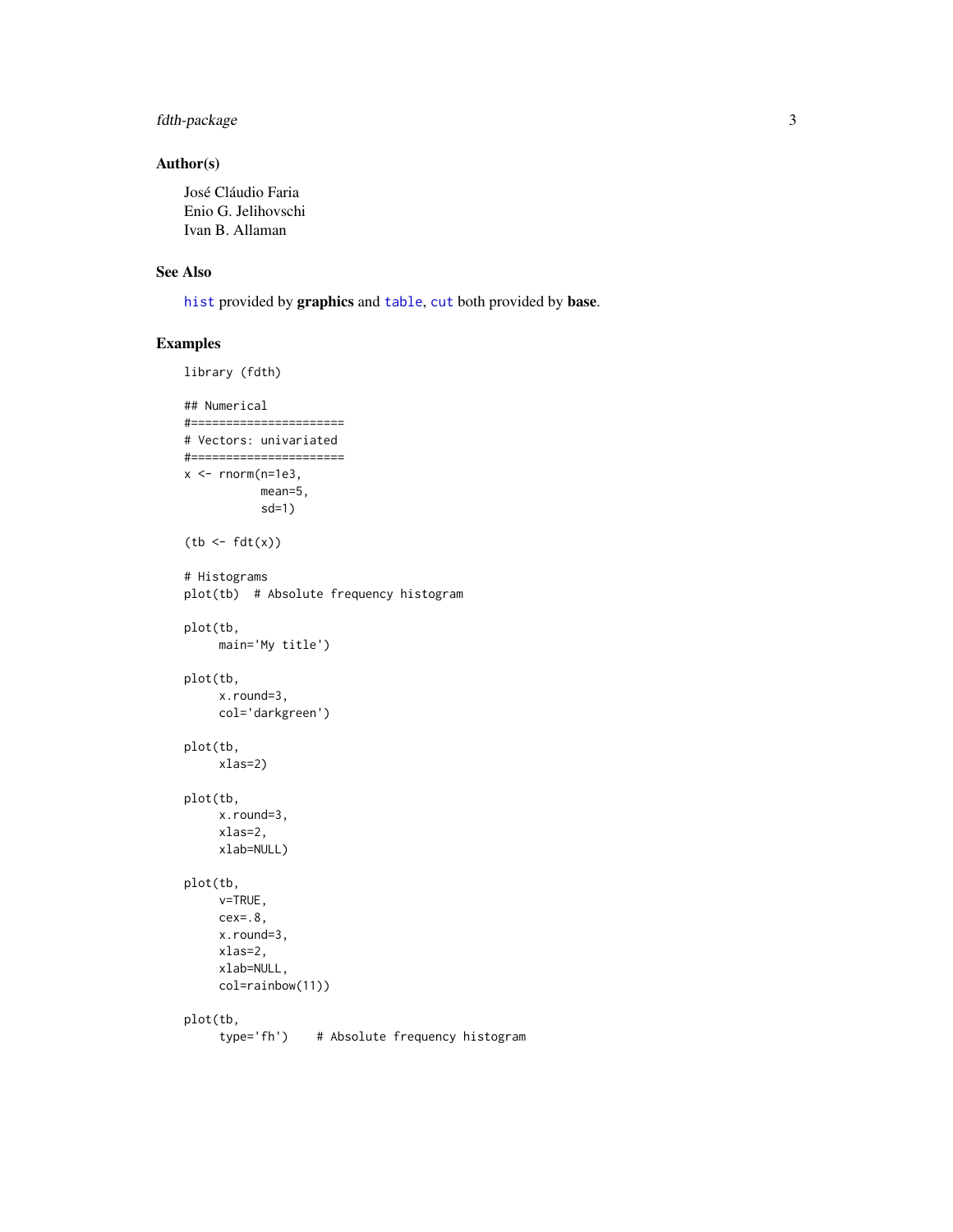# <span id="page-2-0"></span>fdth-package 3

#### Author(s)

José Cláudio Faria Enio G. Jelihovschi Ivan B. Allaman

#### See Also

[hist](#page-0-0) provided by graphics and [table](#page-0-0), [cut](#page-0-0) both provided by base.

# Examples

```
library (fdth)
## Numerical
#======================
# Vectors: univariated
#======================
x <- rnorm(n=1e3,mean=5,
           sd=1)
(tb < - fdt(x))# Histograms
plot(tb) # Absolute frequency histogram
plot(tb,
     main='My title')
plot(tb,
     x.round=3,
     col='darkgreen')
plot(tb,
     xlas=2)
plot(tb,
     x.round=3,
     xlas=2,
     xlab=NULL)
plot(tb,
     v=TRUE,
     cex=.8,
     x.round=3,
     xlas=2,
     xlab=NULL,
     col=rainbow(11))
plot(tb,<br>type='fh')
                   # Absolute frequency histogram
```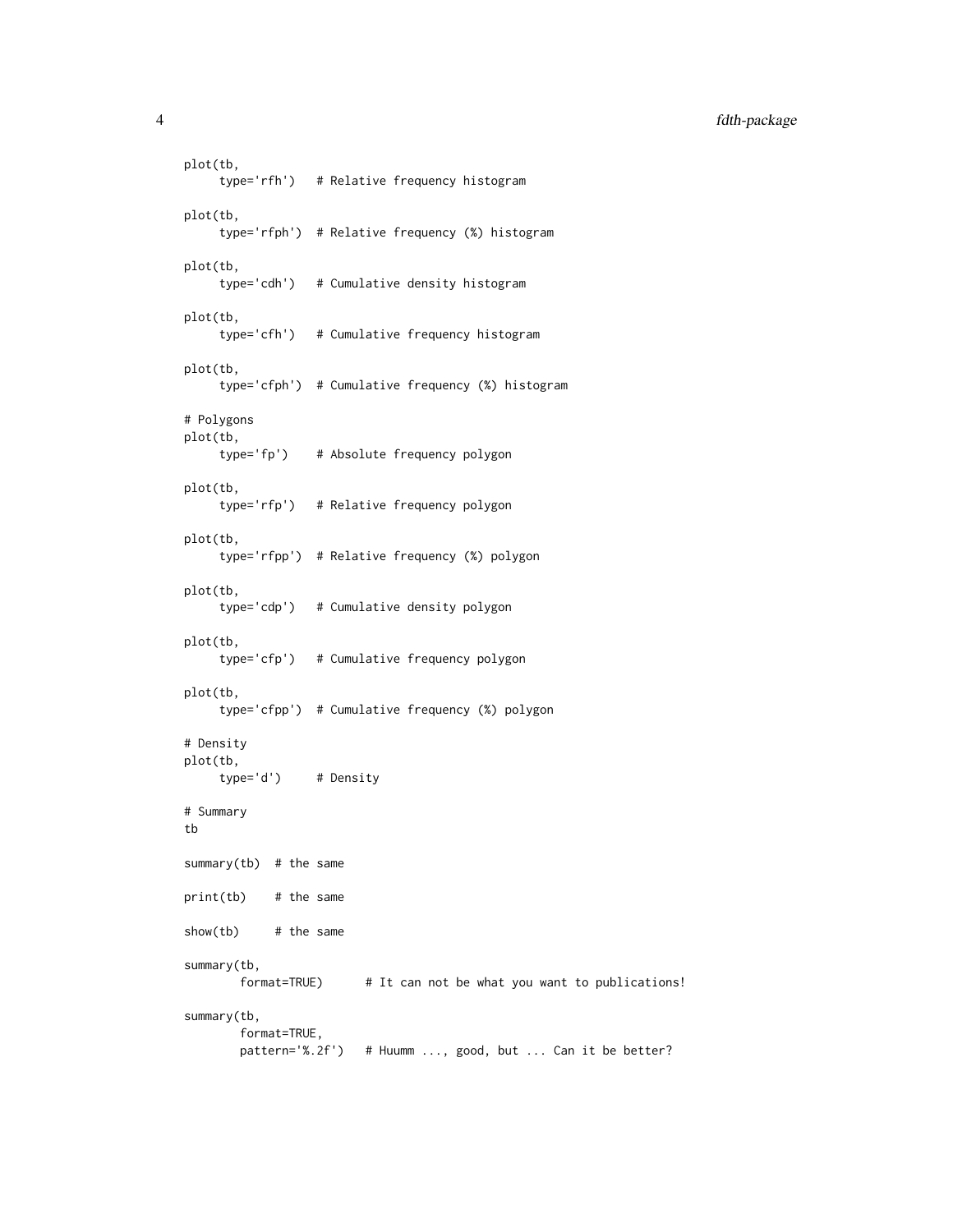4 fdth-package

```
plot(tb,
     type='rfh') # Relative frequency histogram
plot(tb,
     type='rfph') # Relative frequency (%) histogram
plot(tb,
     type='cdh') # Cumulative density histogram
plot(tb,
     type='cfh') # Cumulative frequency histogram
plot(tb,
     type='cfph') # Cumulative frequency (%) histogram
# Polygons
plot(tb,
    type='fp') # Absolute frequency polygon
plot(tb,
     type='rfp') # Relative frequency polygon
plot(tb,
     type='rfpp') # Relative frequency (%) polygon
plot(tb,
     type='cdp') # Cumulative density polygon
plot(tb,
     type='cfp') # Cumulative frequency polygon
plot(tb,
     type='cfpp') # Cumulative frequency (%) polygon
# Density
plot(tb,
    type='d') # Density
# Summary
tb
summary(tb) # the same
print(tb) # the same
show(tb) # the same
summary(tb,
       format=TRUE) # It can not be what you want to publications!
summary(tb,
       format=TRUE,
       pattern='%.2f') # Huumm ..., good, but ... Can it be better?
```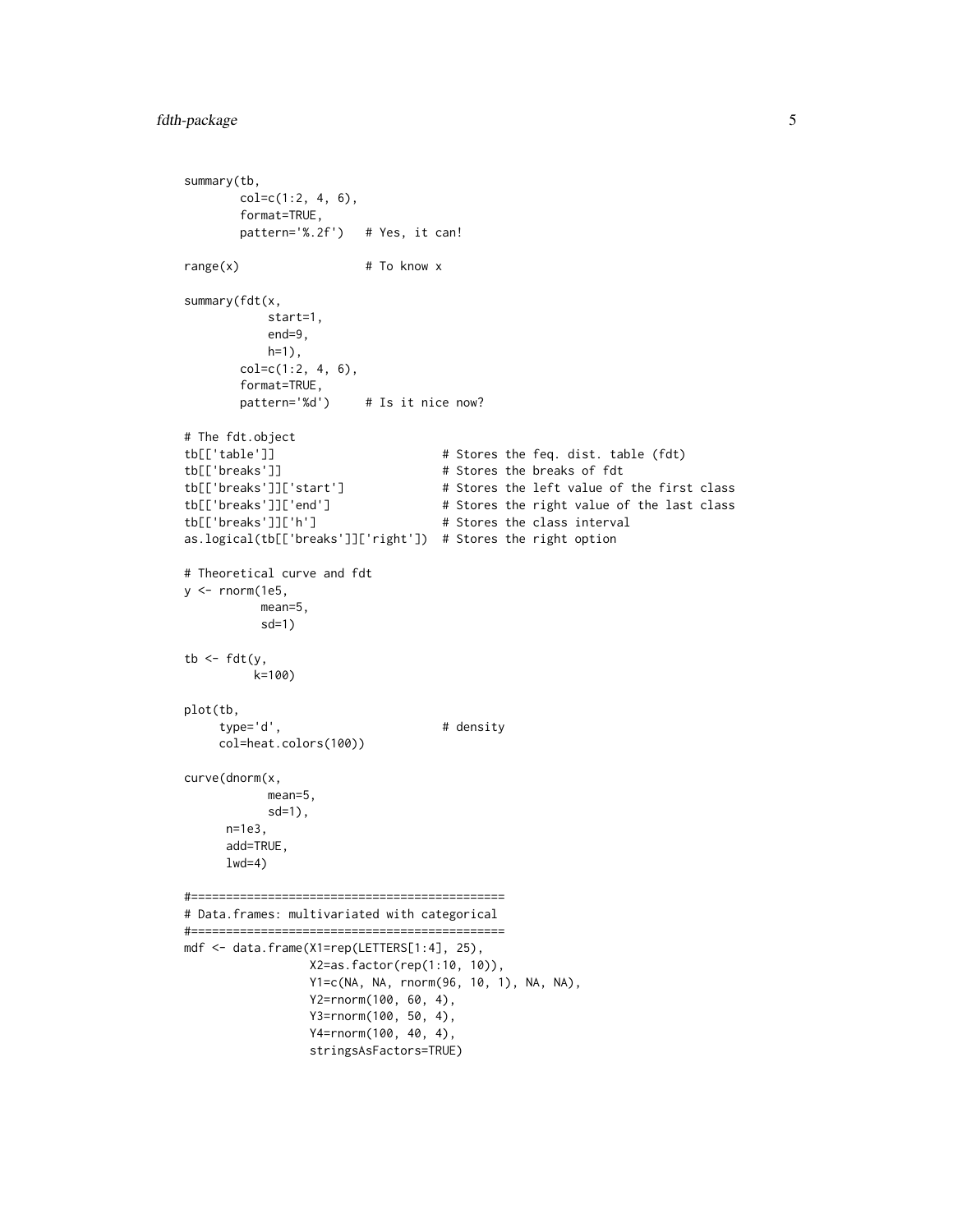```
summary(tb,
       col=c(1:2, 4, 6),
       format=TRUE,
       pattern='%.2f') # Yes, it can!
range(x) # To know x
summary(fdt(x,
           start=1,
           end=9,
           h=1),
       col=c(1:2, 4, 6),format=TRUE,
       pattern='%d') # Is it nice now?
# The fdt.object
tb[['table']] # Stores the feq. dist. table (fdt)
tb[['breaks']] \qquad \qquad \qquad \qquad # Stores the breaks of fdt
tb[['breaks']]['start'] # Stores the left value of the first class
tb[['breaks']]['end'] # Stores the right value of the last class
tb[['breaks']]['h'] # Stores the class interval
as.logical(tb[['breaks']]['right']) # Stores the right option
# Theoretical curve and fdt
y \le rnorm(1e5,
          mean=5,
          sd=1)
tb \leftarrow fdt(y,
         k=100)
plot(tb,
    type='d', # density
    col=heat.colors(100))
curve(dnorm(x,
           mean=5,
           sd=1),
     n=1e3,
     add=TRUE,
     1wd=4)#=============================================
# Data.frames: multivariated with categorical
#=============================================
mdf <- data.frame(X1=rep(LETTERS[1:4], 25),
                X2=as.factor(rep(1:10, 10)),
                Y1=c(NA, NA, rnorm(96, 10, 1), NA, NA),
                Y2=rnorm(100, 60, 4),
                Y3=rnorm(100, 50, 4),
                Y4=rnorm(100, 40, 4),
                stringsAsFactors=TRUE)
```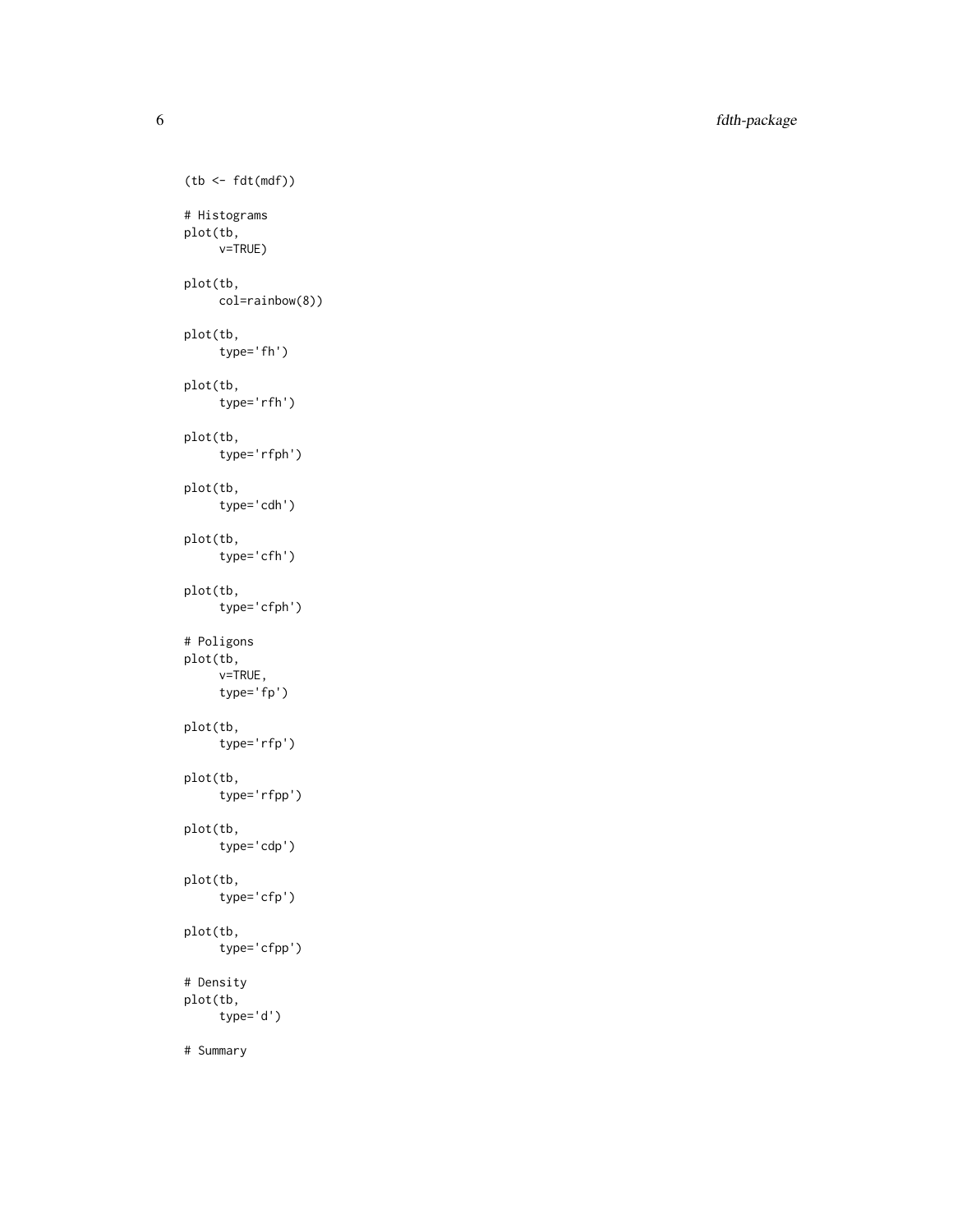6 fdth-package

```
(tb <- fdt(mdf))
# Histograms
plot(tb,
    v=TRUE)
plot(tb,
    col=rainbow(8))
plot(tb,
    type='fh')
plot(tb,
     type='rfh')
plot(tb,
    type='rfph')
plot(tb,
     type='cdh')
plot(tb,
    type='cfh')
plot(tb,
     type='cfph')
# Poligons
plot(tb,
    v=TRUE,
    type='fp')
plot(tb,
    type='rfp')
plot(tb,
     type='rfpp')
plot(tb,
    type='cdp')
plot(tb,
     type='cfp')
plot(tb,
    type='cfpp')
# Density
plot(tb,
    type='d')
# Summary
```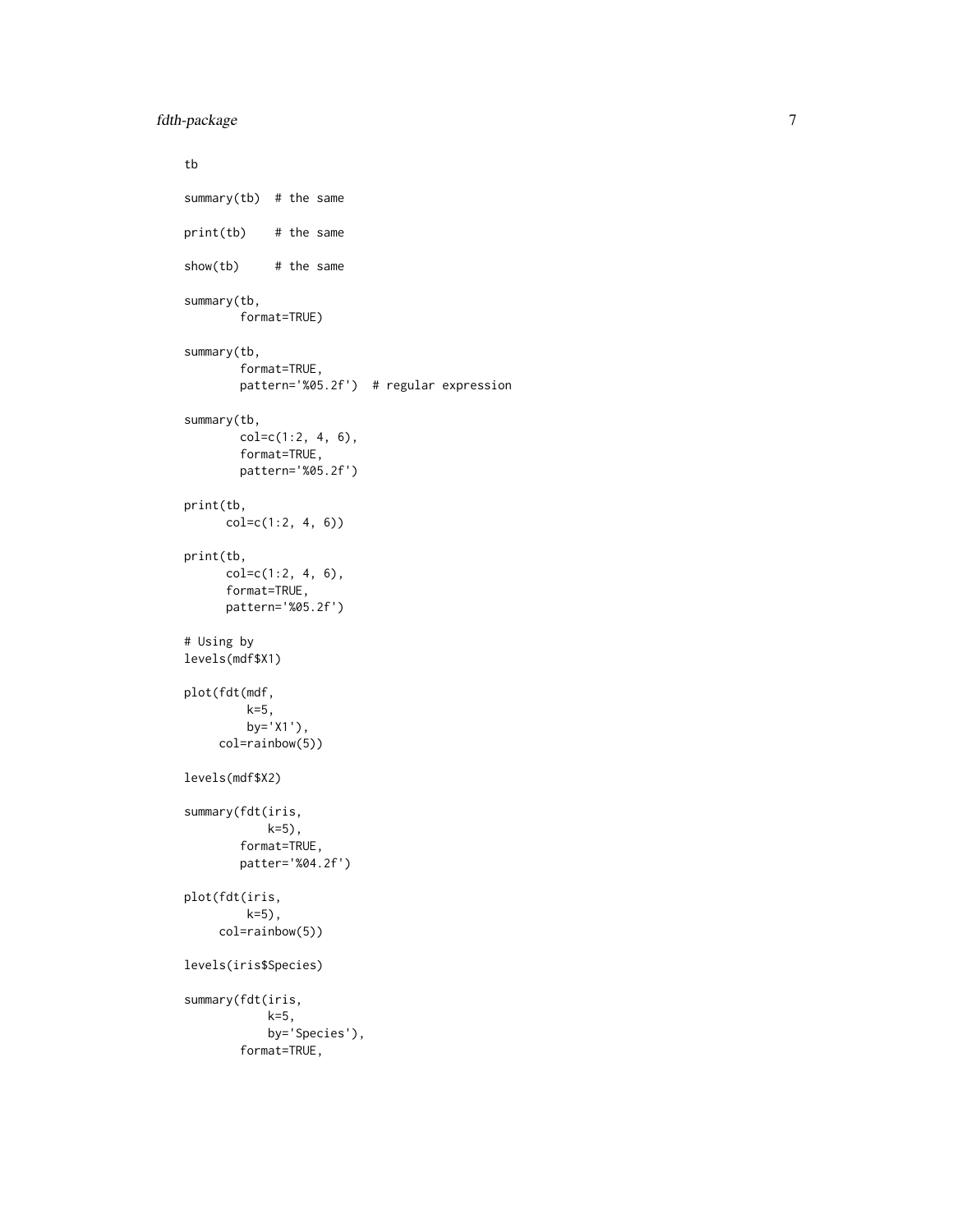```
tb
summary(tb) # the same
print(tb) # the same
show(tb) # the same
summary(tb,
       format=TRUE)
summary(tb,
        format=TRUE,
       pattern='%05.2f') # regular expression
summary(tb,
       col=c(1:2, 4, 6),
       format=TRUE,
       pattern='%05.2f')
print(tb,
     col=c(1:2, 4, 6))
print(tb,
      col=c(1:2, 4, 6),
      format=TRUE,
      pattern='%05.2f')
# Using by
levels(mdf$X1)
plot(fdt(mdf,
        k=5,
        by='X1'),
     col=rainbow(5))
levels(mdf$X2)
summary(fdt(iris,
            k=5),
       format=TRUE,
       patter='%04.2f')
plot(fdt(iris,
        k=5),
     col=rainbow(5))
levels(iris$Species)
summary(fdt(iris,
            k=5,
            by='Species'),
        format=TRUE,
```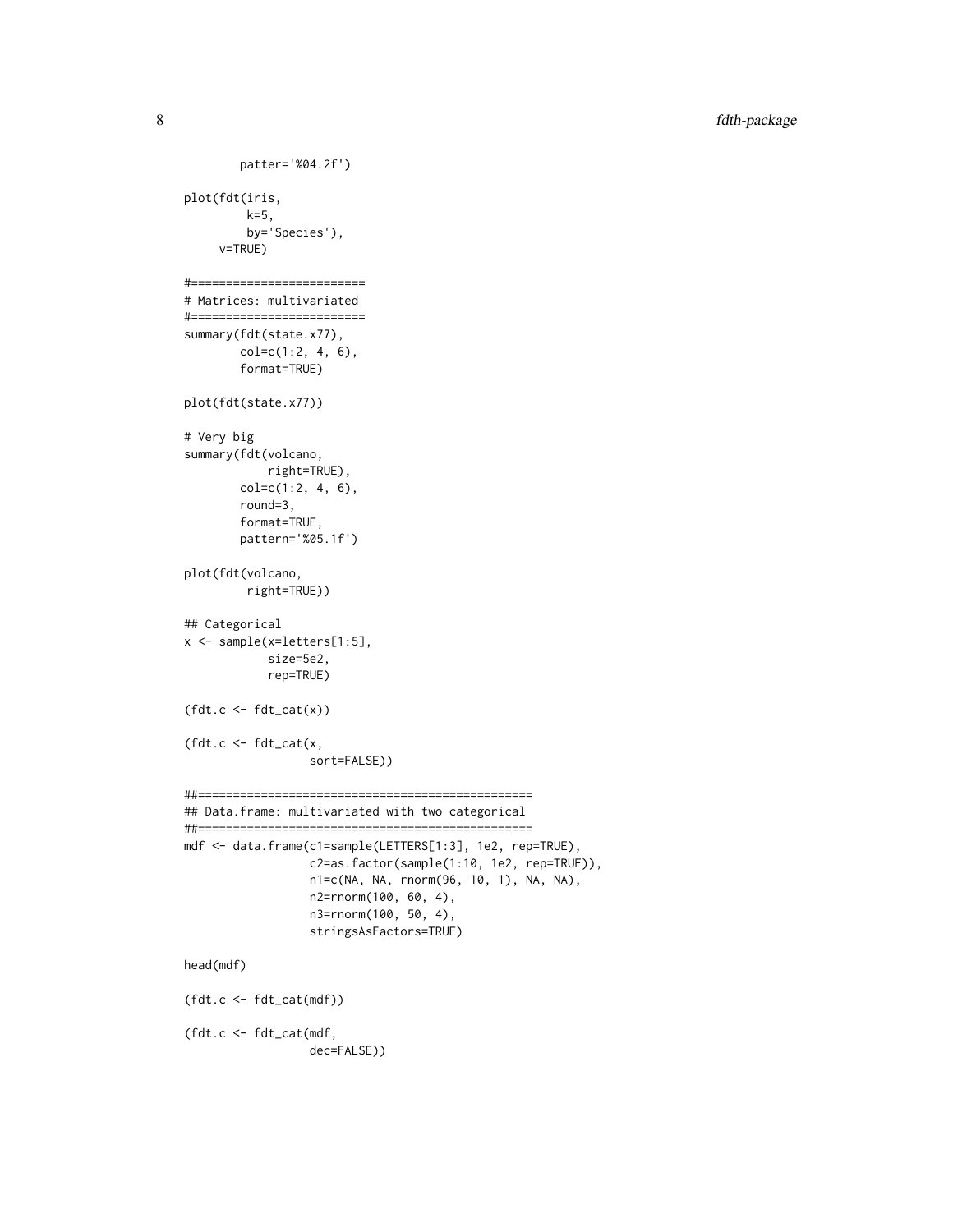```
patter='%04.2f')
plot(fdt(iris,
         k=5,
         by='Species'),
     v=TRUE)
#=========================
# Matrices: multivariated
#=========================
summary(fdt(state.x77),
        col=c(1:2, 4, 6),
        format=TRUE)
plot(fdt(state.x77))
# Very big
summary(fdt(volcano,
            right=TRUE),
        col=c(1:2, 4, 6),round=3,
        format=TRUE,
        pattern='%05.1f')
plot(fdt(volcano,
         right=TRUE))
## Categorical
x <- sample(x=letters[1:5],
            size=5e2,
            rep=TRUE)
(fdt.c \leftarrow fdt\_cat(x))(fdt.c \leftarrow fdt\_cat(x,sort=FALSE))
##================================================
## Data.frame: multivariated with two categorical
##================================================
mdf <- data.frame(c1=sample(LETTERS[1:3], 1e2, rep=TRUE),
                  c2=as.factor(sample(1:10, 1e2, rep=TRUE)),
                  n1=c(NA, NA, rnorm(96, 10, 1), NA, NA),
                  n2=rnorm(100, 60, 4),
                  n3=rnorm(100, 50, 4),
                  stringsAsFactors=TRUE)
head(mdf)
(fdt.c <- fdt_cat(mdf))
(fdt.c <- fdt_cat(mdf,
                  dec=FALSE))
```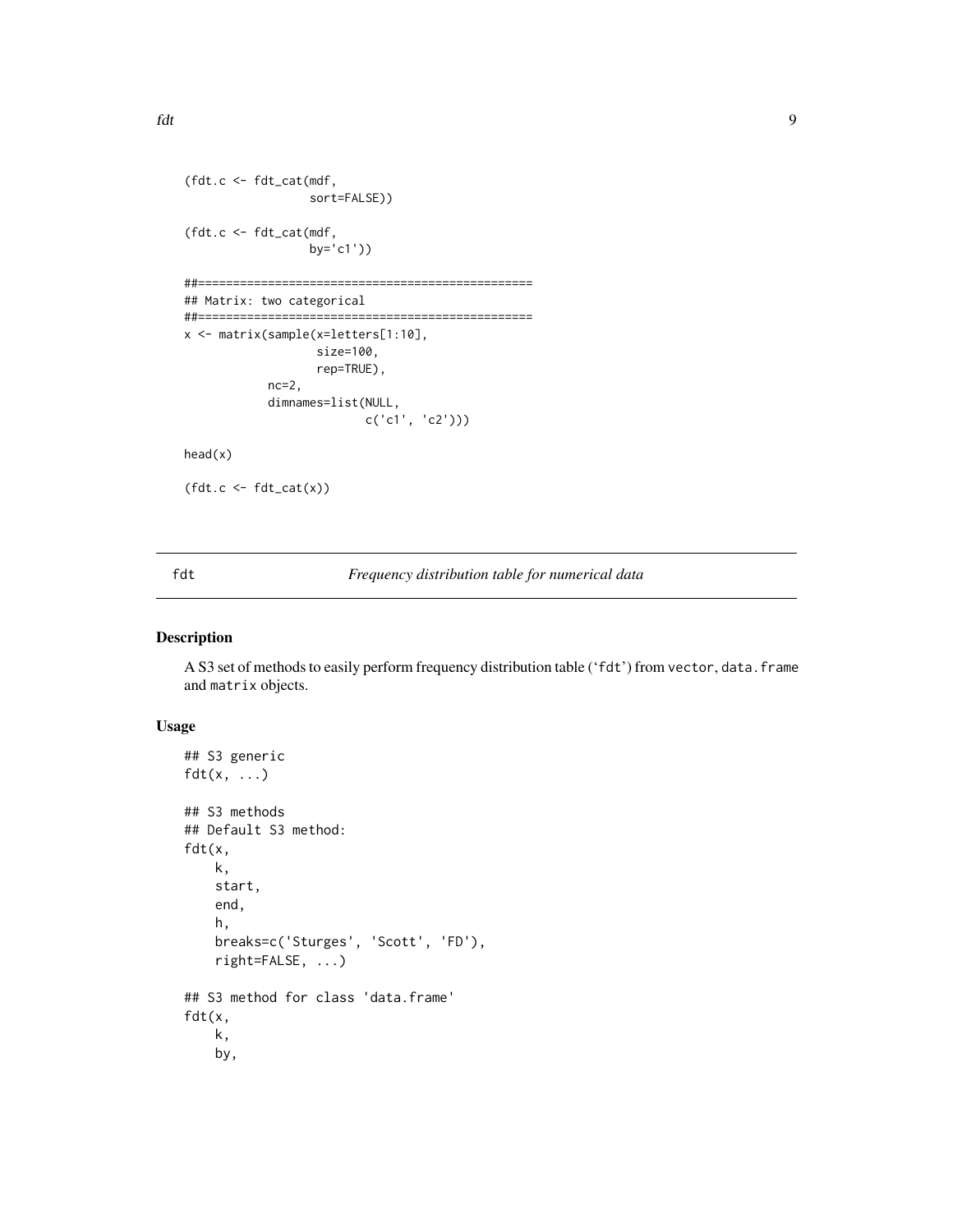```
(fdt.c <- fdt_cat(mdf,
                  sort=FALSE))
(fdt.c <- fdt_cat(mdf,
                  by='c1'))
##================================================
## Matrix: two categorical
##================================================
```

```
x <- matrix(sample(x=letters[1:10],
                   size=100,
                   rep=TRUE),
            nc=2,
            dimnames=list(NULL,
                          c('c1', 'c2')))
```
head(x)

 $(fdt.c \leftarrow fdt\_cat(x))$ 

fdt *Frequency distribution table for numerical data*

# Description

A S3 set of methods to easily perform frequency distribution table ('fdt') from vector, data.frame and matrix objects.

# Usage

```
## S3 generic
fdt(x, \ldots)## S3 methods
## Default S3 method:
fdt(x,
    k,
    start,
    end,
    h,
    breaks=c('Sturges', 'Scott', 'FD'),
    right=FALSE, ...)
## S3 method for class 'data.frame'
fdt(x,
    k,
    by,
```
<span id="page-8-0"></span>fdt 90 oedd yn 1900 ac yn derbreddig yn derbreddig yn derbreddig yn 1900. Yn 1900 ac yn 1900 ac yn 1900 ac yn derbreddig yn 1900 ac yn 1900 ac yn 1900 ac yn 1900 ac yn 1900 ac yn 1900 ac yn 1900 ac yn 1900 ac yn 1900 ac yn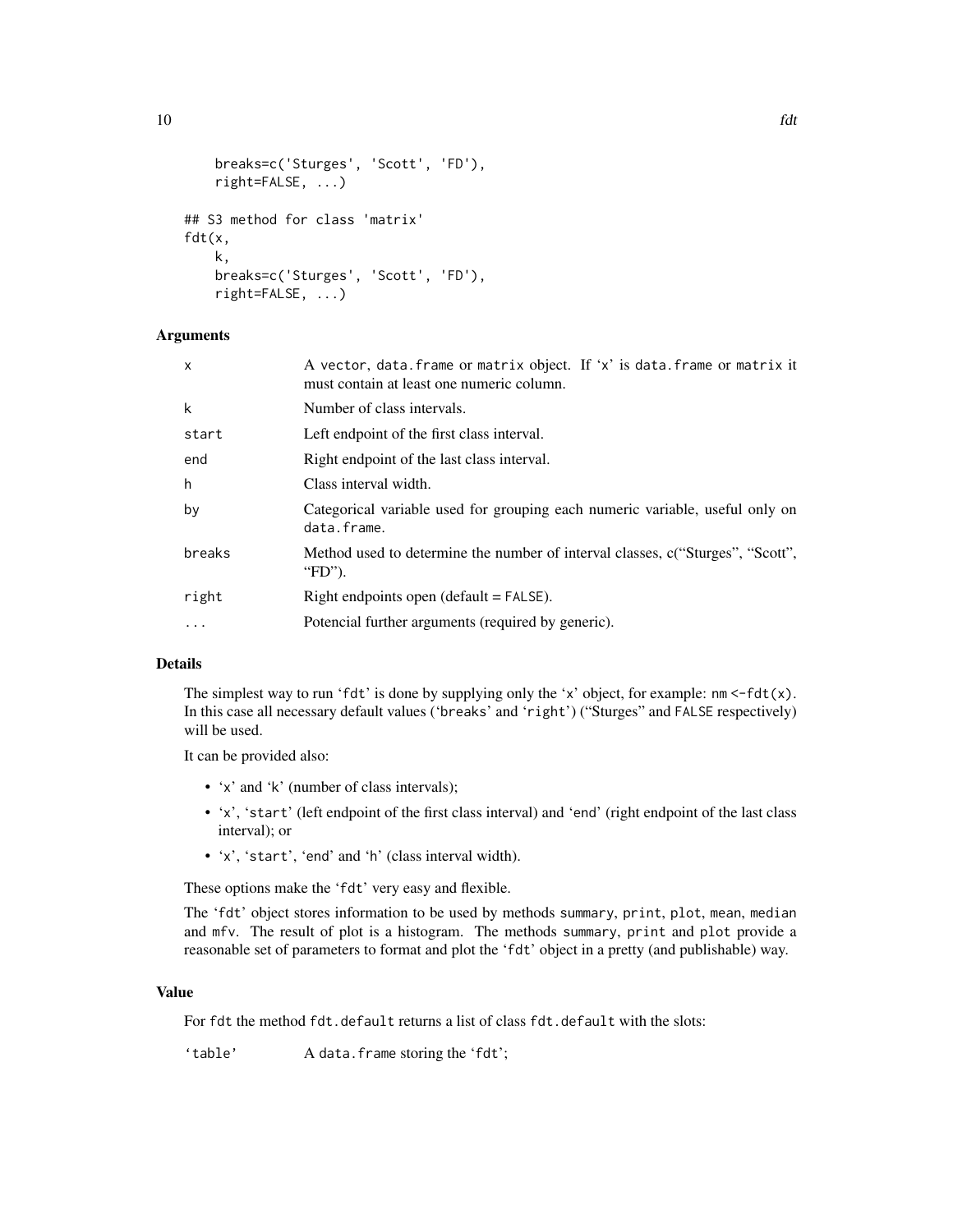```
breaks=c('Sturges', 'Scott', 'FD'),
    right=FALSE, ...)
## S3 method for class 'matrix'
fdt(x,
   k,
    breaks=c('Sturges', 'Scott', 'FD'),
    right=FALSE, ...)
```
#### Arguments

| x        | A vector, data. frame or matrix object. If 'x' is data. frame or matrix it<br>must contain at least one numeric column. |
|----------|-------------------------------------------------------------------------------------------------------------------------|
| k        | Number of class intervals.                                                                                              |
| start    | Left endpoint of the first class interval.                                                                              |
| end      | Right endpoint of the last class interval.                                                                              |
| h        | Class interval width.                                                                                                   |
| by       | Categorical variable used for grouping each numeric variable, useful only on<br>data.frame.                             |
| breaks   | Method used to determine the number of interval classes, c("Sturges", "Scott",<br>"FD").                                |
| right    | Right endpoints open $(detault = FALSE)$ .                                                                              |
| $\cdots$ | Potencial further arguments (required by generic).                                                                      |

#### Details

The simplest way to run 'fdt' is done by supplying only the 'x' object, for example:  $nm < -fdt(x)$ . In this case all necessary default values ('breaks' and 'right') ("Sturges" and FALSE respectively) will be used.

It can be provided also:

- 'x' and 'k' (number of class intervals);
- 'x', 'start' (left endpoint of the first class interval) and 'end' (right endpoint of the last class interval); or
- 'x', 'start', 'end' and 'h' (class interval width).

These options make the 'fdt' very easy and flexible.

The 'fdt' object stores information to be used by methods summary, print, plot, mean, median and mfv. The result of plot is a histogram. The methods summary, print and plot provide a reasonable set of parameters to format and plot the 'fdt' object in a pretty (and publishable) way.

# Value

For fdt the method fdt.default returns a list of class fdt.default with the slots:

'table' A data.frame storing the 'fdt';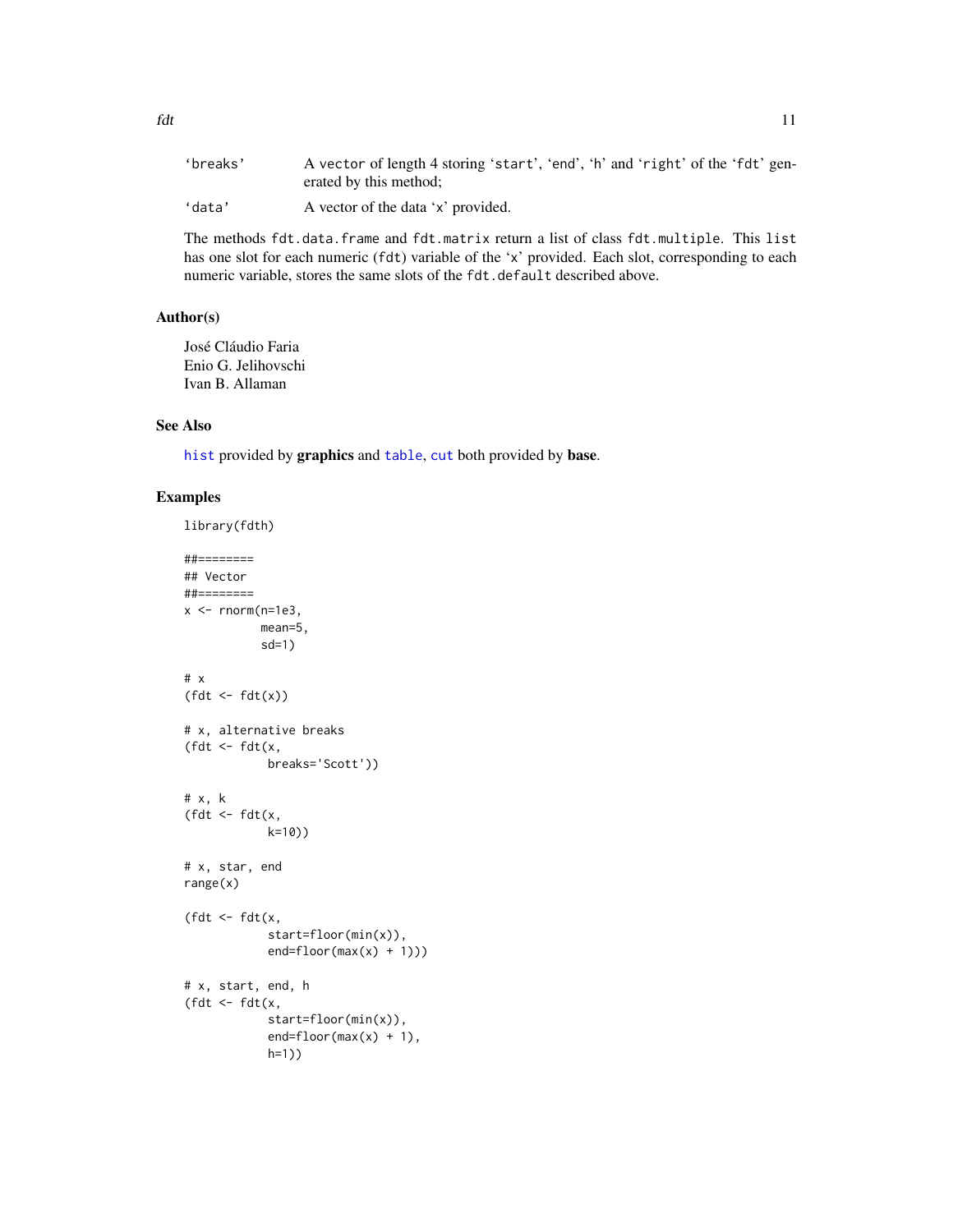<span id="page-10-0"></span>

| 'breaks' | A vector of length 4 storing 'start', 'end', 'h' and 'right' of the 'fdt' gen-<br>erated by this method; |
|----------|----------------------------------------------------------------------------------------------------------|
| 'data'   | A vector of the data 'x' provided.                                                                       |

The methods fdt.data.frame and fdt.matrix return a list of class fdt.multiple. This list has one slot for each numeric (fdt) variable of the 'x' provided. Each slot, corresponding to each numeric variable, stores the same slots of the fdt.default described above.

# Author(s)

José Cláudio Faria Enio G. Jelihovschi Ivan B. Allaman

#### See Also

[hist](#page-0-0) provided by graphics and [table](#page-0-0), [cut](#page-0-0) both provided by base.

# Examples

library(fdth) ##======== ## Vector ##========  $x$  <-  $rnorm(n=1e3,$ mean=5, sd=1) # x  $(fdt \leftarrow fdt(x))$ # x, alternative breaks (fdt <- fdt(x, breaks='Scott')) # x, k (fdt  $\leftarrow$  fdt $(x,$ k=10)) # x, star, end range(x) (fdt  $\leq$  fdt(x, start=floor(min(x)),  $end = floor(max(x) + 1))$ # x, start, end, h (fdt  $\leq$  fdt(x, start=floor(min(x)),  $end = floor(max(x) + 1)$ , h=1))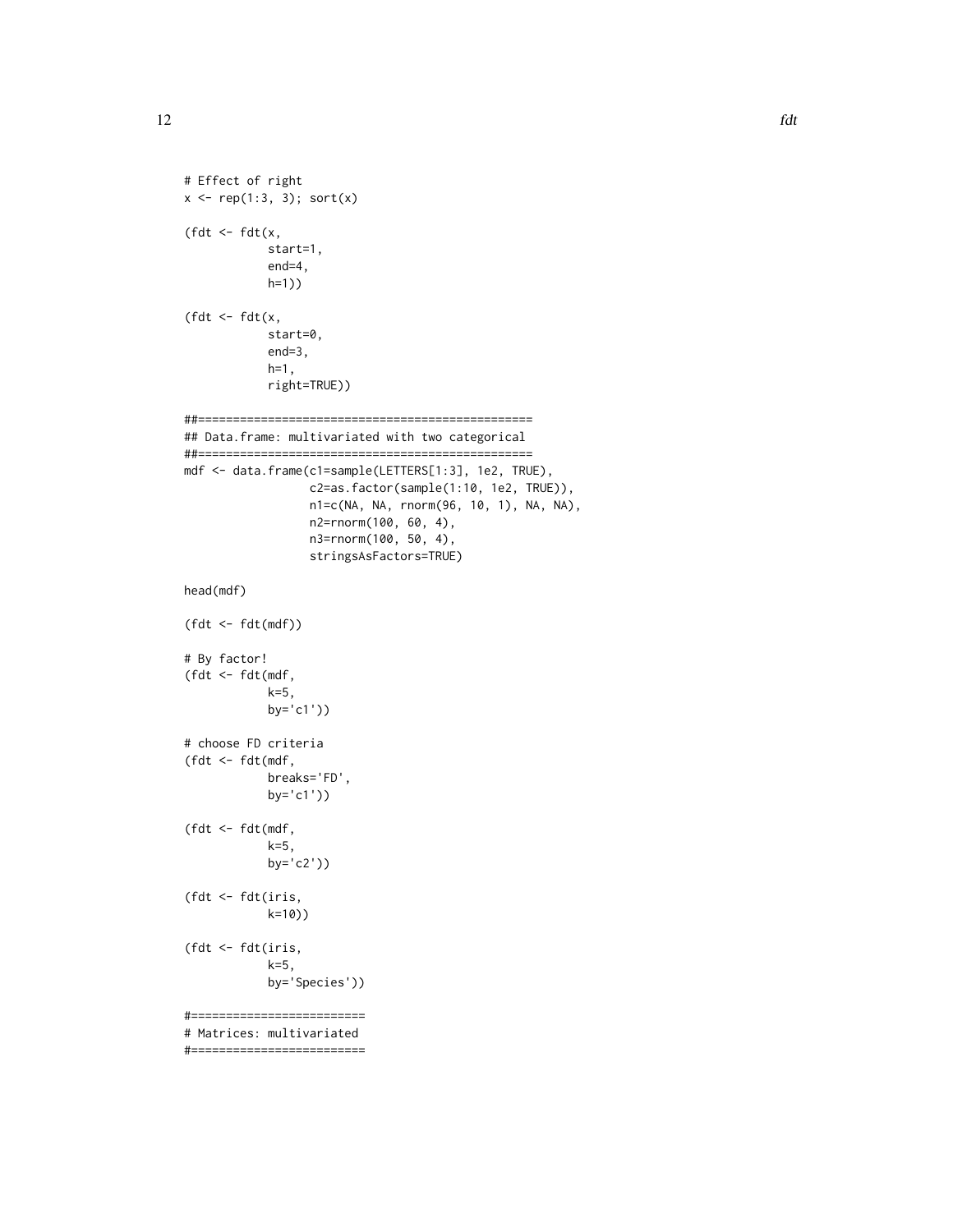```
12 fdt
```

```
# Effect of right
x \leq -rep(1:3, 3); sort(x)(fdt \leq fdt(x,
            start=1,
            end=4,
            h=1))
(fdt \leq fdt(x,
            start=0,
            end=3,
            h=1,right=TRUE))
##================================================
## Data.frame: multivariated with two categorical
##================================================
mdf <- data.frame(c1=sample(LETTERS[1:3], 1e2, TRUE),
                  c2=as.factor(sample(1:10, 1e2, TRUE)),
                  n1=c(NA, NA, rnorm(96, 10, 1), NA, NA),
                  n2=rnorm(100, 60, 4),
                  n3=rnorm(100, 50, 4),
                  stringsAsFactors=TRUE)
head(mdf)
(fdt <- fdt(mdf))
# By factor!
(fdt <- fdt(mdf,
            k=5,
            by='c1'))
# choose FD criteria
(fdt <- fdt(mdf,
            breaks='FD',
            by='c1'))
(fdt <- fdt(mdf,
            k=5,
            by='c2'))
(fdt <- fdt(iris,
            k=10))
(fdt <- fdt(iris,
            k=5,
            by='Species'))
#=========================
# Matrices: multivariated
#=========================
```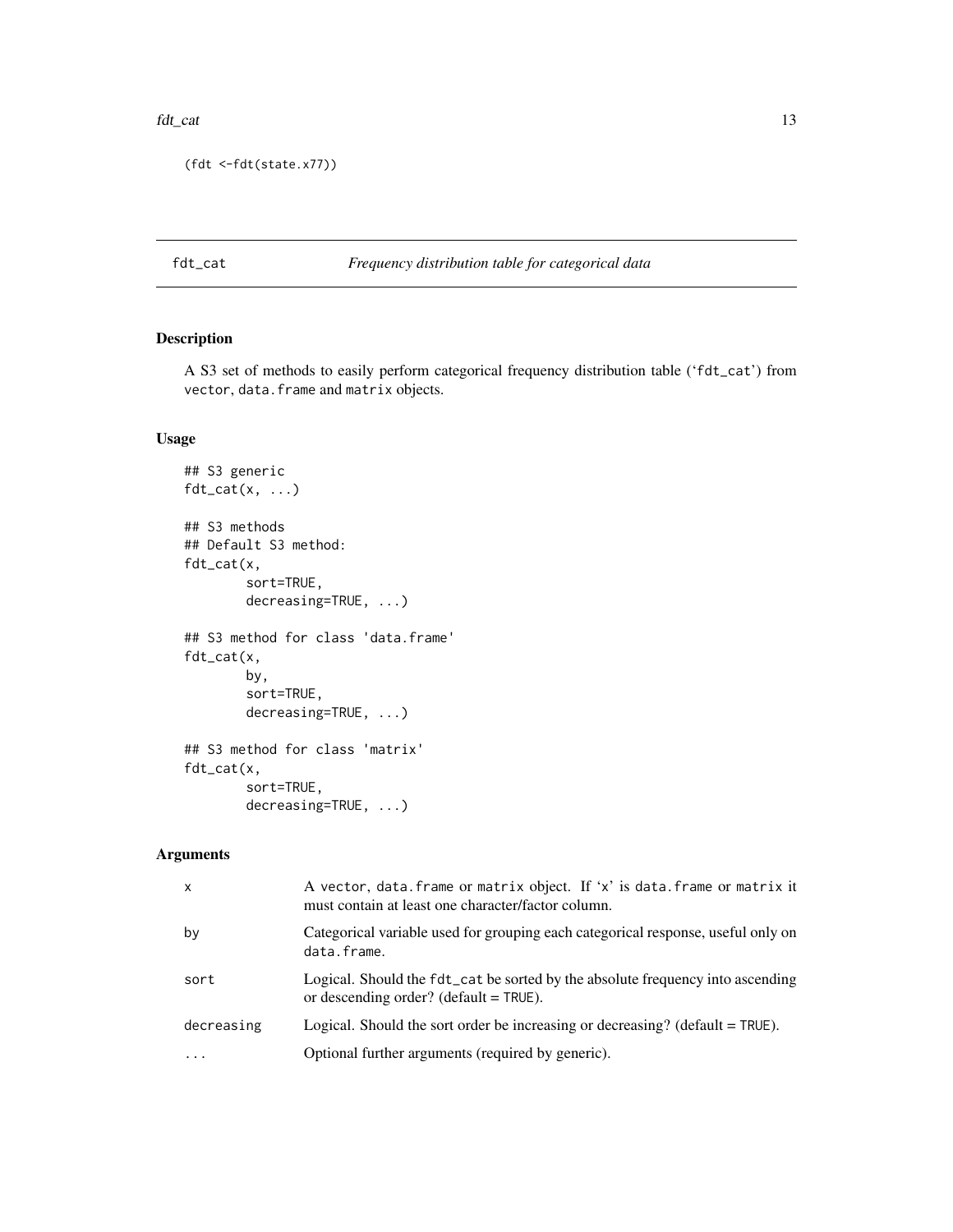#### <span id="page-12-0"></span>fdt\_cat 13

```
(fdt <-fdt(state.x77))
```
# fdt\_cat *Frequency distribution table for categorical data*

# Description

A S3 set of methods to easily perform categorical frequency distribution table ('fdt\_cat') from vector, data.frame and matrix objects.

# Usage

```
## S3 generic
fdt_{cat}(x, \ldots)## S3 methods
## Default S3 method:
fdt_cat(x,
        sort=TRUE,
        decreasing=TRUE, ...)
## S3 method for class 'data.frame'
fdt_cat(x,
        by,
        sort=TRUE,
        decreasing=TRUE, ...)
## S3 method for class 'matrix'
fdt_cat(x,
        sort=TRUE,
        decreasing=TRUE, ...)
```
# Arguments

| $\mathsf{x}$ | A vector, data. frame or matrix object. If 'x' is data. frame or matrix it<br>must contain at least one character/factor column. |
|--------------|----------------------------------------------------------------------------------------------------------------------------------|
| by           | Categorical variable used for grouping each categorical response, useful only on<br>data.frame.                                  |
| sort         | Logical. Should the fdt_cat be sorted by the absolute frequency into ascending<br>or descending order? (default $=$ TRUE).       |
| decreasing   | Logical. Should the sort order be increasing or decreasing? (default $=$ TRUE).                                                  |
|              | Optional further arguments (required by generic).                                                                                |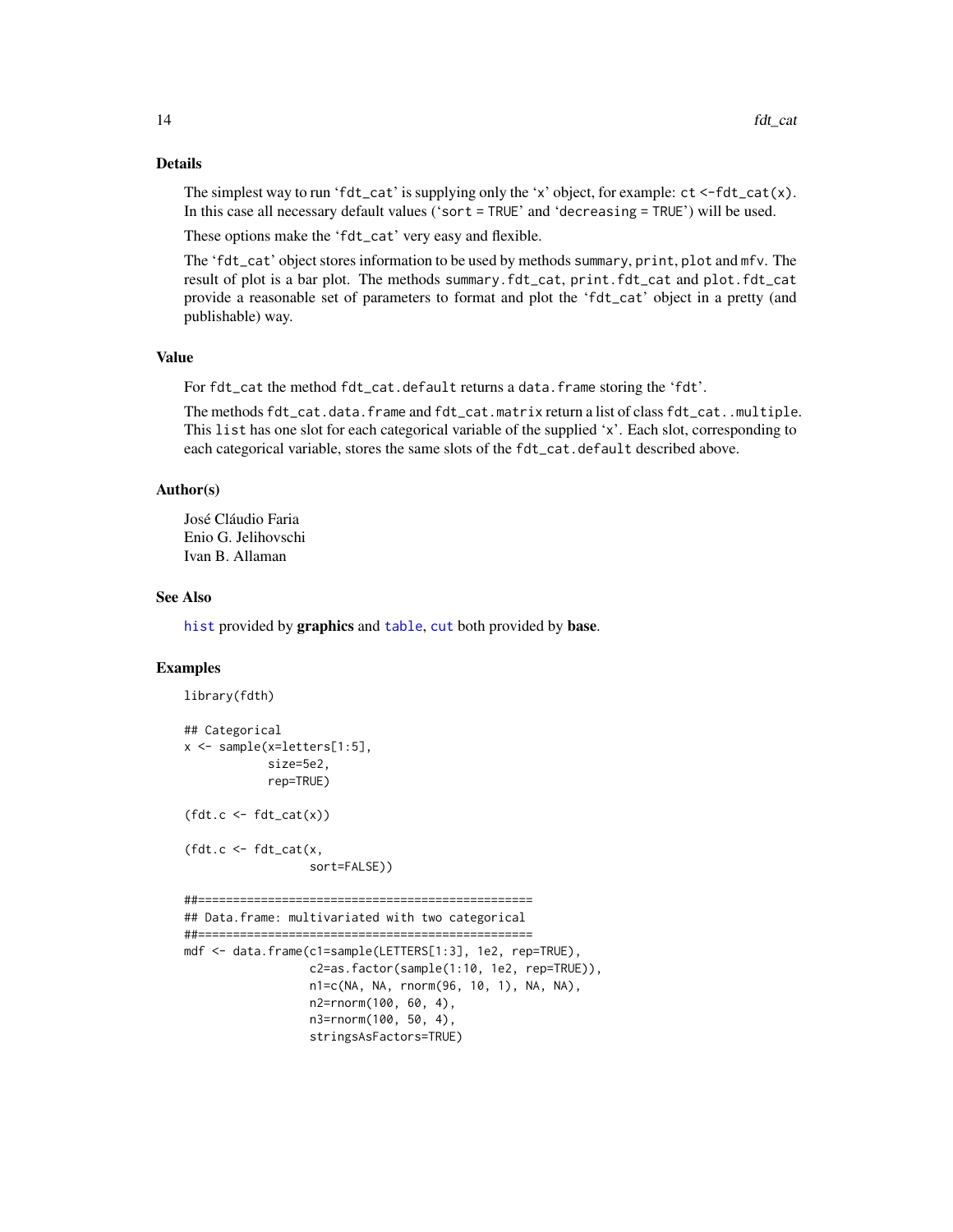#### Details

The simplest way to run 'fdt\_cat' is supplying only the 'x' object, for example:  $ct < -fdt_{cat}(x)$ . In this case all necessary default values ('sort = TRUE' and 'decreasing = TRUE') will be used.

These options make the 'fdt\_cat' very easy and flexible.

The 'fdt\_cat' object stores information to be used by methods summary, print, plot and mfv. The result of plot is a bar plot. The methods summary.fdt\_cat, print.fdt\_cat and plot.fdt\_cat provide a reasonable set of parameters to format and plot the 'fdt\_cat' object in a pretty (and publishable) way.

### Value

For fdt\_cat the method fdt\_cat.default returns a data.frame storing the 'fdt'.

The methods fdt\_cat.data.frame and fdt\_cat.matrix return a list of class fdt\_cat..multiple. This list has one slot for each categorical variable of the supplied 'x'. Each slot, corresponding to each categorical variable, stores the same slots of the fdt\_cat.default described above.

#### Author(s)

José Cláudio Faria Enio G. Jelihovschi Ivan B. Allaman

#### See Also

[hist](#page-0-0) provided by graphics and [table](#page-0-0), [cut](#page-0-0) both provided by base.

#### Examples

library(fdth)

```
## Categorical
x \leq - sample(x=letters[1:5],
            size=5e2,
            rep=TRUE)
(fdt.c \leftarrow fdt\_cat(x))(fdt.c \leq fdt_ccat(x,sort=FALSE))
##================================================
## Data.frame: multivariated with two categorical
##================================================
mdf <- data.frame(c1=sample(LETTERS[1:3], 1e2, rep=TRUE),
                  c2=as.factor(sample(1:10, 1e2, rep=TRUE)),
                  n1=c(NA, NA, rnorm(96, 10, 1), NA, NA),
                  n2=rnorm(100, 60, 4),
                  n3=rnorm(100, 50, 4),
                  stringsAsFactors=TRUE)
```
<span id="page-13-0"></span>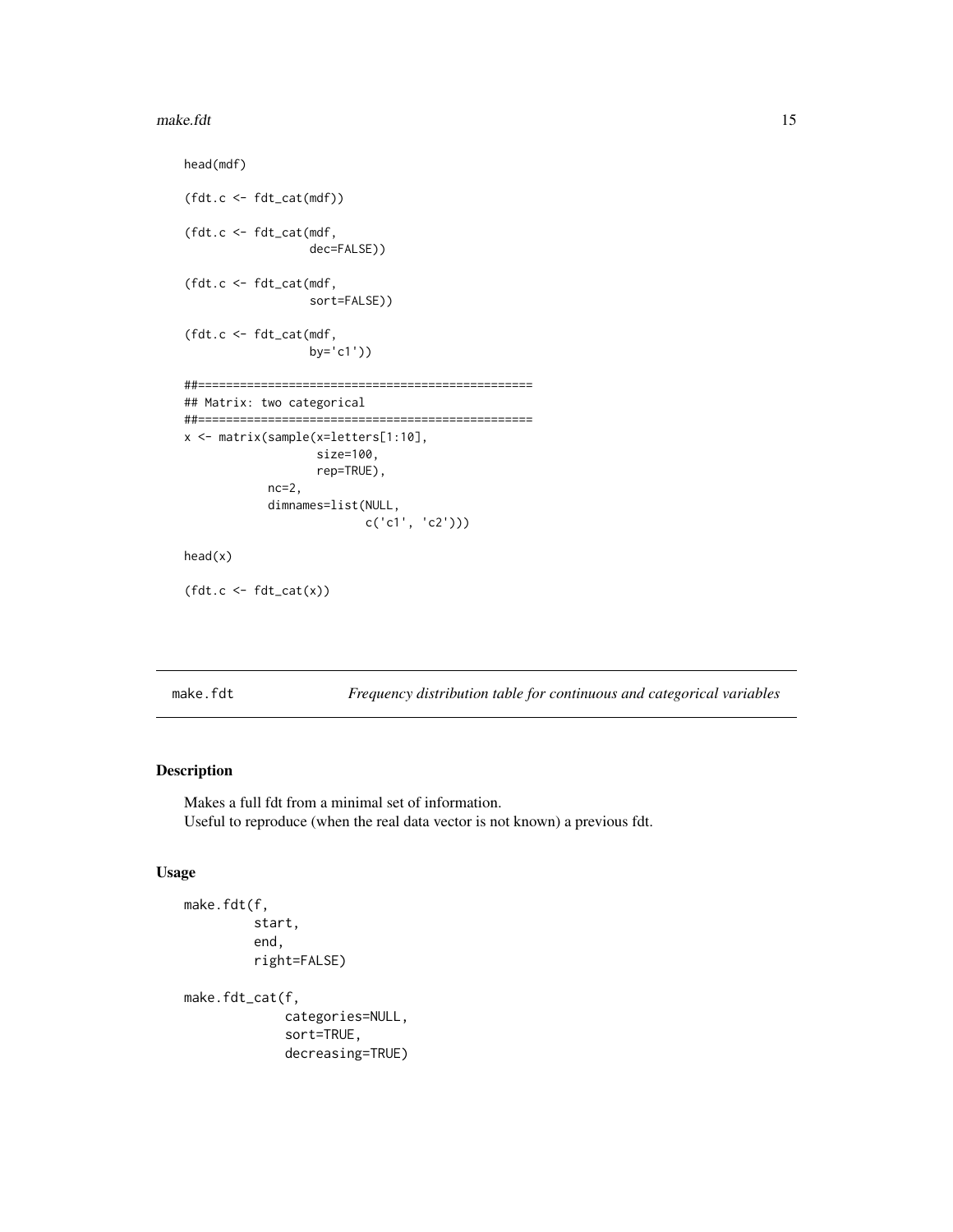#### <span id="page-14-0"></span>make.fdt 15

```
head(mdf)
(fdt.c <- fdt_cat(mdf))
(fdt.c <- fdt_cat(mdf,
                  dec=FALSE))
(fdt.c <- fdt_cat(mdf,
                  sort=FALSE))
(fdt.c <- fdt_cat(mdf,
                  by='c1'))
##================================================
## Matrix: two categorical
##================================================
x <- matrix(sample(x=letters[1:10],
                   size=100,
                   rep=TRUE),
            nc=2,
            dimnames=list(NULL,
                          c('c1', 'c2')))
head(x)
(fdt.c \leftarrow fdt\_cat(x))
```
make.fdt *Frequency distribution table for continuous and categorical variables*

# Description

Makes a full fdt from a minimal set of information. Useful to reproduce (when the real data vector is not known) a previous fdt.

# Usage

```
make.fdt(f,
         start,
         end,
         right=FALSE)
make.fdt_cat(f,
             categories=NULL,
             sort=TRUE,
```
decreasing=TRUE)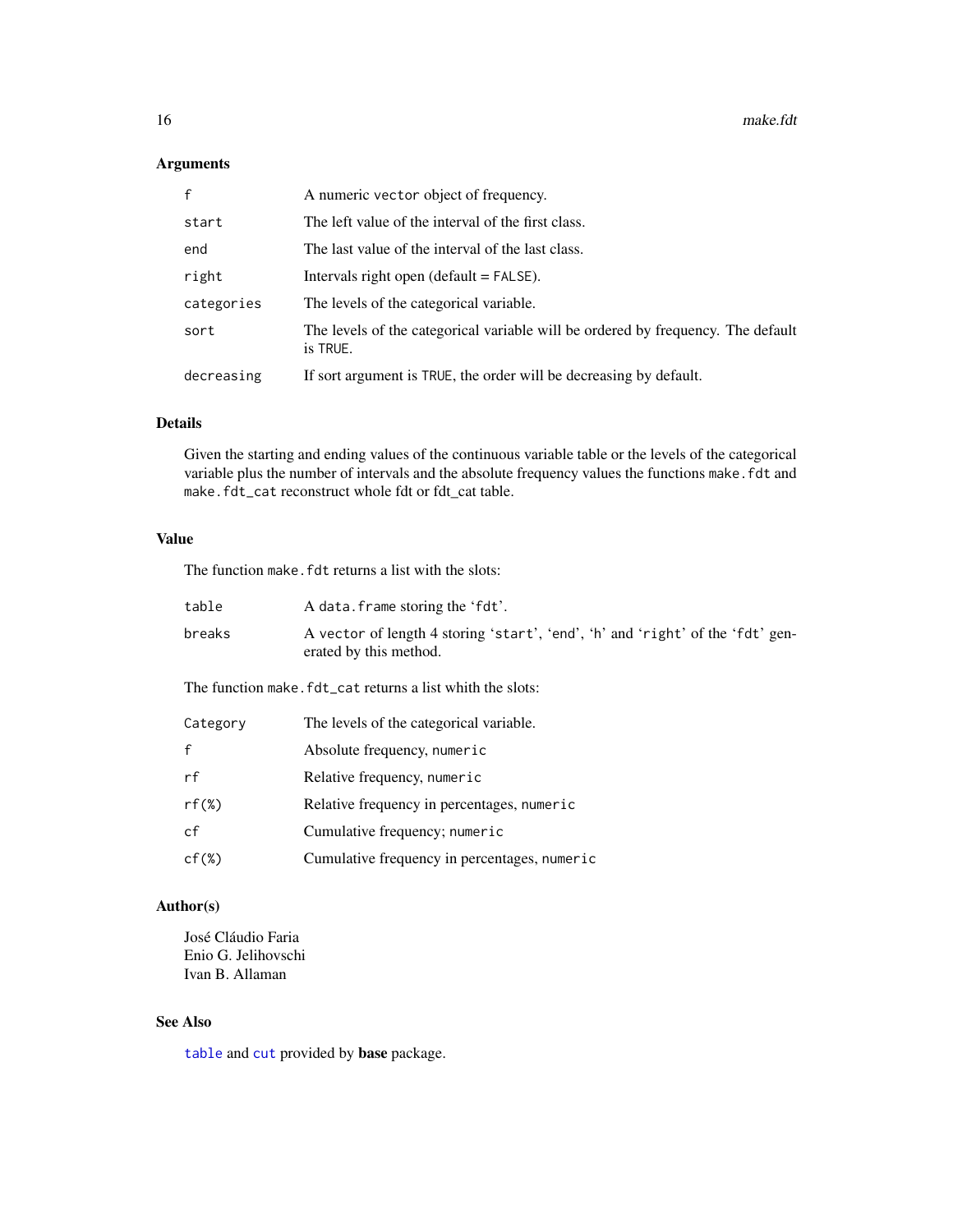# <span id="page-15-0"></span>Arguments

| $\mathsf{f}$ | A numeric vector object of frequency.                                                        |
|--------------|----------------------------------------------------------------------------------------------|
| start        | The left value of the interval of the first class.                                           |
| end          | The last value of the interval of the last class.                                            |
| right        | Intervals right open (default $=$ FALSE).                                                    |
| categories   | The levels of the categorical variable.                                                      |
| sort         | The levels of the categorical variable will be ordered by frequency. The default<br>is TRUE. |
| decreasing   | If sort argument is TRUE, the order will be decreasing by default.                           |

#### Details

Given the starting and ending values of the continuous variable table or the levels of the categorical variable plus the number of intervals and the absolute frequency values the functions make. fdt and make.fdt\_cat reconstruct whole fdt or fdt\_cat table.

# Value

The function make. fdt returns a list with the slots:

| table                                                      | A data. frame storing the 'fdt'.                                                                         |  |  |  |  |  |
|------------------------------------------------------------|----------------------------------------------------------------------------------------------------------|--|--|--|--|--|
| breaks                                                     | A vector of length 4 storing 'start', 'end', 'h' and 'right' of the 'fdt' gen-<br>erated by this method. |  |  |  |  |  |
| The function make. fdt_cat returns a list whith the slots: |                                                                                                          |  |  |  |  |  |
| Category                                                   | The levels of the categorical variable.                                                                  |  |  |  |  |  |
| $\mathbf{f}$                                               | Absolute frequency, numeric                                                                              |  |  |  |  |  |
| rf                                                         | Relative frequency, numeric                                                                              |  |  |  |  |  |
| $rf(\%)$                                                   | Relative frequency in percentages, numeric                                                               |  |  |  |  |  |
| cf                                                         | Cumulative frequency; numeric                                                                            |  |  |  |  |  |
| $cf(\%)$                                                   | Cumulative frequency in percentages, numeric                                                             |  |  |  |  |  |

# Author(s)

José Cláudio Faria Enio G. Jelihovschi Ivan B. Allaman

# See Also

[table](#page-0-0) and [cut](#page-0-0) provided by base package.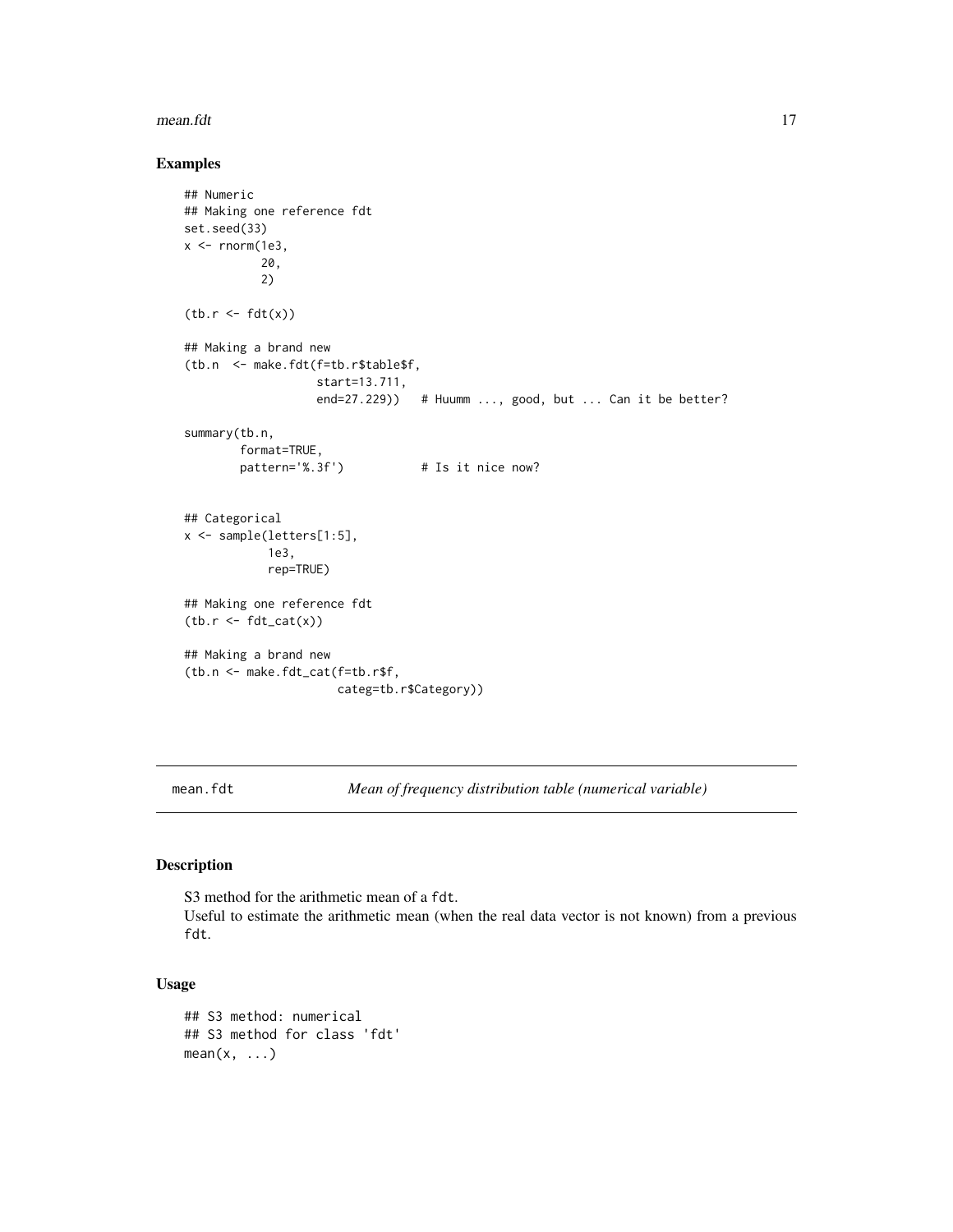#### <span id="page-16-0"></span>mean.fdt 17

#### Examples

```
## Numeric
## Making one reference fdt
set.seed(33)
x < - rnorm(1e3,
           20,
           2)
(tb.r < -fdt(x))## Making a brand new
(tb.n <- make.fdt(f=tb.r$table$f,
                  start=13.711,
                  end=27.229)) # Huumm ..., good, but ... Can it be better?
summary(tb.n,
        format=TRUE,
       pattern='%.3f') # Is it nice now?
## Categorical
x <- sample(letters[1:5],
            1e3,
            rep=TRUE)
## Making one reference fdt
(tb.r < - fdt_cat(x))## Making a brand new
(tb.n <- make.fdt_cat(f=tb.r$f,
                     categ=tb.r$Category))
```
mean.fdt *Mean of frequency distribution table (numerical variable)*

# Description

S3 method for the arithmetic mean of a fdt. Useful to estimate the arithmetic mean (when the real data vector is not known) from a previous fdt.

### Usage

```
## S3 method: numerical
## S3 method for class 'fdt'
mean(x, \ldots)
```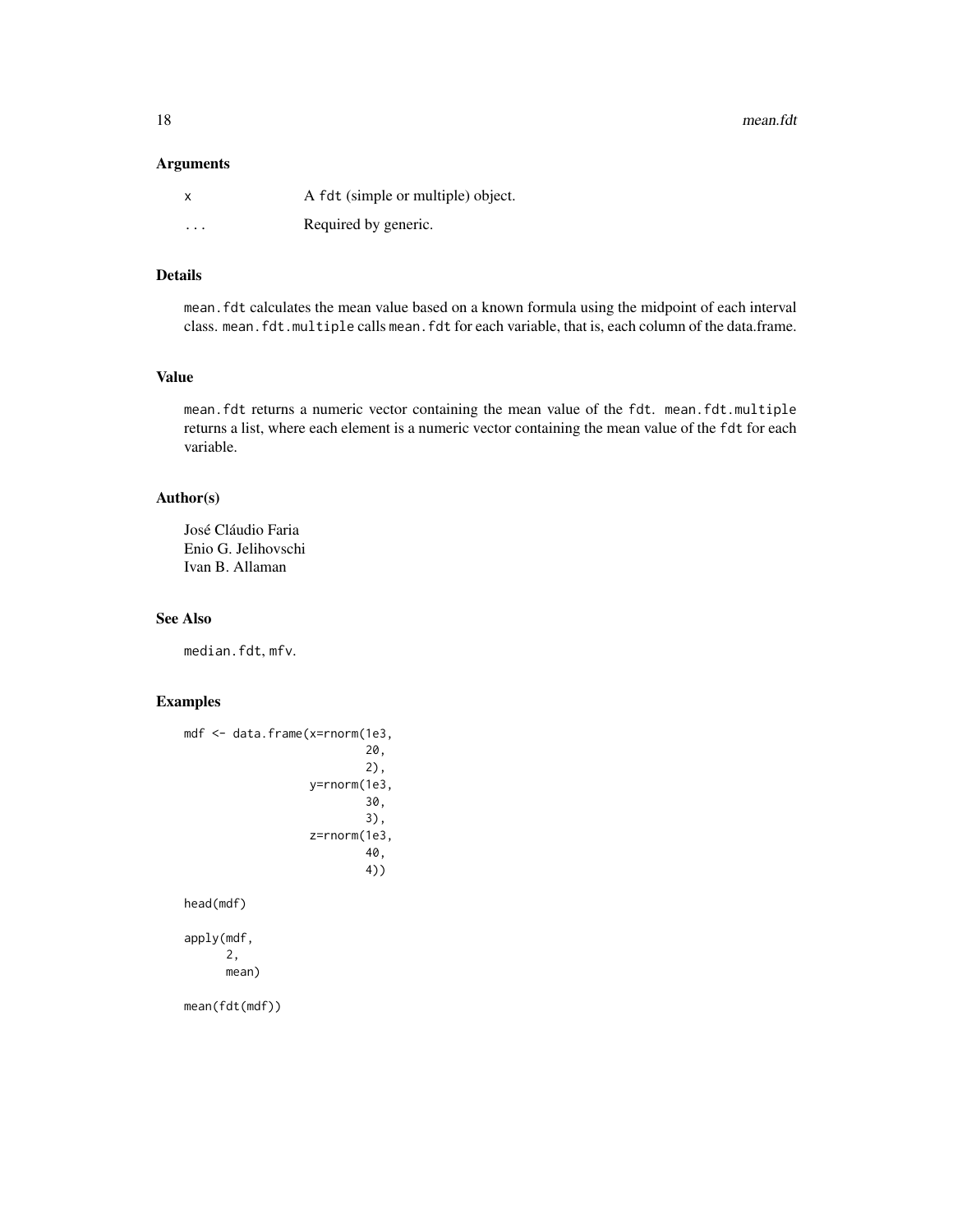18 mean.fdt

#### Arguments

|          | A fdt (simple or multiple) object. |
|----------|------------------------------------|
| $\cdots$ | Required by generic.               |

# Details

mean.fdt calculates the mean value based on a known formula using the midpoint of each interval class. mean.fdt.multiple calls mean.fdt for each variable, that is, each column of the data.frame.

### Value

mean.fdt returns a numeric vector containing the mean value of the fdt. mean.fdt.multiple returns a list, where each element is a numeric vector containing the mean value of the fdt for each variable.

# Author(s)

José Cláudio Faria Enio G. Jelihovschi Ivan B. Allaman

#### See Also

median.fdt, mfv.

# Examples

```
mdf <- data.frame(x=rnorm(1e3,
                           20,
                           2),
                   y=rnorm(1e3,
                           30,
                           3),
                   z=rnorm(1e3,
                           40,
                           4))
head(mdf)
apply(mdf,
      2,
```
mean)

mean(fdt(mdf))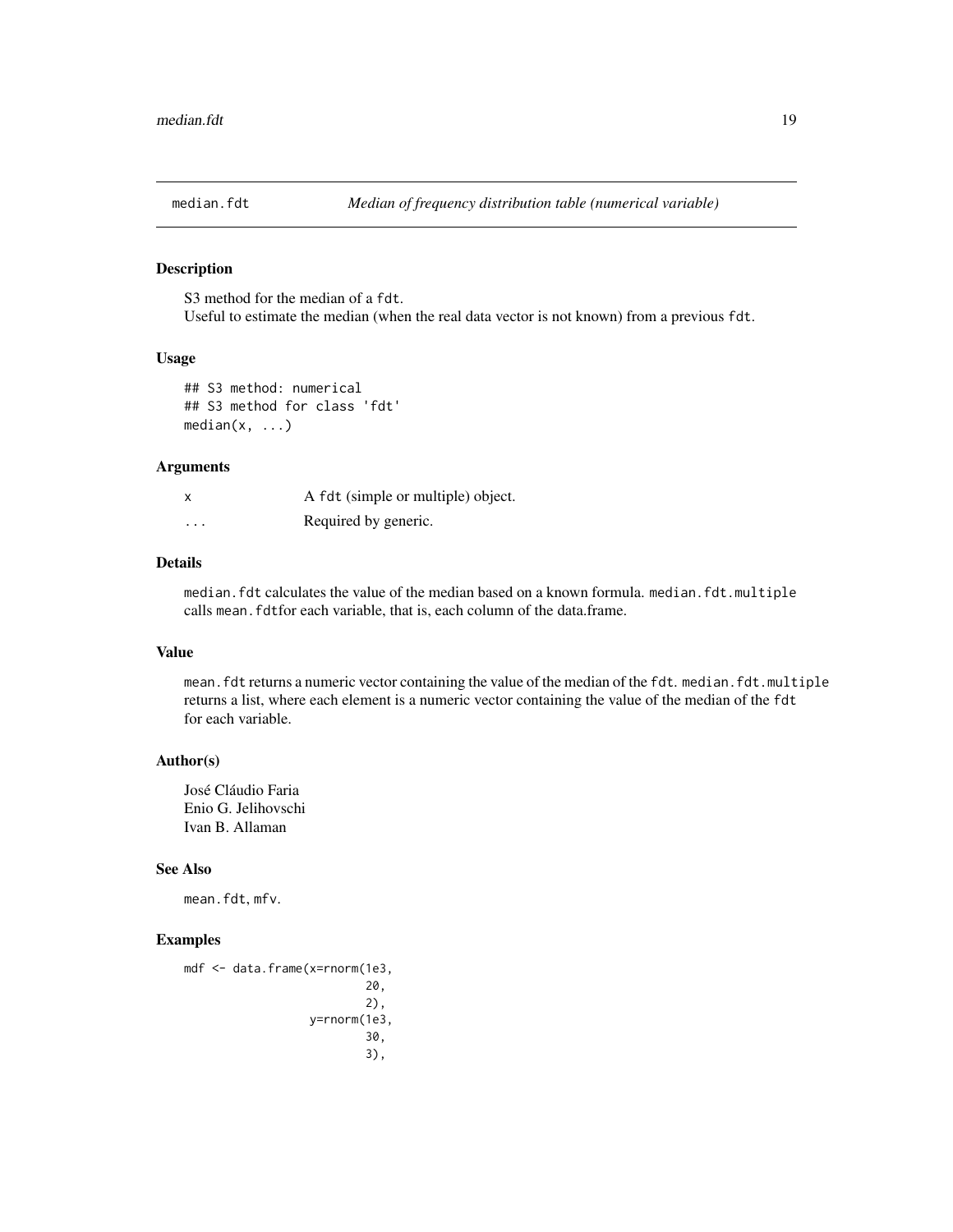<span id="page-18-0"></span>

#### Description

S3 method for the median of a fdt. Useful to estimate the median (when the real data vector is not known) from a previous fdt.

### Usage

```
## S3 method: numerical
## S3 method for class 'fdt'
median(x, \ldots)
```
#### Arguments

|          | A fdt (simple or multiple) object. |
|----------|------------------------------------|
| $\cdots$ | Required by generic.               |

#### Details

median.fdt calculates the value of the median based on a known formula. median.fdt.multiple calls mean. fdtfor each variable, that is, each column of the data.frame.

#### Value

mean.fdt returns a numeric vector containing the value of the median of the fdt. median.fdt.multiple returns a list, where each element is a numeric vector containing the value of the median of the fdt for each variable.

# Author(s)

José Cláudio Faria Enio G. Jelihovschi Ivan B. Allaman

#### See Also

mean.fdt, mfv.

#### Examples

```
mdf <- data.frame(x=rnorm(1e3,
                           20,
                           2),
                  y=rnorm(1e3,
                           30,
                           3),
```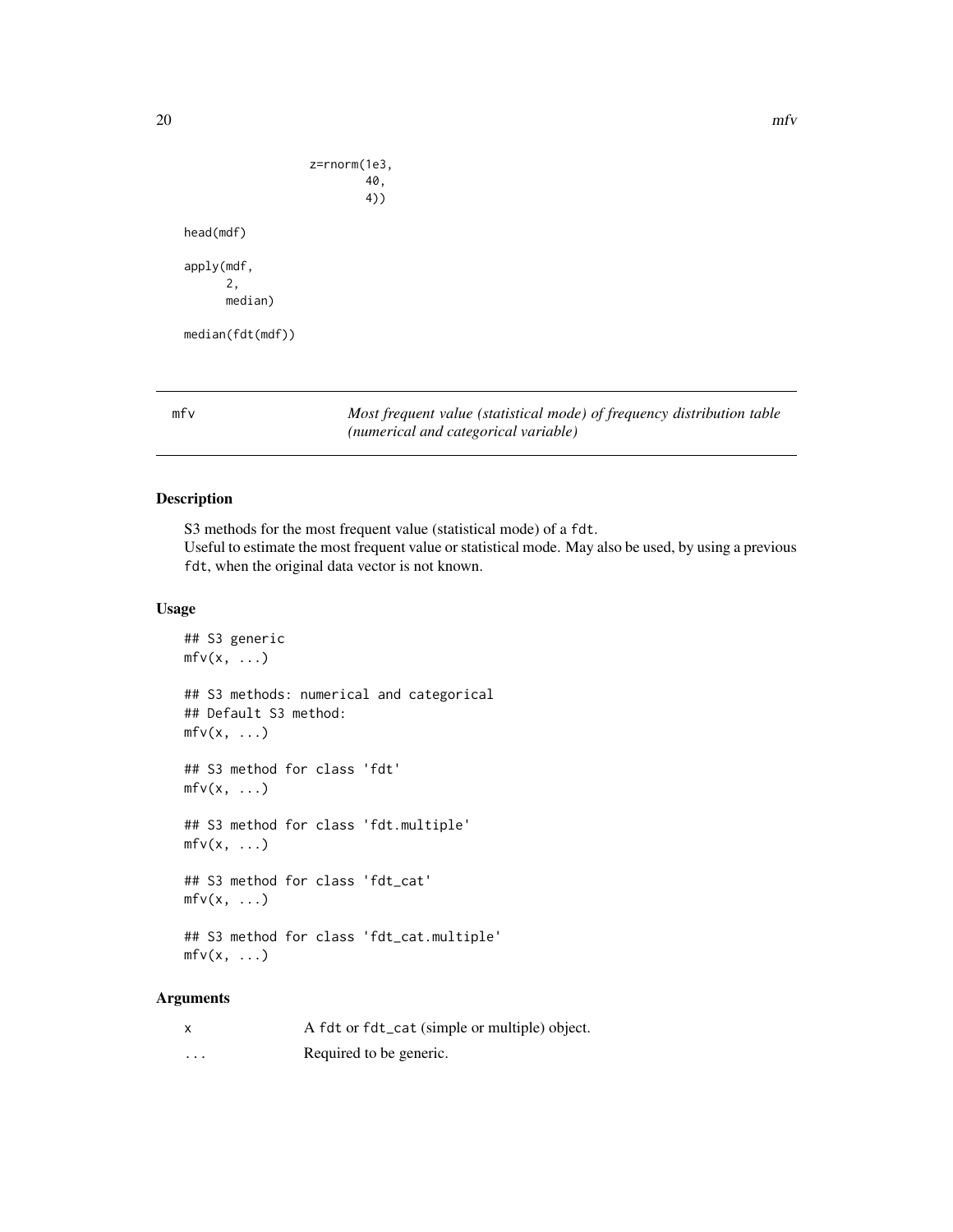```
z=rnorm(1e3,
head(mdf)
apply(mdf,
      2,
      median)
median(fdt(mdf))
```
40, 4))

mfv *Most frequent value (statistical mode) of frequency distribution table (numerical and categorical variable)*

# Description

S3 methods for the most frequent value (statistical mode) of a fdt. Useful to estimate the most frequent value or statistical mode. May also be used, by using a previous fdt, when the original data vector is not known.

#### Usage

```
## S3 generic
mfv(x, \ldots)## S3 methods: numerical and categorical
## Default S3 method:
mfv(x, \ldots)## S3 method for class 'fdt'
mfv(x, \ldots)## S3 method for class 'fdt.multiple'
mfv(x, \ldots)## S3 method for class 'fdt_cat'
mfv(x, \ldots)## S3 method for class 'fdt_cat.multiple'
mfv(x, \ldots)
```
# Arguments

| $\boldsymbol{\mathsf{x}}$ | A fdt or fdt_cat (simple or multiple) object. |
|---------------------------|-----------------------------------------------|
| $\cdots$                  | Required to be generic.                       |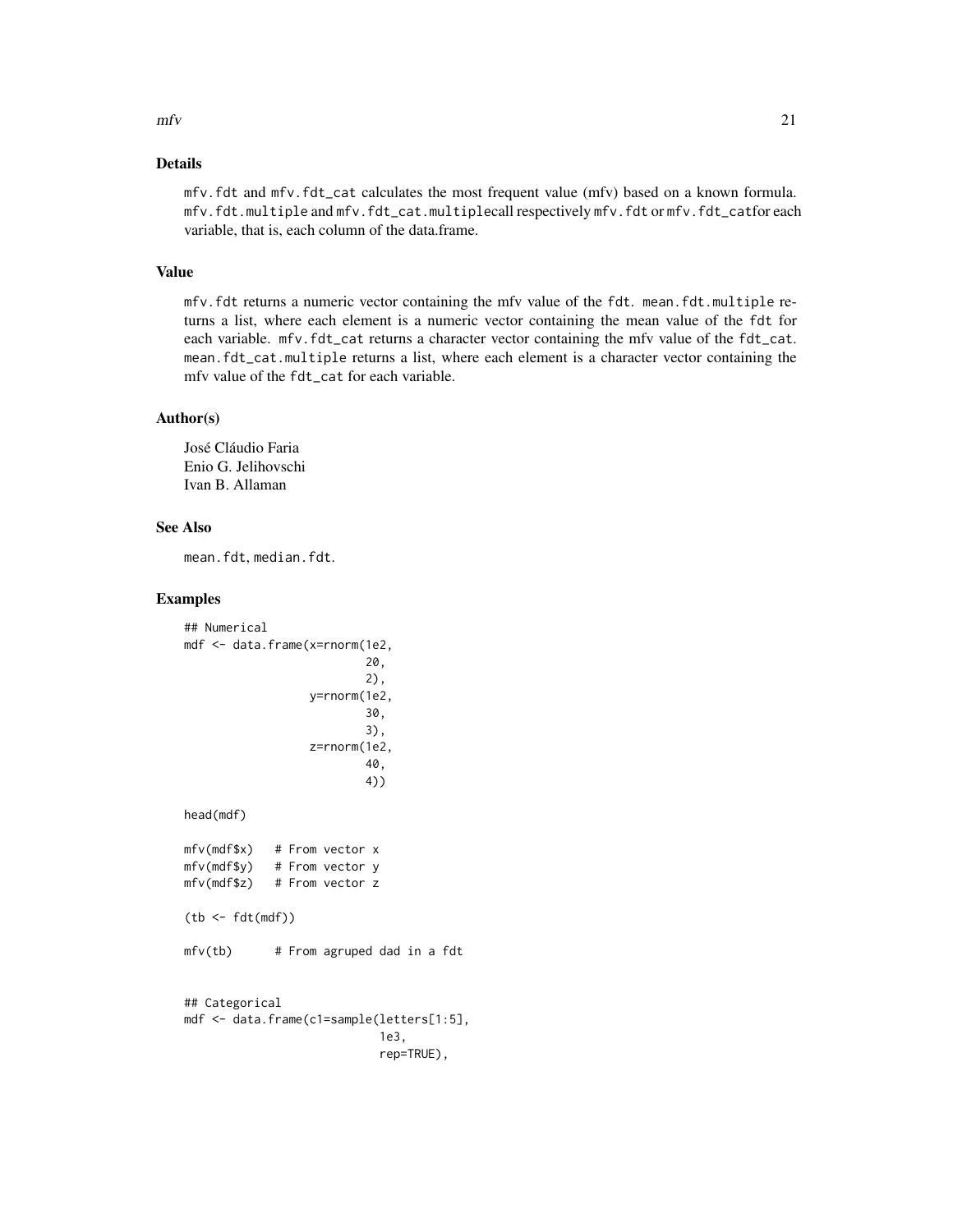#### $mfv$  21

# Details

mfv.fdt and mfv.fdt\_cat calculates the most frequent value (mfv) based on a known formula. mfv.fdt.multiple and mfv.fdt\_cat.multiplecall respectively mfv.fdt or mfv.fdt\_catfor each variable, that is, each column of the data.frame.

#### Value

mfv.fdt returns a numeric vector containing the mfv value of the fdt. mean.fdt.multiple returns a list, where each element is a numeric vector containing the mean value of the fdt for each variable. mfv.fdt\_cat returns a character vector containing the mfv value of the fdt\_cat. mean.fdt\_cat.multiple returns a list, where each element is a character vector containing the mfv value of the fdt\_cat for each variable.

#### Author(s)

José Cláudio Faria Enio G. Jelihovschi Ivan B. Allaman

#### See Also

mean.fdt, median.fdt.

### Examples

```
## Numerical
mdf <- data.frame(x=rnorm(1e2,
                          20,
                          2),
                  y=rnorm(1e2,
                          30,
                          3),
                  z=rnorm(1e2,
                          40,
                          4))
head(mdf)
mfv(mdf$x) # From vector x
mfv(mdf$y) # From vector y
mfv(mdf$z) # From vector z
(tb < - fdt(mdf))mfv(tb) # From agruped dad in a fdt
## Categorical
mdf <- data.frame(c1=sample(letters[1:5],
                            1e3,
                            rep=TRUE),
```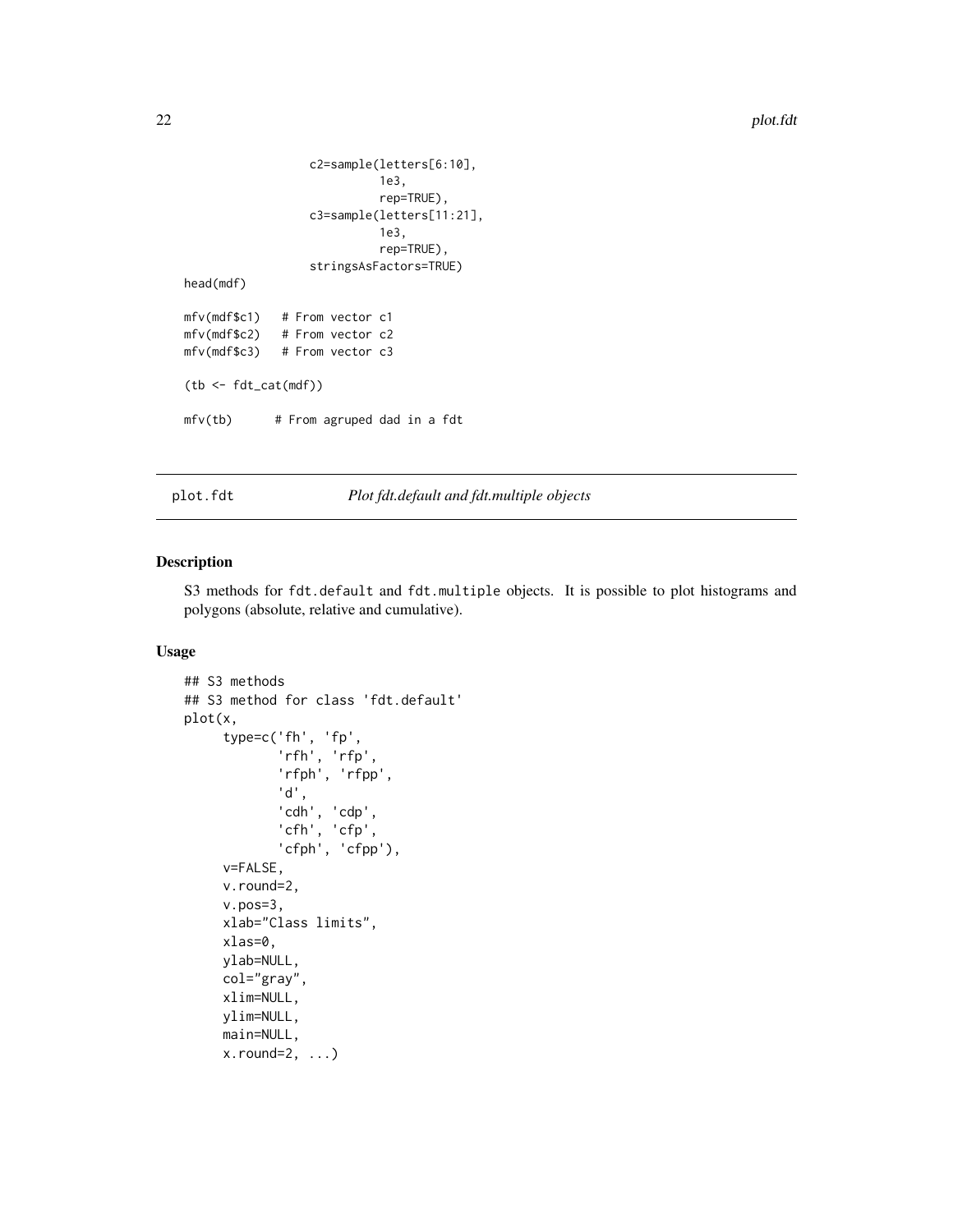```
c2=sample(letters[6:10],
                           1e3,
                           rep=TRUE),
                 c3=sample(letters[11:21],
                           1e3,
                           rep=TRUE),
                 stringsAsFactors=TRUE)
head(mdf)
mfv(mdf$c1) # From vector c1
mfv(mdf$c2) # From vector c2
mfv(mdf$c3) # From vector c3
(tb <- fdt_cat(mdf))
mfv(tb) # From agruped dad in a fdt
```
plot.fdt *Plot fdt.default and fdt.multiple objects*

#### Description

S3 methods for fdt.default and fdt.multiple objects. It is possible to plot histograms and polygons (absolute, relative and cumulative).

#### Usage

```
## S3 methods
## S3 method for class 'fdt.default'
plot(x,
     type=c('fh', 'fp',
             'rfh', 'rfp',
            'rfph', 'rfpp',
             'd',
             'cdh', 'cdp',
            'cfh', 'cfp',
             'cfph', 'cfpp'),
     v=FALSE,
     v.round=2,
     v.pos=3,
     xlab="Class limits",
     xlas=0,
     ylab=NULL,
     col="gray",
     xlim=NULL,
     ylim=NULL,
     main=NULL,
     x.round=2, ...)
```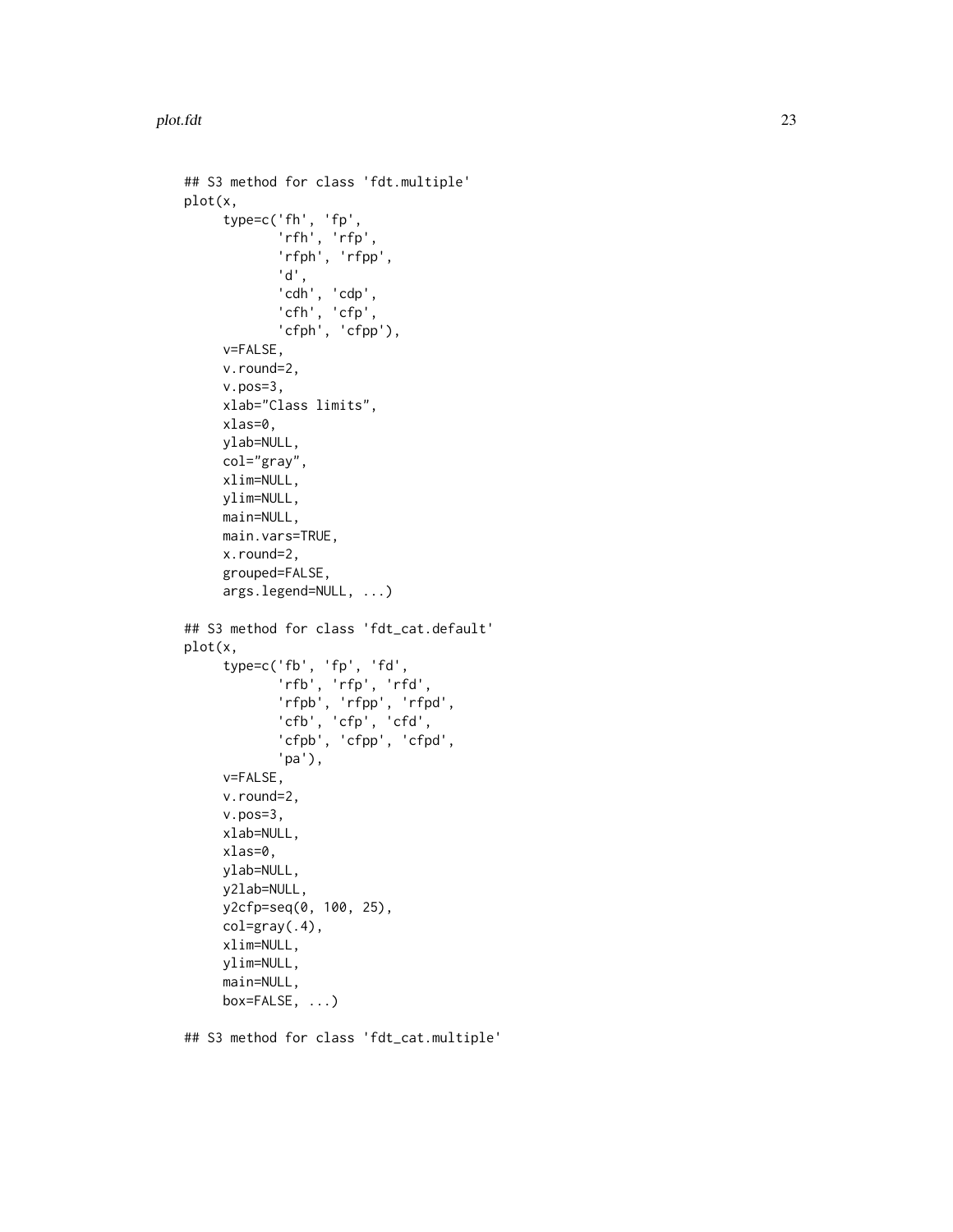```
## S3 method for class 'fdt.multiple'
plot(x,
     type=c('fh', 'fp', 'rfh', 'rfp', 'rfph', 'rfpp', 'd', 'cdh', 'cdp', 'cfh', 'cfp', 'cfph', 'cfpp'),
     v=FALSE,
     v.round=2,
     v.pos=3,
     xlab="Class limits",
     xlas=0,
     ylab=NULL,
     col="gray",
     xlim=NULL,
     ylim=NULL,
     main=NULL,
     main.vars=TRUE,
     x.round=2,
     grouped=FALSE,
     args.legend=NULL, ...)
## S3 method for class 'fdt_cat.default'
plot(x,
     type=c('fb', 'fp', 'fd', 'rfb', 'rfp', 'rfd', 'rfpb', 'rfpp', 'rfpd', 'cfb', 'cfp', 'cfd', 'cfpb', 'cfpp', 'cfpd', 'pa'),
     v=FALSE,
     v.round=2,
     v.pos=3,
     xlab=NULL,
     xlas=0,
     ylab=NULL,
     y2lab=NULL,
     y2cfp=seq(0, 100, 25),
     col=gray(.4),
     xlim=NULL,
     ylim=NULL,
     main=NULL,
     box=FALSE, ...)
```
## S3 method for class 'fdt\_cat.multiple'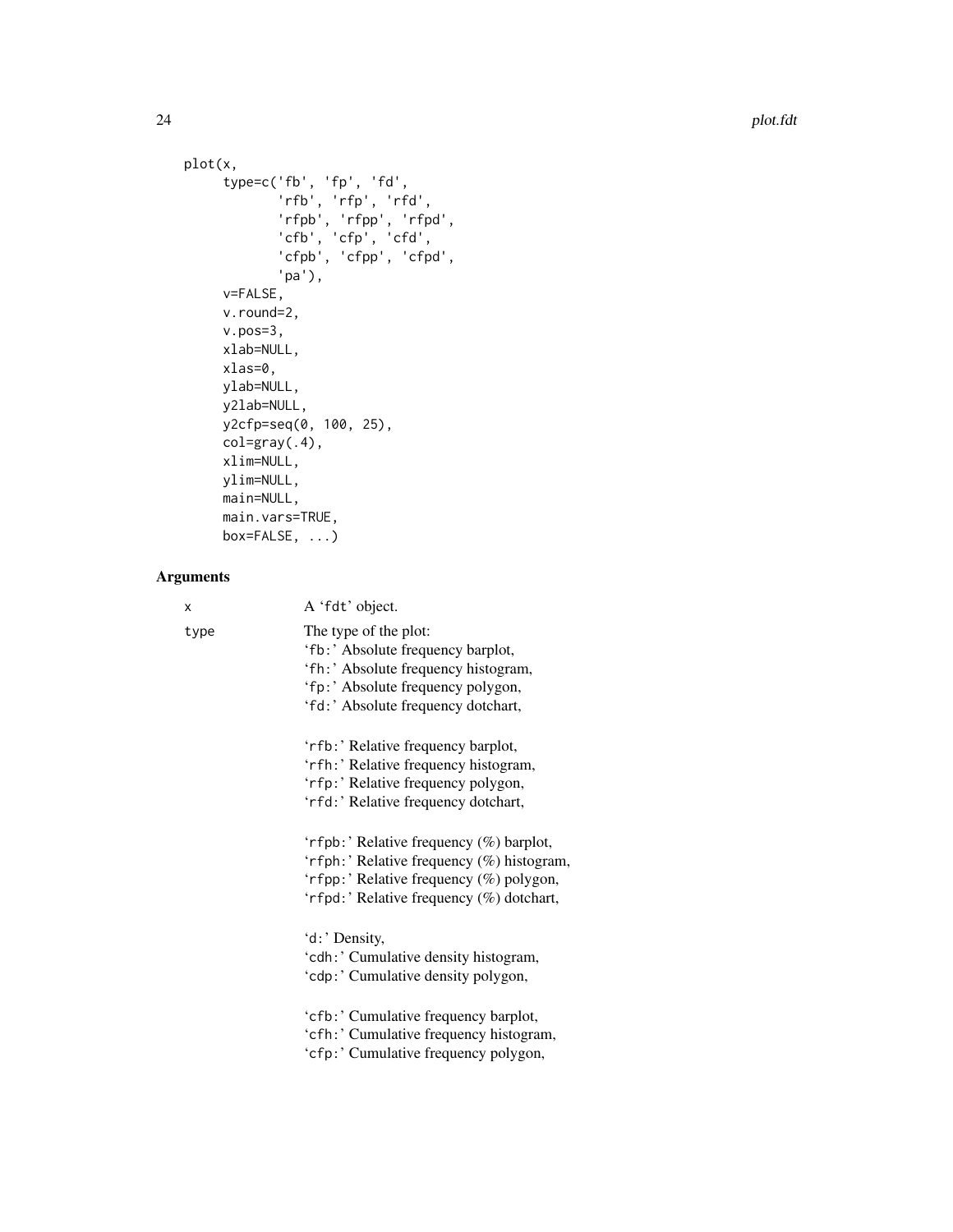```
plot(x,
     type=c('fb', 'fp', 'fd',
            'rfb', 'rfp', 'rfd',
             'rfpb', 'rfpp', 'rfpd',
             'cfb', 'cfp', 'cfd',
            'cfpb', 'cfpp', 'cfpd',
            'pa'),
     v=FALSE,
     v.round=2,
     v.pos=3,
     xlab=NULL,
     xlas=0,
     ylab=NULL,
     y2lab=NULL,
     y2cfp=seq(0, 100, 25),
     col=gray(.4),
     xlim=NULL,
     ylim=NULL,
     main=NULL,
     main.vars=TRUE,
     box=FALSE, ...)
```
# Arguments

| x    | A 'fdt' object.                                                                                                                                                              |
|------|------------------------------------------------------------------------------------------------------------------------------------------------------------------------------|
| type | The type of the plot:<br>'fb:' Absolute frequency barplot,<br>'fh:' Absolute frequency histogram,<br>'fp:' Absolute frequency polygon,<br>'fd:' Absolute frequency dotchart, |
|      | 'rfb:' Relative frequency barplot,<br>'rfh:' Relative frequency histogram,<br>'rfp:' Relative frequency polygon,<br>'rfd:' Relative frequency dotchart,                      |
|      | 'rfpb:' Relative frequency (%) barplot,<br>'rfph:' Relative frequency (%) histogram,<br>'rfpp:' Relative frequency (%) polygon,<br>'rfpd:' Relative frequency (%) dotchart,  |
|      | 'd:' Density,<br>'cdh:' Cumulative density histogram,<br>'cdp:' Cumulative density polygon,                                                                                  |
|      | 'cfb:' Cumulative frequency barplot,<br>'cfh:' Cumulative frequency histogram,<br>'cfp:' Cumulative frequency polygon,                                                       |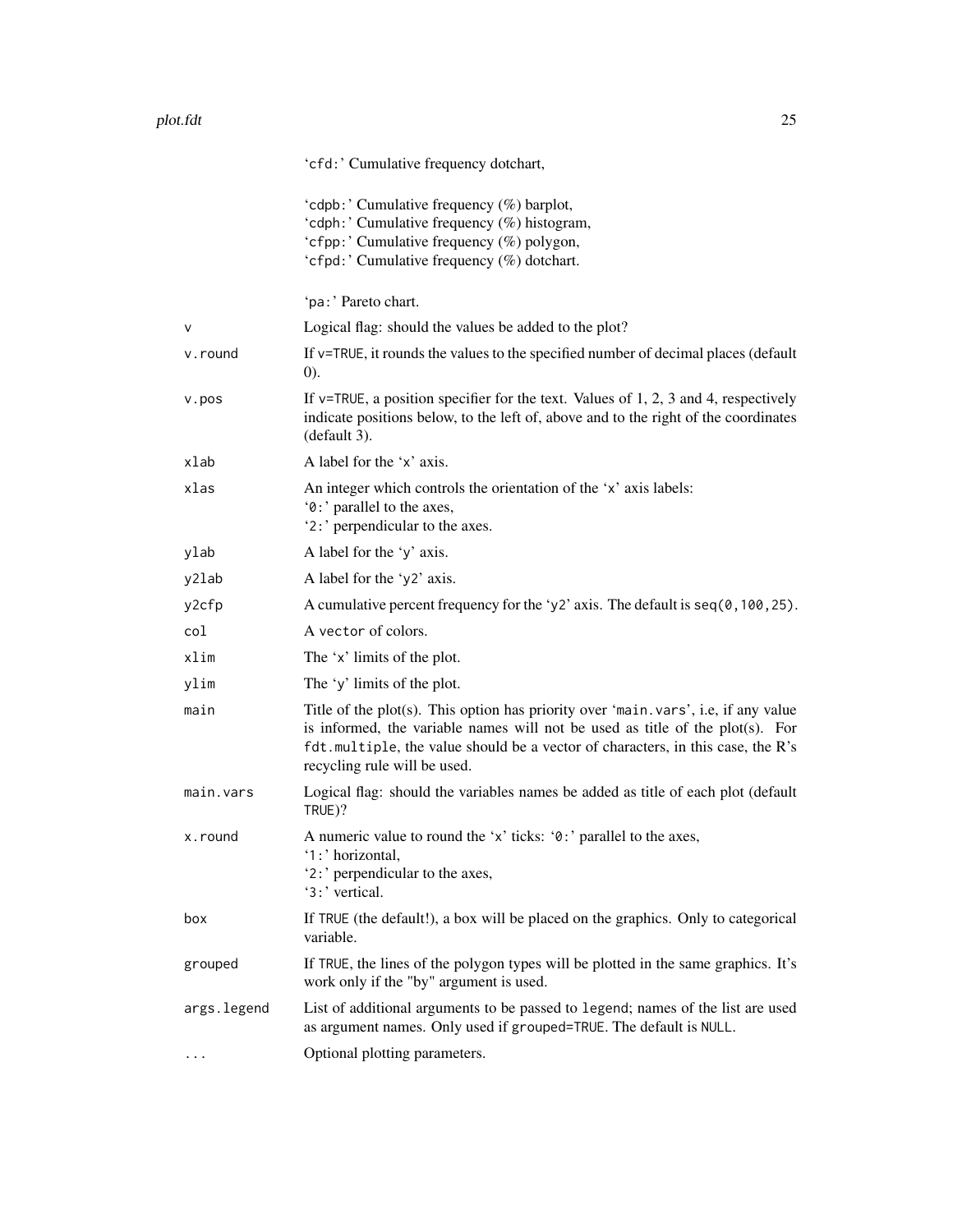|             | 'cfd:' Cumulative frequency dotchart,                                                                                                                                                                                                                                                    |
|-------------|------------------------------------------------------------------------------------------------------------------------------------------------------------------------------------------------------------------------------------------------------------------------------------------|
|             | 'cdpb:' Cumulative frequency (%) barplot,<br>'cdph:' Cumulative frequency (%) histogram,<br>'cfpp:' Cumulative frequency (%) polygon,<br>'cfpd:' Cumulative frequency (%) dotchart.                                                                                                      |
|             | 'pa:' Pareto chart.                                                                                                                                                                                                                                                                      |
| $\vee$      | Logical flag: should the values be added to the plot?                                                                                                                                                                                                                                    |
| v.round     | If v=TRUE, it rounds the values to the specified number of decimal places (default<br>(0).                                                                                                                                                                                               |
| v.pos       | If $v$ =TRUE, a position specifier for the text. Values of 1, 2, 3 and 4, respectively<br>indicate positions below, to the left of, above and to the right of the coordinates<br>(default 3).                                                                                            |
| xlab        | A label for the 'x' axis.                                                                                                                                                                                                                                                                |
| xlas        | An integer which controls the orientation of the 'x' axis labels:<br>'0:' parallel to the axes,<br>'2:' perpendicular to the axes.                                                                                                                                                       |
| ylab        | A label for the 'y' axis.                                                                                                                                                                                                                                                                |
| y2lab       | A label for the 'y2' axis.                                                                                                                                                                                                                                                               |
| y2cfp       | A cumulative percent frequency for the 'y2' axis. The default is $seq(0, 100, 25)$ .                                                                                                                                                                                                     |
| col         | A vector of colors.                                                                                                                                                                                                                                                                      |
| xlim        | The 'x' limits of the plot.                                                                                                                                                                                                                                                              |
| ylim        | The 'y' limits of the plot.                                                                                                                                                                                                                                                              |
| main        | Title of the plot(s). This option has priority over 'main. vars', i.e, if any value<br>is informed, the variable names will not be used as title of the plot(s). For<br>fdt. multiple, the value should be a vector of characters, in this case, the R's<br>recycling rule will be used. |
| main.vars   | Logical flag: should the variables names be added as title of each plot (default<br>TRUE)?                                                                                                                                                                                               |
| x.round     | A numeric value to round the 'x' ticks: '0:' parallel to the axes,<br>'1:' horizontal,<br>'2:' perpendicular to the axes,<br>'3:' vertical.                                                                                                                                              |
| box         | If TRUE (the default!), a box will be placed on the graphics. Only to categorical<br>variable.                                                                                                                                                                                           |
| grouped     | If TRUE, the lines of the polygon types will be plotted in the same graphics. It's<br>work only if the "by" argument is used.                                                                                                                                                            |
| args.legend | List of additional arguments to be passed to legend; names of the list are used<br>as argument names. Only used if grouped=TRUE. The default is NULL.                                                                                                                                    |
| .           | Optional plotting parameters.                                                                                                                                                                                                                                                            |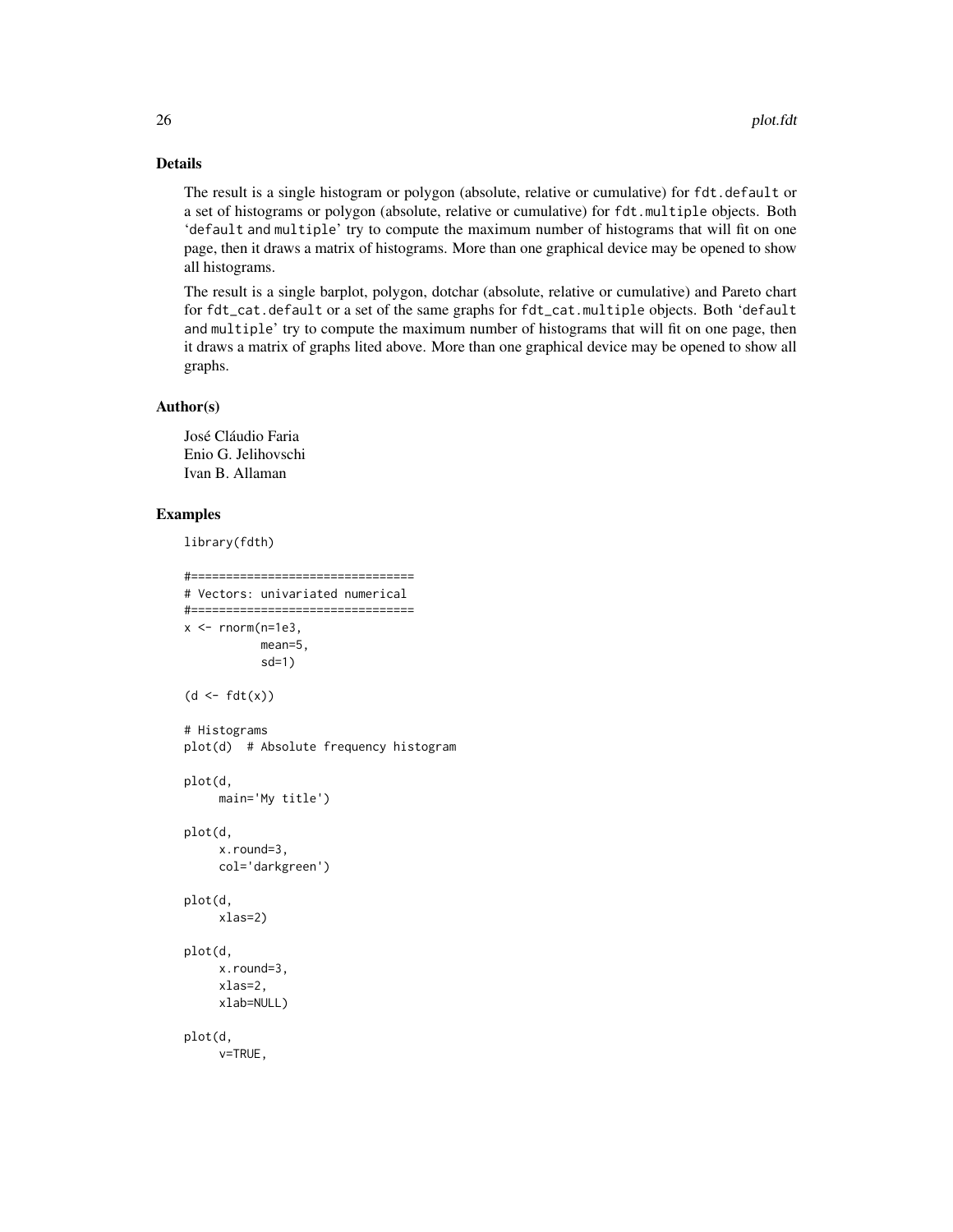# Details

The result is a single histogram or polygon (absolute, relative or cumulative) for fdt.default or a set of histograms or polygon (absolute, relative or cumulative) for fdt.multiple objects. Both 'default and multiple' try to compute the maximum number of histograms that will fit on one page, then it draws a matrix of histograms. More than one graphical device may be opened to show all histograms.

The result is a single barplot, polygon, dotchar (absolute, relative or cumulative) and Pareto chart for fdt\_cat.default or a set of the same graphs for fdt\_cat.multiple objects. Both 'default and multiple' try to compute the maximum number of histograms that will fit on one page, then it draws a matrix of graphs lited above. More than one graphical device may be opened to show all graphs.

#### Author(s)

José Cláudio Faria Enio G. Jelihovschi Ivan B. Allaman

# Examples

```
library(fdth)
```

```
#================================
# Vectors: univariated numerical
#================================
x \le - rnorm(n=1e3,
          mean=5,
           sd=1)
(d \leq f dt(x))# Histograms
plot(d) # Absolute frequency histogram
plot(d,
     main='My title')
plot(d,
     x.round=3,
     col='darkgreen')
plot(d,
     xlas=2)
plot(d,
     x.round=3,
     xlas=2,
     xlab=NULL)
plot(d,
     v=TRUE,
```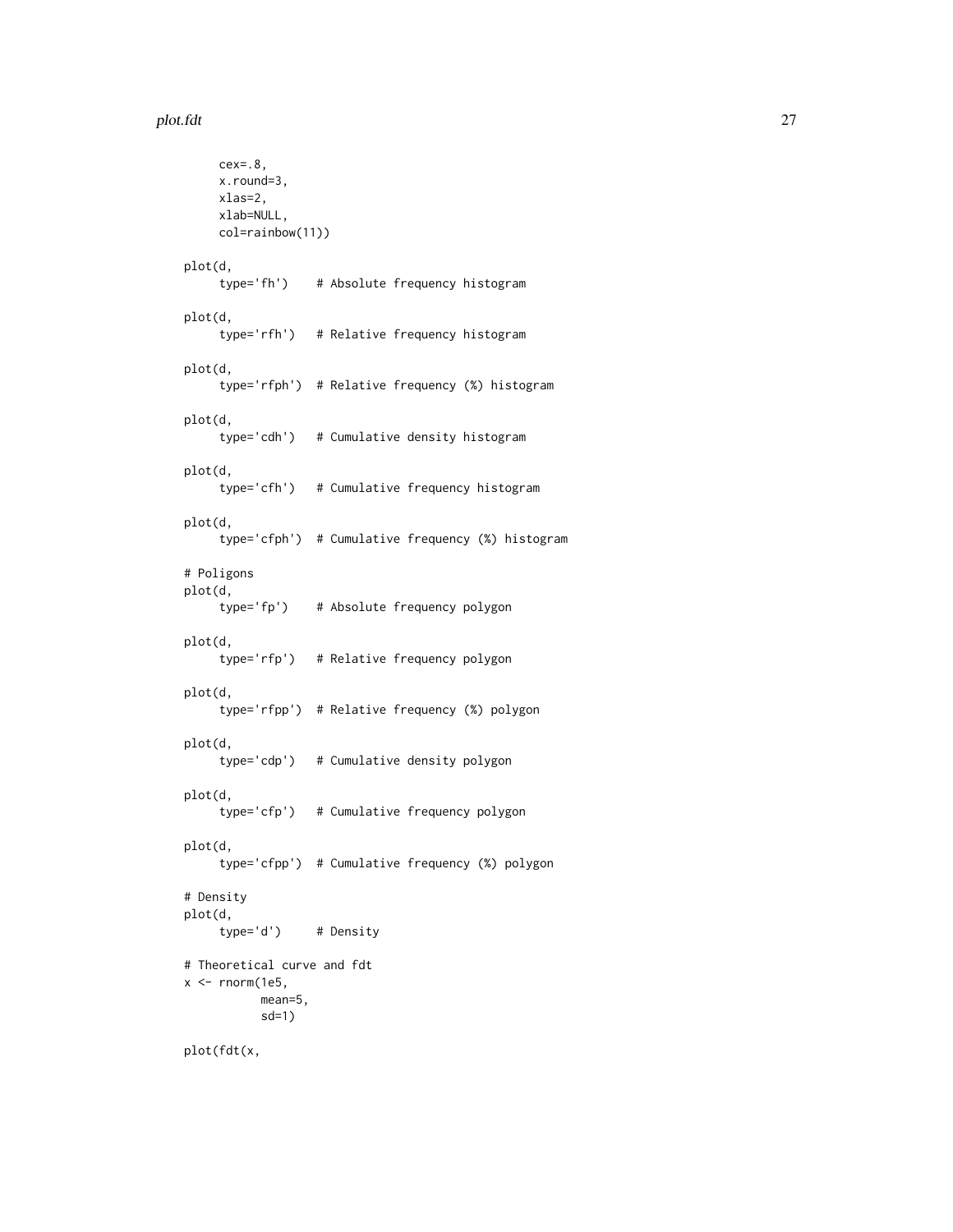#### plot.fdt 27

```
cex=.8,
    x.round=3,
    xlas=2,
    xlab=NULL,
    col=rainbow(11))
plot(d,
    type='fh') # Absolute frequency histogram
plot(d,
     type='rfh') # Relative frequency histogram
plot(d,
     type='rfph') # Relative frequency (%) histogram
plot(d,
     type='cdh') # Cumulative density histogram
plot(d,
    type='cfh') # Cumulative frequency histogram
plot(d,
     type='cfph') # Cumulative frequency (%) histogram
# Poligons
plot(d,
    type='fp') # Absolute frequency polygon
plot(d,
    type='rfp') # Relative frequency polygon
plot(d,
     type='rfpp') # Relative frequency (%) polygon
plot(d,
    type='cdp') # Cumulative density polygon
plot(d,
    type='cfp') # Cumulative frequency polygon
plot(d,
     type='cfpp') # Cumulative frequency (%) polygon
# Density
plot(d,
    type='d') # Density
# Theoretical curve and fdt
x < - rnorm(1e5,
          mean=5,
          sd=1)
plot(fdt(x,
```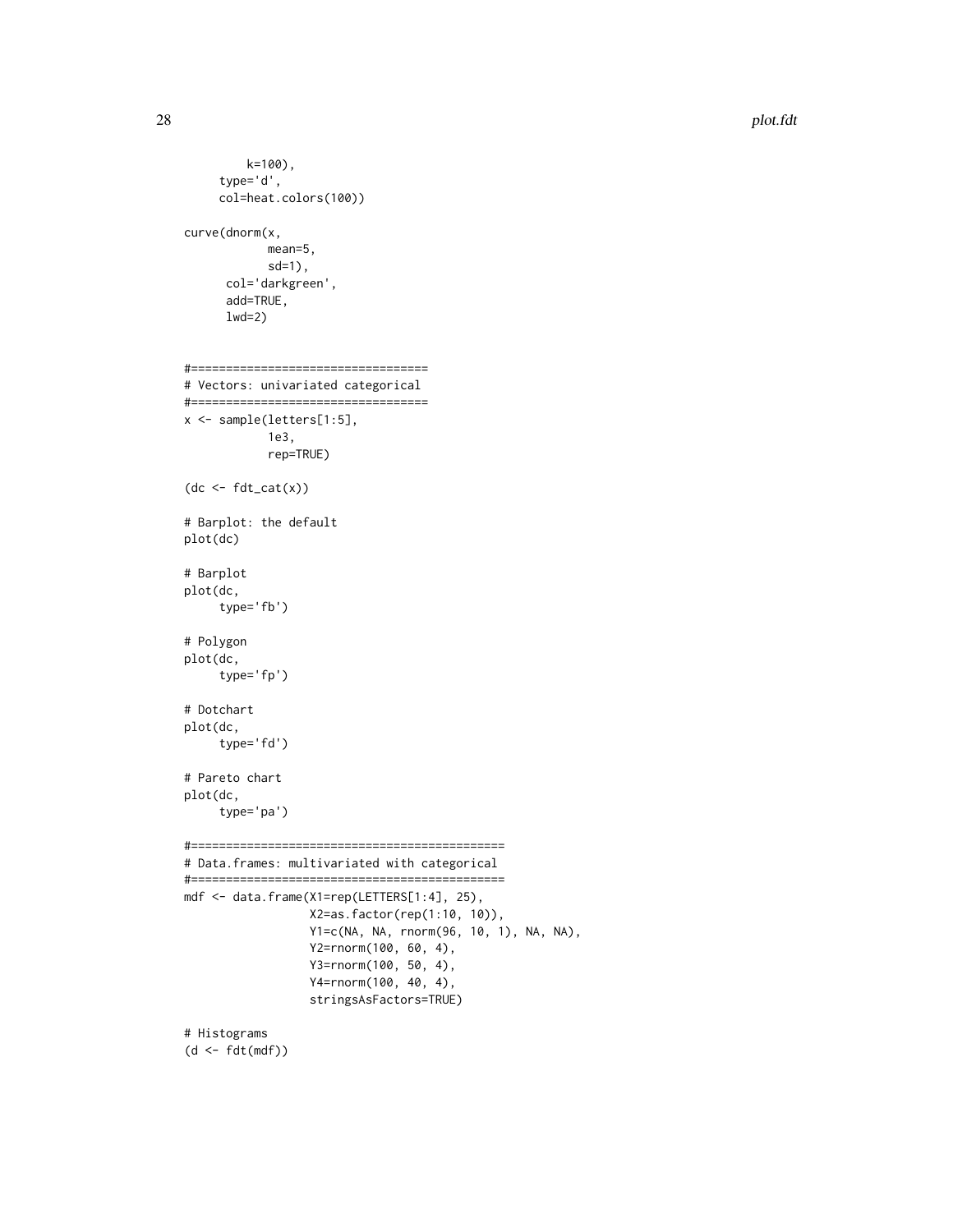```
k=100),
     type='d',
     col=heat.colors(100))
curve(dnorm(x,
            mean=5,
            sd=1),
      col='darkgreen',
      add=TRUE,
      lwd=2)
#==================================
# Vectors: univariated categorical
#==================================
x <- sample(letters[1:5],
            1e3,
            rep=TRUE)
(dc < - fdt_cat(x))# Barplot: the default
plot(dc)
# Barplot
plot(dc,
     type='fb')
# Polygon
plot(dc,
    type='fp')
# Dotchart
plot(dc,
     type='fd')
# Pareto chart
plot(dc,
     type='pa')
#=============================================
# Data.frames: multivariated with categorical
#=============================================
mdf <- data.frame(X1=rep(LETTERS[1:4], 25),
                  X2=as.factor(rep(1:10, 10)),
                  Y1=c(NA, NA, rnorm(96, 10, 1), NA, NA),
                  Y2=rnorm(100, 60, 4),
                  Y3=rnorm(100, 50, 4),
                  Y4=rnorm(100, 40, 4),
                  stringsAsFactors=TRUE)
# Histograms
```

```
(d <- fdt(mdf))
```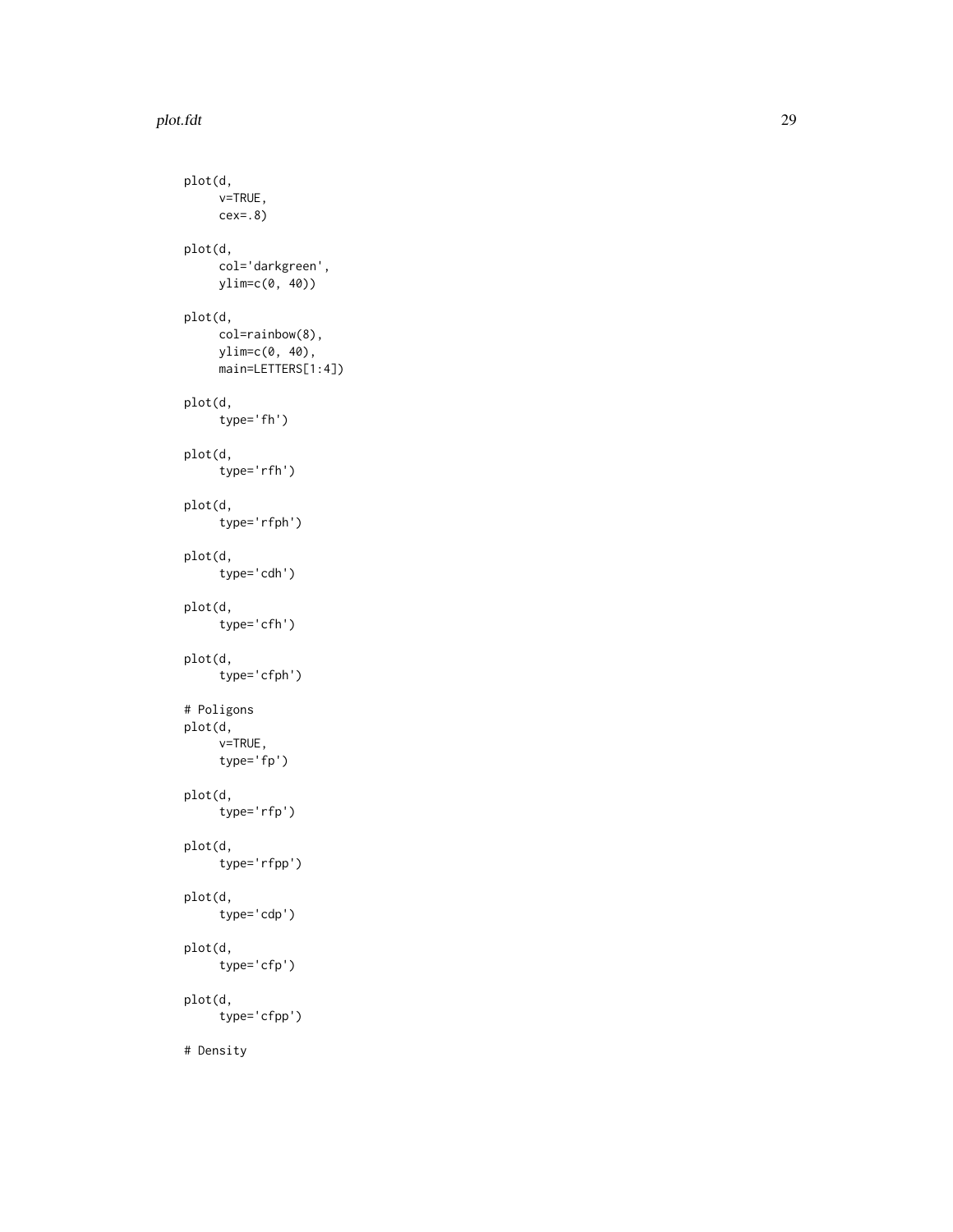#### plot.fdt 29

```
plot(d,
     v=TRUE,
    cex=.8)
plot(d,
    col='darkgreen',
    ylim=c(0, 40))
plot(d,
    col=rainbow(8),
    ylim=c(0, 40),
    main=LETTERS[1:4])
plot(d,
    type='fh')
plot(d,
     type='rfh')
plot(d,
     type='rfph')
plot(d,
    type='cdh')
plot(d,
     type='cfh')
plot(d,
    type='cfph')
# Poligons
plot(d,
    v=TRUE,
    type='fp')
plot(d,
    type='rfp')
plot(d,
     type='rfpp')
plot(d,
    type='cdp')
plot(d,
     type='cfp')
plot(d,
    type='cfpp')
# Density
```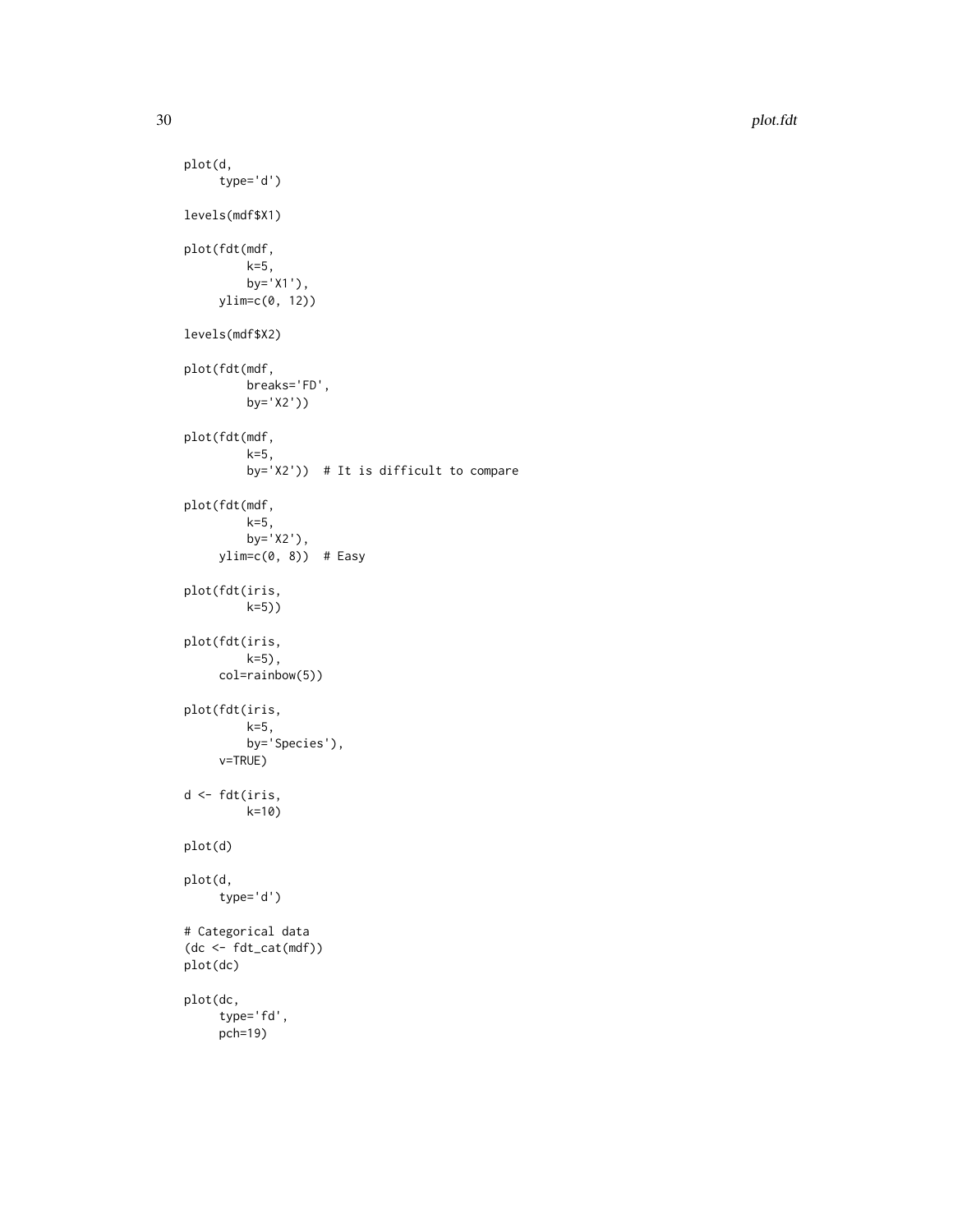```
plot(d,
    type='d')
levels(mdf$X1)
plot(fdt(mdf,
         k=5,
         by='X1'),
     ylim=c(0, 12))
levels(mdf$X2)
plot(fdt(mdf,
         breaks='FD',
         by='X2'))
plot(fdt(mdf,
         k=5,
         by='X2')) # It is difficult to compare
plot(fdt(mdf,
         k=5,
         by='X2'),
     ylim=c(0, 8)) # Easy
plot(fdt(iris,
        k=5))
plot(fdt(iris,
         k=5),
     col=rainbow(5))
plot(fdt(iris,
         k=5,
         by='Species'),
     v=TRUE)
d <- fdt(iris,
        k=10)
plot(d)
plot(d,
     type='d')
# Categorical data
(dc <- fdt_cat(mdf))
plot(dc)
plot(dc,
     type='fd',
     pch=19)
```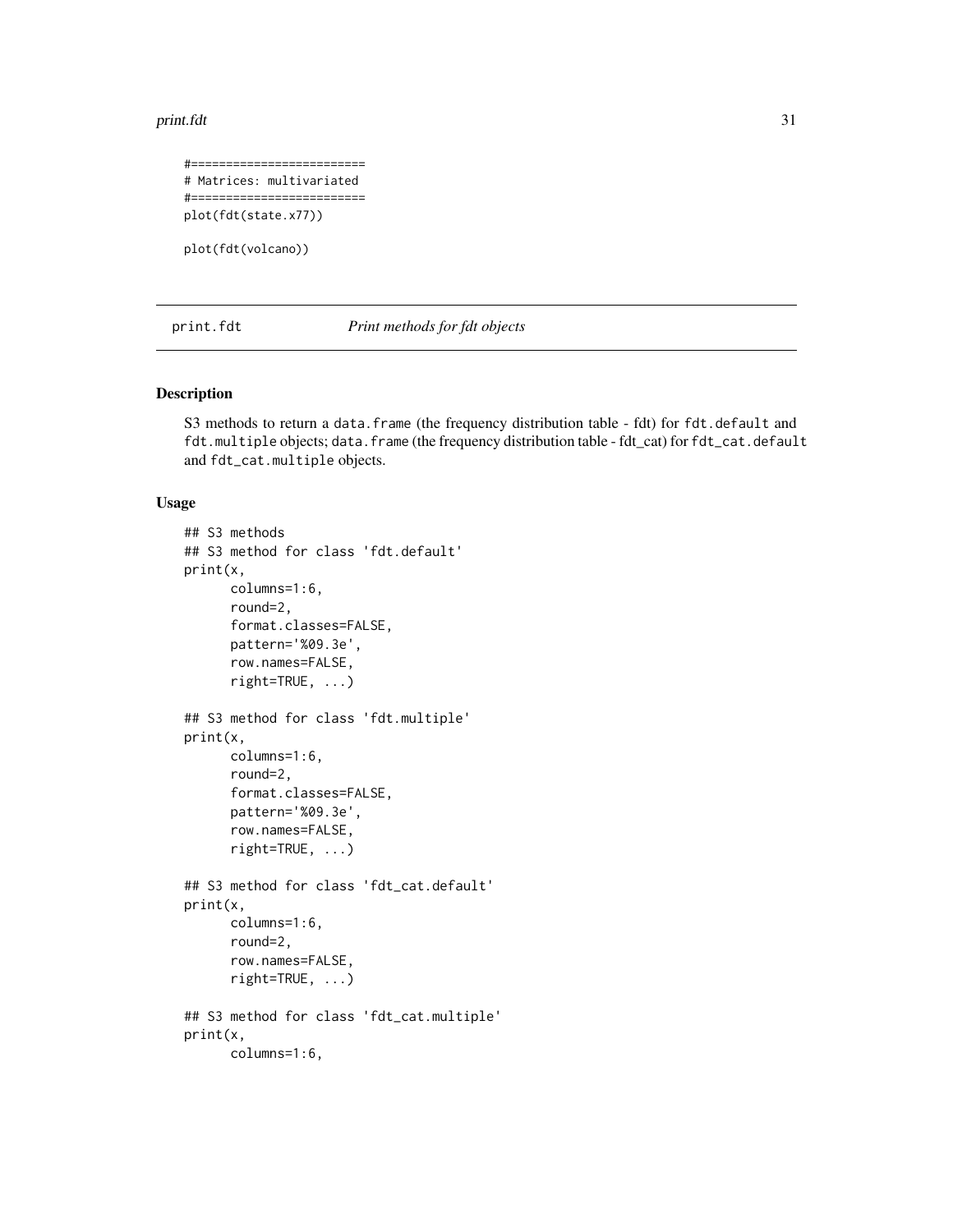<span id="page-30-0"></span>print.fdt 31

```
#=========================
# Matrices: multivariated
#=========================
plot(fdt(state.x77))
```
plot(fdt(volcano))

print.fdt *Print methods for fdt objects*

# Description

S3 methods to return a data.frame (the frequency distribution table - fdt) for fdt.default and fdt.multiple objects; data.frame (the frequency distribution table - fdt\_cat) for fdt\_cat.default and fdt\_cat.multiple objects.

#### Usage

```
## S3 methods
## S3 method for class 'fdt.default'
print(x,
      columns=1:6,
      round=2,
      format.classes=FALSE,
      pattern='%09.3e',
      row.names=FALSE,
      right=TRUE, ...)
## S3 method for class 'fdt.multiple'
print(x,
      columns=1:6,
      round=2,
      format.classes=FALSE,
      pattern='%09.3e',
      row.names=FALSE,
      right=TRUE, ...)
## S3 method for class 'fdt_cat.default'
print(x,
      columns=1:6,
      round=2,
      row.names=FALSE,
      right=TRUE, ...)
## S3 method for class 'fdt_cat.multiple'
print(x,
      columns=1:6,
```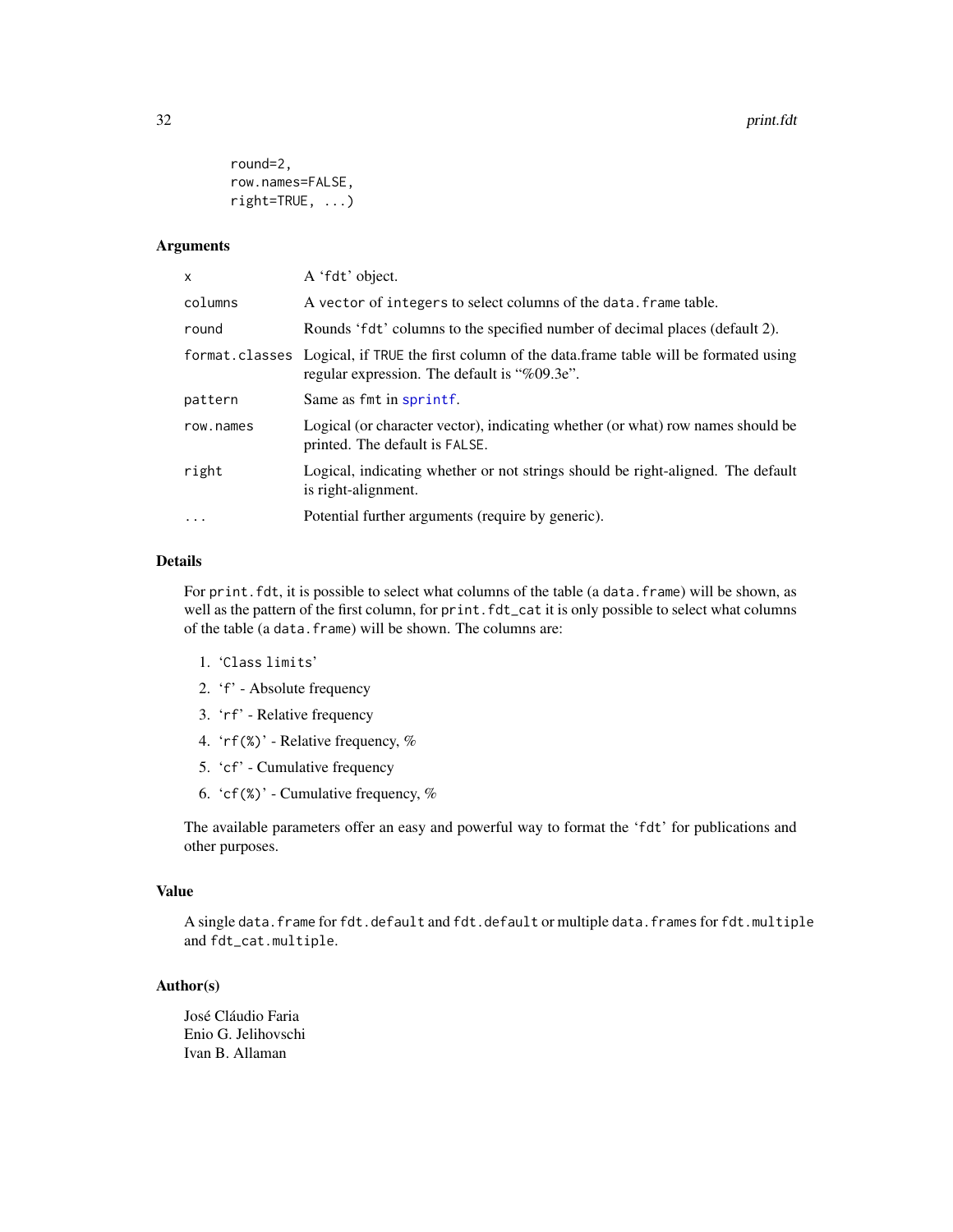```
round=2,
row.names=FALSE,
right=TRUE, ...)
```
#### Arguments

| X         | A 'fdt' object.                                                                                                                                 |
|-----------|-------------------------------------------------------------------------------------------------------------------------------------------------|
| columns   | A vector of integers to select columns of the data. frame table.                                                                                |
| round     | Rounds 'fdt' columns to the specified number of decimal places (default 2).                                                                     |
|           | format.classes Logical, if TRUE the first column of the data.frame table will be formated using<br>regular expression. The default is "%09.3e". |
| pattern   | Same as fmt in sprintf.                                                                                                                         |
| row.names | Logical (or character vector), indicating whether (or what) row names should be<br>printed. The default is FALSE.                               |
| right     | Logical, indicating whether or not strings should be right-aligned. The default<br>is right-alignment.                                          |
| $\ddotsc$ | Potential further arguments (require by generic).                                                                                               |
|           |                                                                                                                                                 |

#### Details

For print. fdt, it is possible to select what columns of the table (a data. frame) will be shown, as well as the pattern of the first column, for print.fdt\_cat it is only possible to select what columns of the table (a data.frame) will be shown. The columns are:

- 1. 'Class limits'
- 2. 'f' Absolute frequency
- 3. 'rf' Relative frequency
- 4. 'rf(%)' Relative frequency, %
- 5. 'cf' Cumulative frequency
- 6. 'cf $(\%)$ ' Cumulative frequency, %

The available parameters offer an easy and powerful way to format the 'fdt' for publications and other purposes.

#### Value

A single data.frame for fdt.default and fdt.default or multiple data.frames for fdt.multiple and fdt\_cat.multiple.

#### Author(s)

José Cláudio Faria Enio G. Jelihovschi Ivan B. Allaman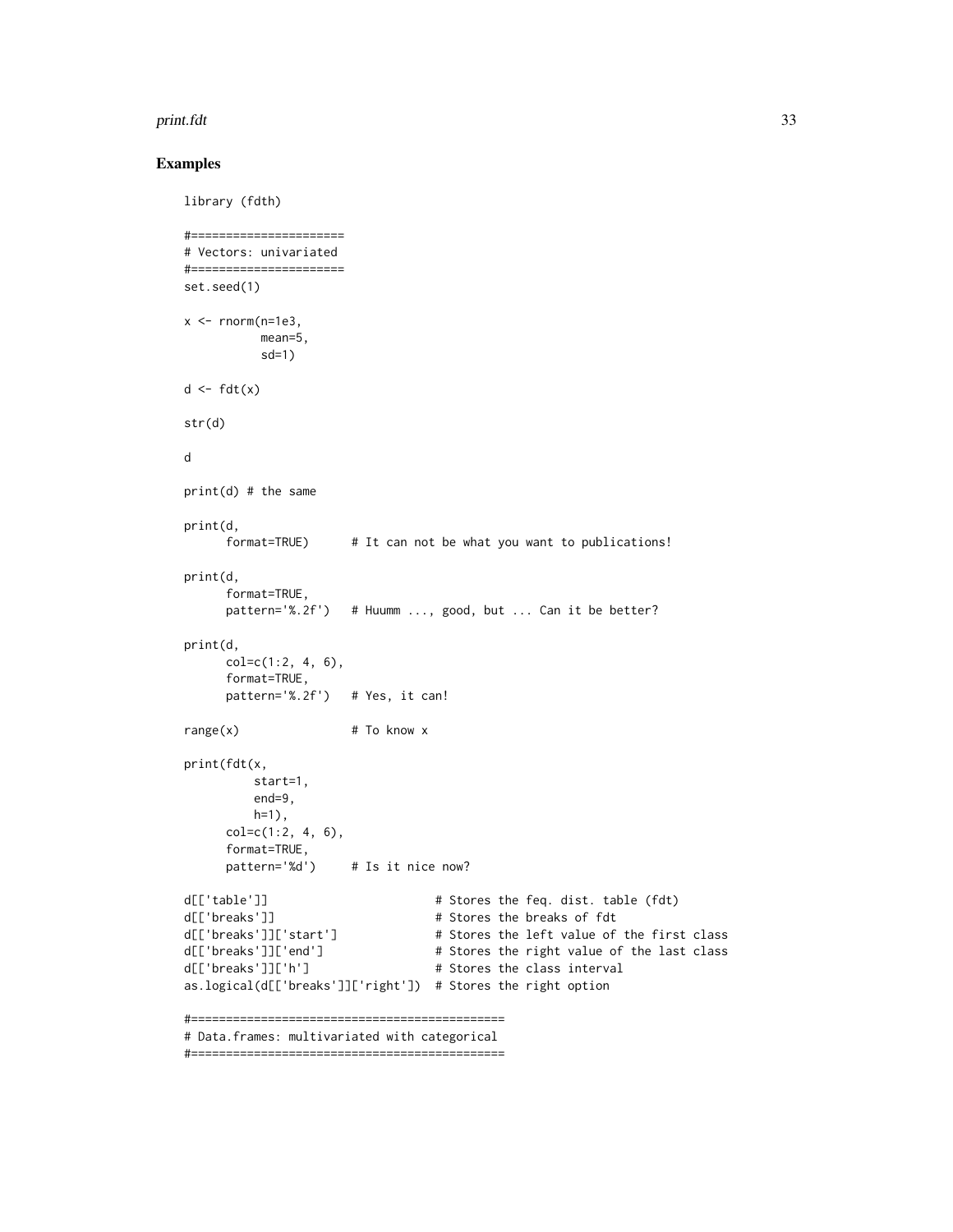#### print.fdt 33

#### Examples

```
library (fdth)
#======================
# Vectors: univariated
#======================
set.seed(1)
x <- rnorm(n=1e3),
         mean=5,
          sd=1)
d \leftarrow fdt(x)str(d)
d
print(d) # the same
print(d,
     format=TRUE) # It can not be what you want to publications!
print(d,
     format=TRUE,
     pattern='%.2f') # Huumm ..., good, but ... Can it be better?
print(d,
     col=c(1:2, 4, 6),format=TRUE,
     pattern='%.2f') # Yes, it can!
range(x) # To know x
print(fdt(x,
         start=1,
        end=9,
        h=1),
     col=c(1:2, 4, 6),format=TRUE,
     pattern='%d') # Is it nice now?
d[['table']] # Stores the feq. dist. table (fdt)
d[['breaks']] # Stores the breaks of fdt
d[['breaks']]['start'] # Stores the left value of the first class
d[['breaks']]['end'] # Stores the right value of the last class
d[['breaks']]['h'] # Stores the class interval
as.logical(d[['breaks']]['right']) # Stores the right option
#=============================================
# Data.frames: multivariated with categorical
```
#=============================================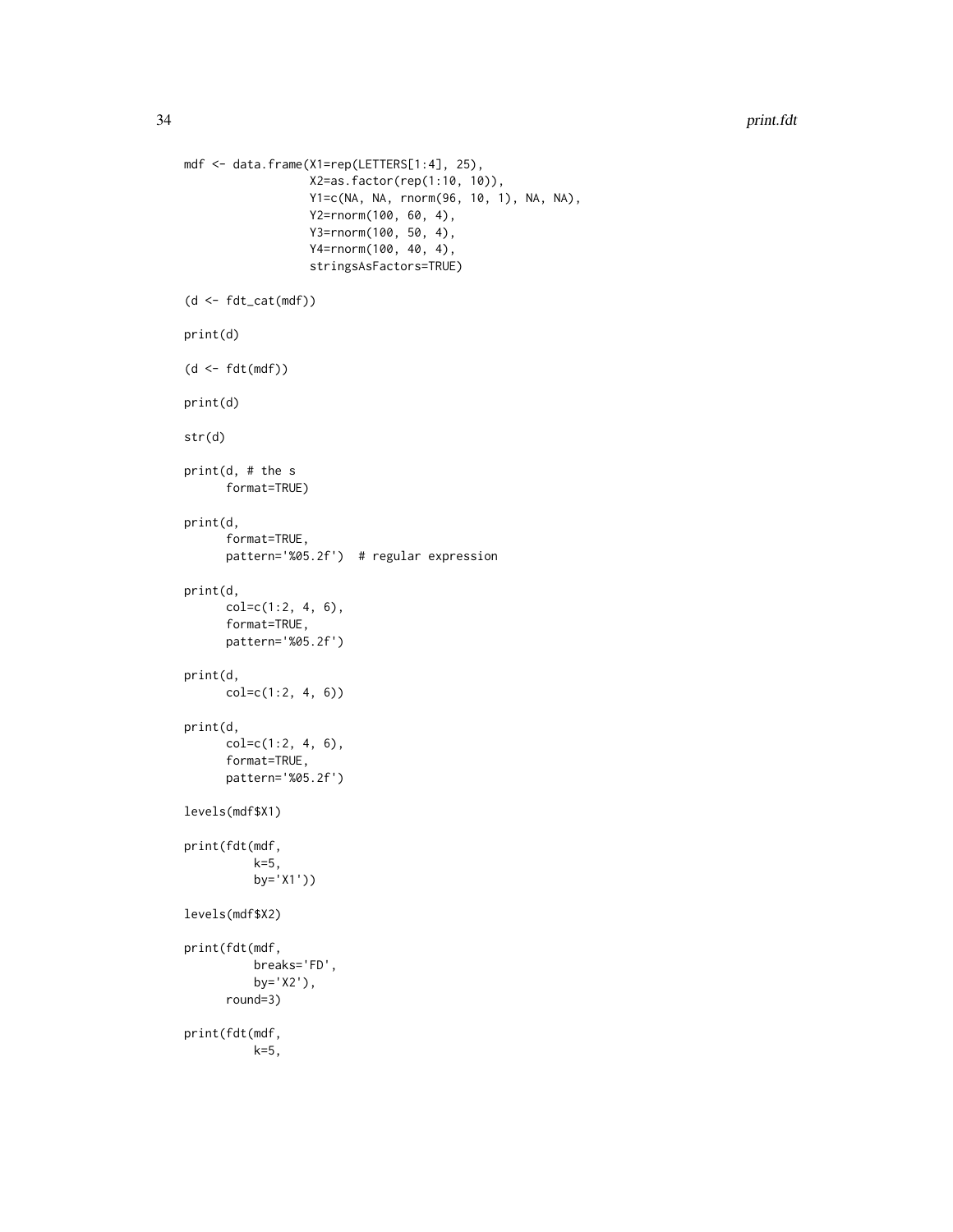```
mdf <- data.frame(X1=rep(LETTERS[1:4], 25),
                  X2=as.factor(rep(1:10, 10)),
                  Y1=c(NA, NA, rnorm(96, 10, 1), NA, NA),
                  Y2=rnorm(100, 60, 4),
                  Y3=rnorm(100, 50, 4),
                  Y4=rnorm(100, 40, 4),
                  stringsAsFactors=TRUE)
(d \leftarrow fdt_{cat}(mdf))print(d)
(d <- fdt(mdf))
print(d)
str(d)
print(d, # the s
      format=TRUE)
print(d,
      format=TRUE,
      pattern='%05.2f') # regular expression
print(d,
      col=c(1:2, 4, 6),
      format=TRUE,
      pattern='%05.2f')
print(d,
      col=c(1:2, 4, 6))
print(d,
      col=c(1:2, 4, 6),
      format=TRUE,
      pattern='%05.2f')
levels(mdf$X1)
print(fdt(mdf,
          k=5,
          by='X1'))
levels(mdf$X2)
print(fdt(mdf,
          breaks='FD',
          by='X2'),
      round=3)
print(fdt(mdf,
          k=5,
```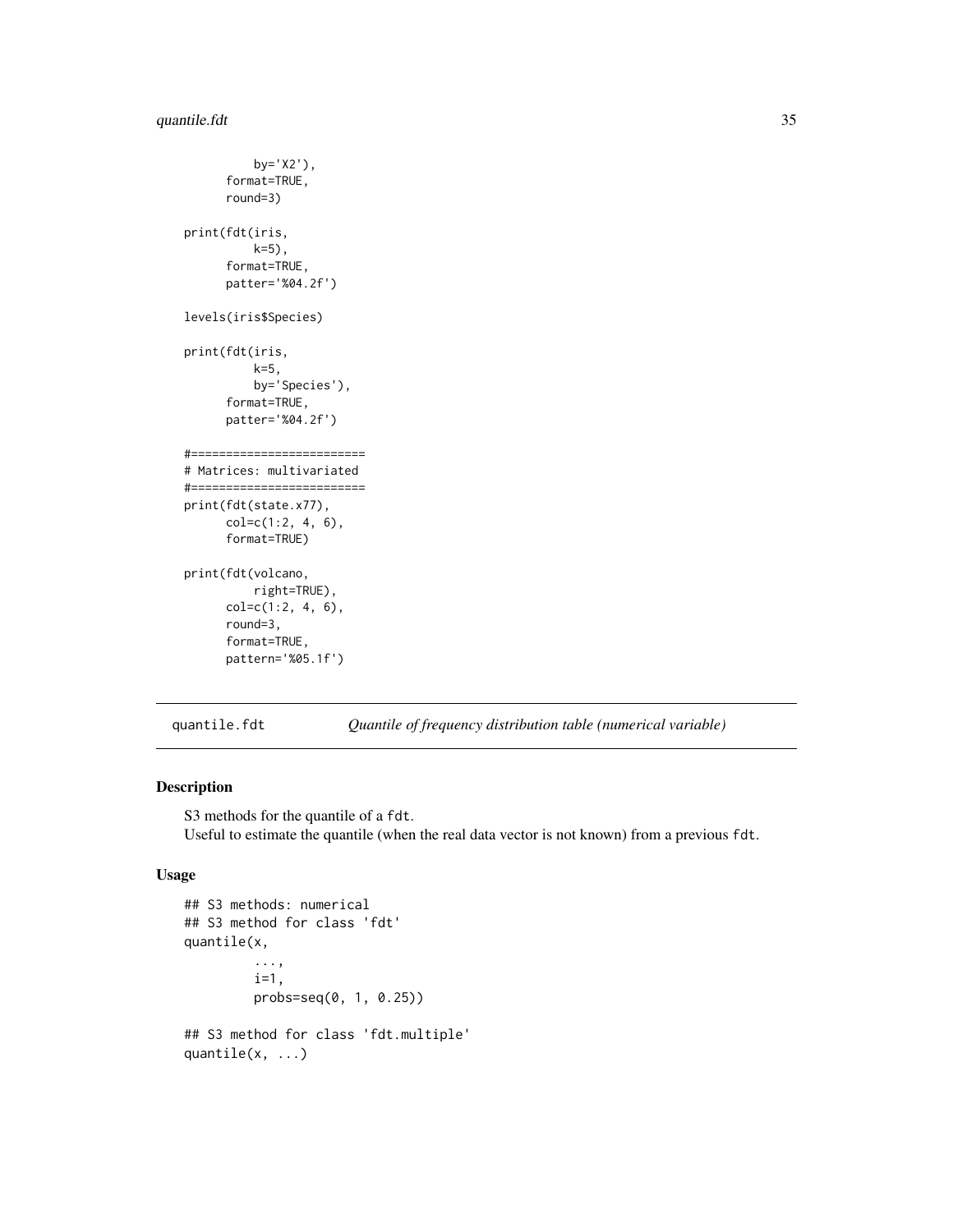```
by='X2'),
      format=TRUE,
      round=3)
print(fdt(iris,
          k=5),
      format=TRUE,
      patter='%04.2f')
levels(iris$Species)
print(fdt(iris,
          k=5,
          by='Species'),
      format=TRUE,
      patter='%04.2f')
#=========================
# Matrices: multivariated
#=========================
print(fdt(state.x77),
      col=c(1:2, 4, 6),
      format=TRUE)
print(fdt(volcano,
          right=TRUE),
      col=c(1:2, 4, 6),
      round=3,
      format=TRUE,
      pattern='%05.1f')
```
quantile.fdt *Quantile of frequency distribution table (numerical variable)*

# Description

S3 methods for the quantile of a fdt. Useful to estimate the quantile (when the real data vector is not known) from a previous fdt.

#### Usage

```
## S3 methods: numerical
## S3 method for class 'fdt'
quantile(x,
         ...,
         i=1,
         probs=seq(0, 1, 0.25))
## S3 method for class 'fdt.multiple'
quantile(x, ...)
```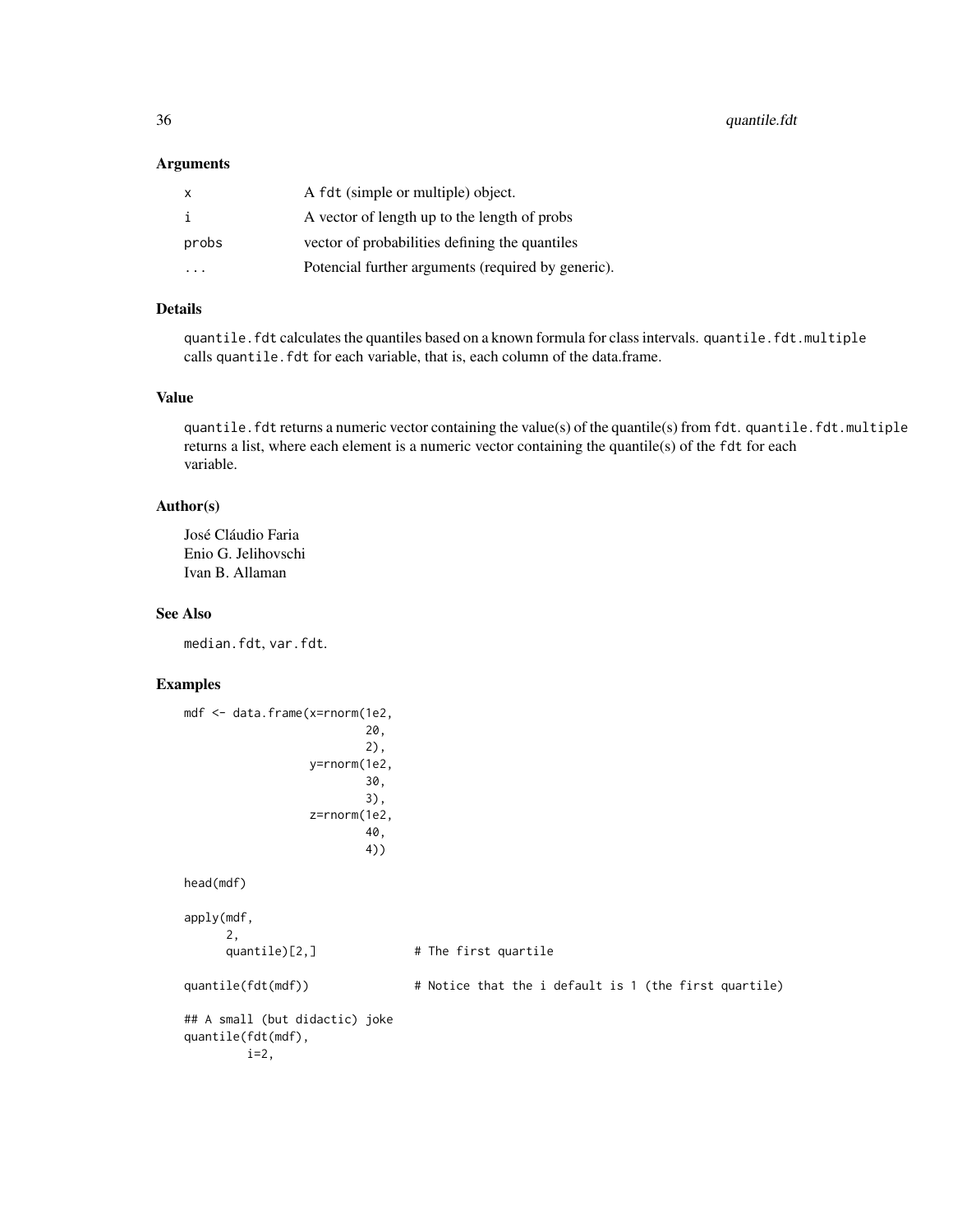#### Arguments

| X       | A fdt (simple or multiple) object.                 |
|---------|----------------------------------------------------|
|         | A vector of length up to the length of probs       |
| probs   | vector of probabilities defining the quantiles     |
| $\cdot$ | Potencial further arguments (required by generic). |

#### Details

quantile.fdt calculates the quantiles based on a known formula for class intervals. quantile.fdt.multiple calls quantile. fdt for each variable, that is, each column of the data.frame.

#### Value

quantile.fdt returns a numeric vector containing the value(s) of the quantile(s) from fdt. quantile.fdt.multiple returns a list, where each element is a numeric vector containing the quantile(s) of the fdt for each variable.

# Author(s)

José Cláudio Faria Enio G. Jelihovschi Ivan B. Allaman

#### See Also

median.fdt, var.fdt.

#### Examples

```
mdf <- data.frame(x=rnorm(1e2,
                        20,
                        2),
                y=rnorm(1e2,
                        30,
                        3),
                z=rnorm(1e2,
                        40,
                        4))
head(mdf)
apply(mdf,
     2,
     quantile)[2,] # The first quartile
quantile(fdt(mdf)) # Notice that the i default is 1 (the first quartile)
## A small (but didactic) joke
quantile(fdt(mdf),
        i=2,
```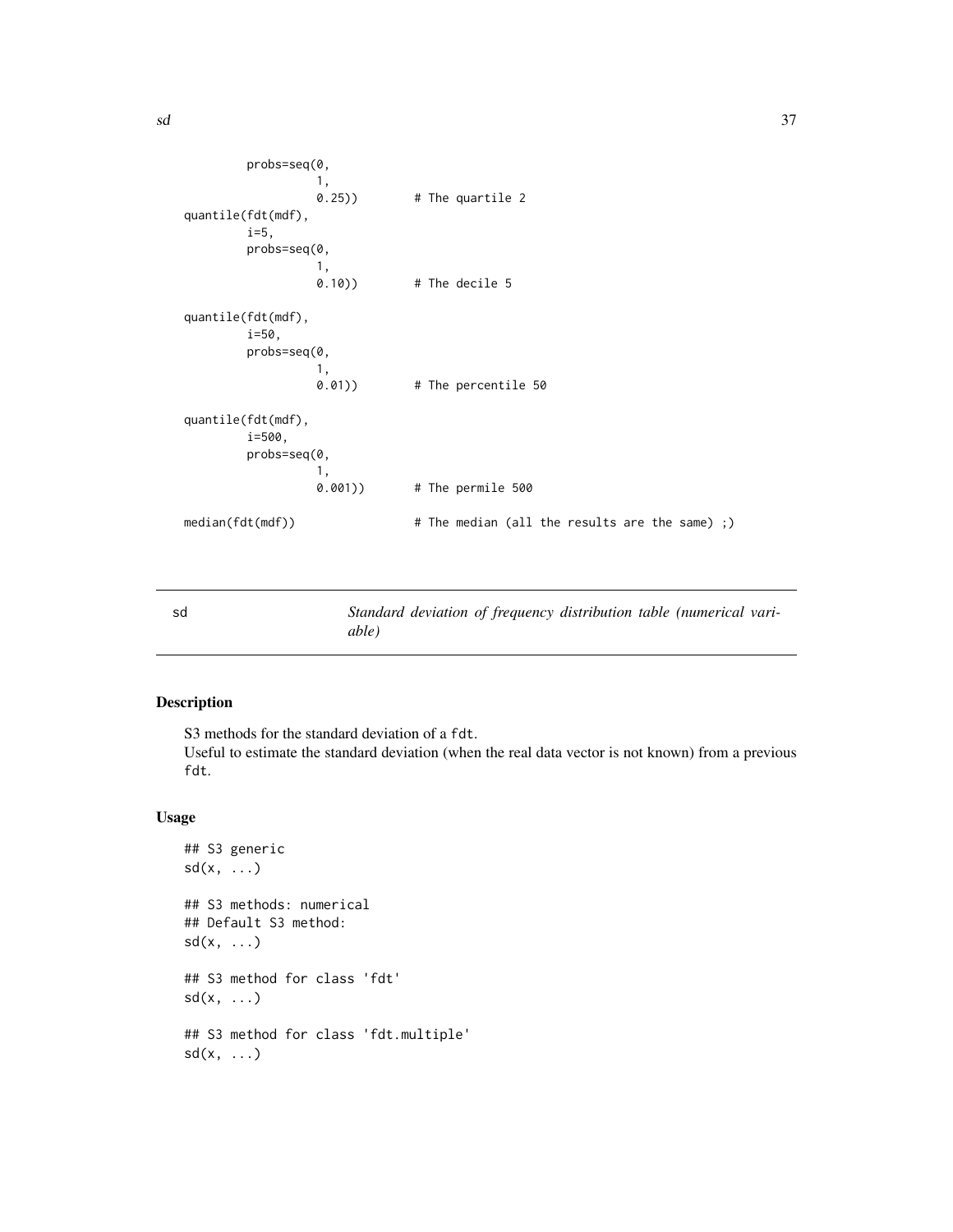```
probs=seq(0,
                  1,
                  0.25)) # The quartile 2
quantile(fdt(mdf),
         i=5,
        probs=seq(0,
                  1, 0.10)# The decile 5
quantile(fdt(mdf),
         i=50,
        probs=seq(0,
                  1,<br>0.01))
                                # The percentile 50
quantile(fdt(mdf),
        i=500,
        probs=seq(0,
                  1,<br>0.001))
                                # The permile 500
median(fdt(mdf)) \# The median (all the results are the same) ;)
```
sd *Standard deviation of frequency distribution table (numerical variable)*

#### Description

S3 methods for the standard deviation of a fdt.

Useful to estimate the standard deviation (when the real data vector is not known) from a previous fdt.

#### Usage

```
## S3 generic
sd(x, \ldots)## S3 methods: numerical
## Default S3 method:
sd(x, \ldots)## S3 method for class 'fdt'
sd(x, \ldots)## S3 method for class 'fdt.multiple'
sd(x, \ldots)
```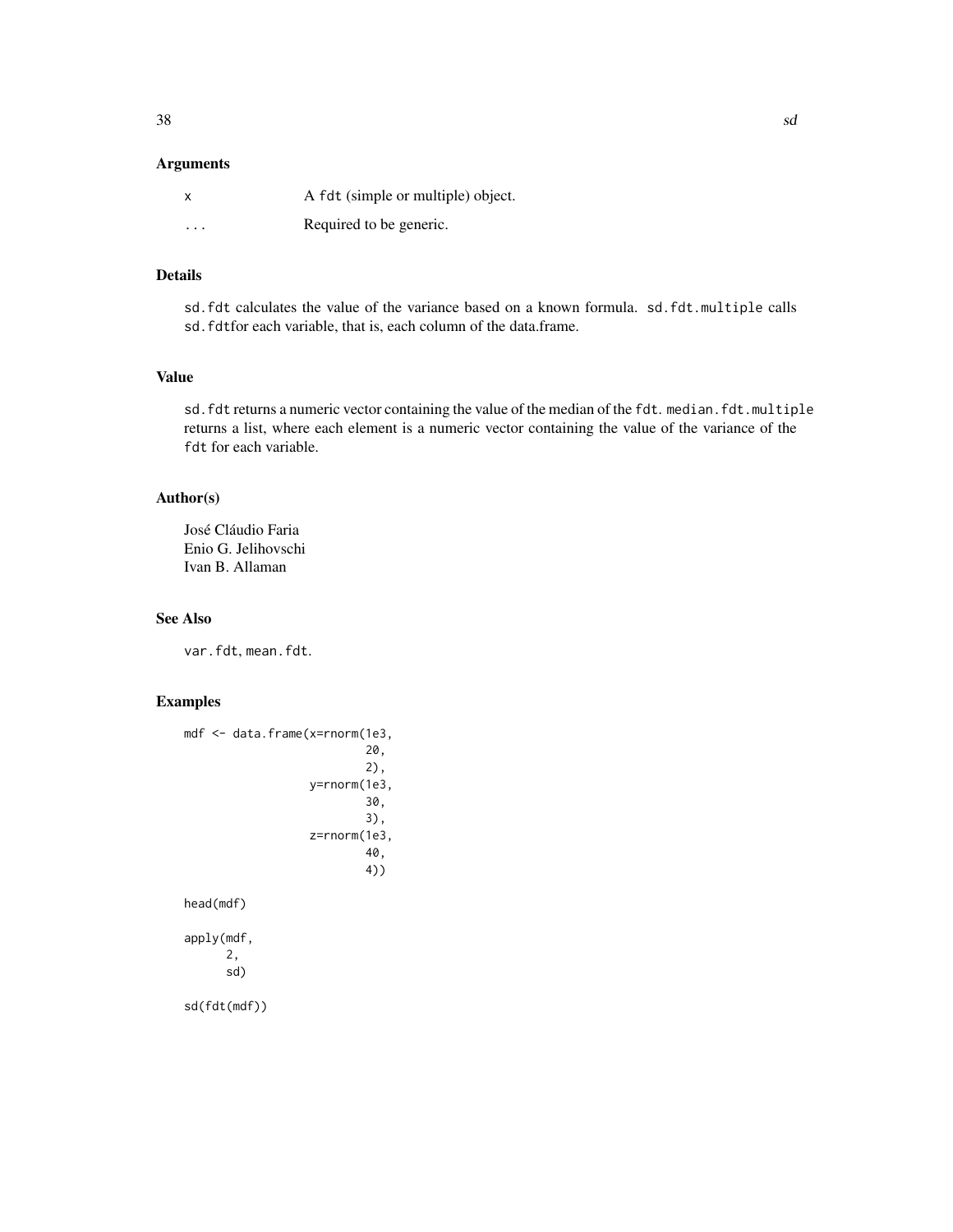#### Arguments

|         | A fdt (simple or multiple) object. |
|---------|------------------------------------|
| $\cdot$ | Required to be generic.            |

# Details

sd.fdt calculates the value of the variance based on a known formula. sd.fdt.multiple calls sd.fdtfor each variable, that is, each column of the data.frame.

# Value

sd.fdt returns a numeric vector containing the value of the median of the fdt.median.fdt.multiple returns a list, where each element is a numeric vector containing the value of the variance of the fdt for each variable.

# Author(s)

José Cláudio Faria Enio G. Jelihovschi Ivan B. Allaman

#### See Also

var.fdt, mean.fdt.

# Examples

```
mdf <- data.frame(x=rnorm(1e3,
                           20,
                           2),
                   y=rnorm(1e3,
                           30,
                           3),
                   z=rnorm(1e3,
                           40,
                           4))
head(mdf)
apply(mdf,
      2,
```
sd)

sd(fdt(mdf))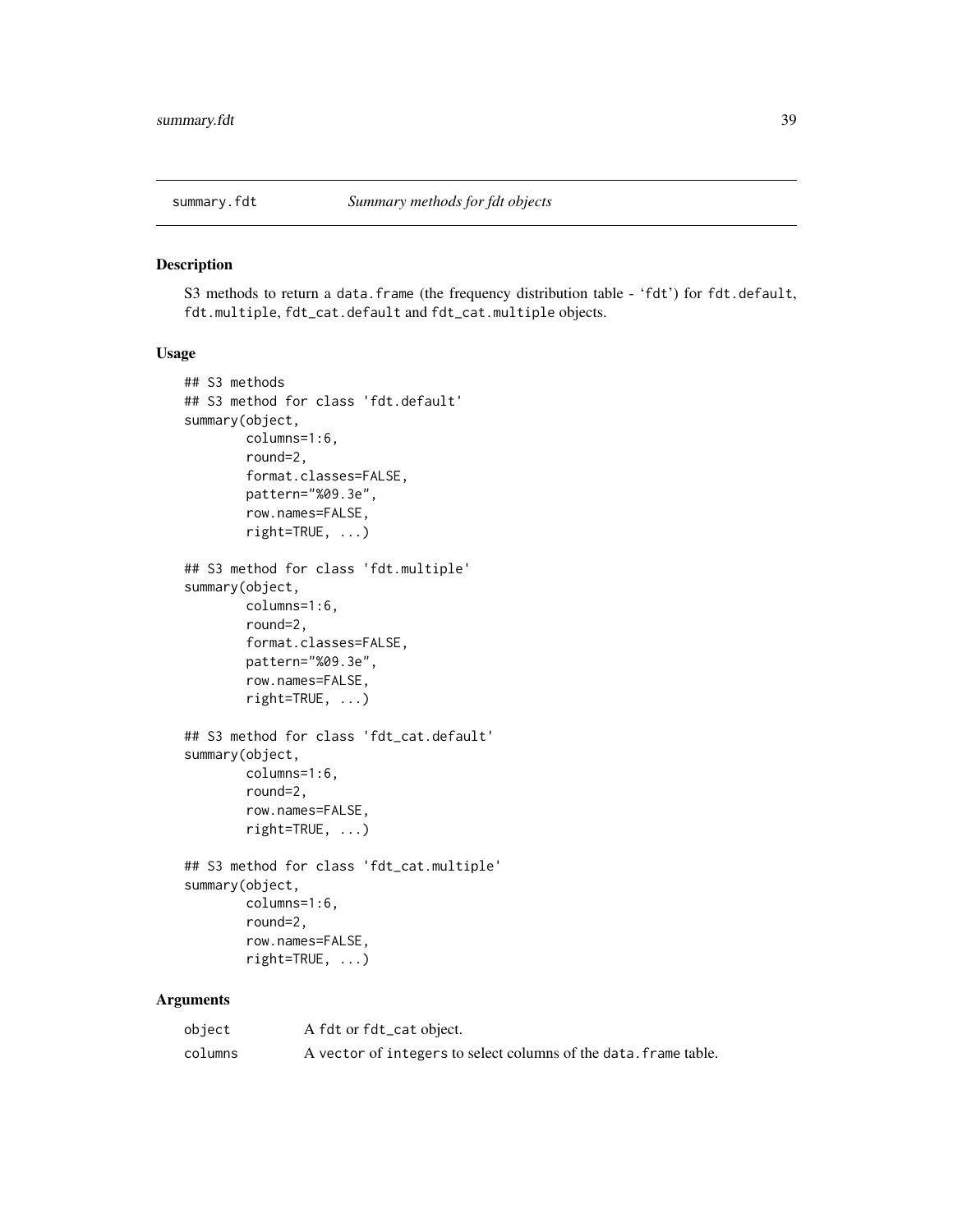<span id="page-38-0"></span>

# Description

S3 methods to return a data.frame (the frequency distribution table - 'fdt') for fdt.default, fdt.multiple, fdt\_cat.default and fdt\_cat.multiple objects.

#### Usage

```
## S3 methods
## S3 method for class 'fdt.default'
summary(object,
        columns=1:6,
        round=2,
        format.classes=FALSE,
        pattern="%09.3e",
        row.names=FALSE,
        right=TRUE, ...)
## S3 method for class 'fdt.multiple'
summary(object,
        columns=1:6,
        round=2,
        format.classes=FALSE,
        pattern="%09.3e",
        row.names=FALSE,
        right=TRUE, ...)
## S3 method for class 'fdt_cat.default'
summary(object,
        columns=1:6,
        round=2,
        row.names=FALSE,
        right=TRUE, ...)
## S3 method for class 'fdt_cat.multiple'
summary(object,
        columns=1:6,
        round=2,
        row.names=FALSE,
        right=TRUE, ...)
```
#### Arguments

| object  | A fdt or fdt_cat object.                                         |
|---------|------------------------------------------------------------------|
| columns | A vector of integers to select columns of the data. frame table. |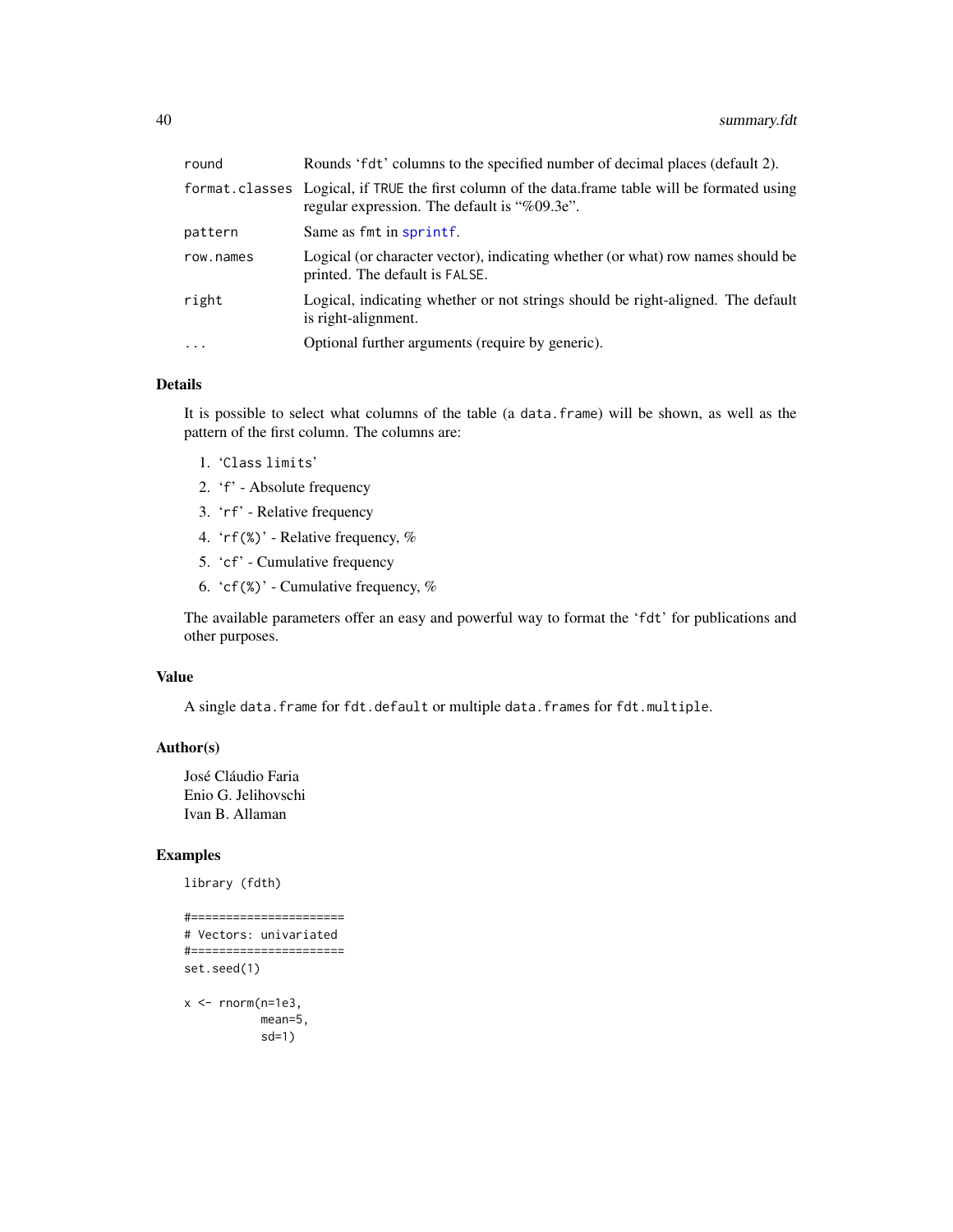<span id="page-39-0"></span>

| round     | Rounds 'fdt' columns to the specified number of decimal places (default 2).                                                                     |
|-----------|-------------------------------------------------------------------------------------------------------------------------------------------------|
|           | format.classes Logical, if TRUE the first column of the data.frame table will be formated using<br>regular expression. The default is "%09.3e". |
| pattern   | Same as fmt in sprintf.                                                                                                                         |
| row.names | Logical (or character vector), indicating whether (or what) row names should be<br>printed. The default is FALSE.                               |
| right     | Logical, indicating whether or not strings should be right-aligned. The default<br>is right-alignment.                                          |
| $\cdots$  | Optional further arguments (require by generic).                                                                                                |
|           |                                                                                                                                                 |

# Details

It is possible to select what columns of the table (a data.frame) will be shown, as well as the pattern of the first column. The columns are:

- 1. 'Class limits'
- 2. 'f' Absolute frequency
- 3. 'rf' Relative frequency
- 4. 'rf(%)' Relative frequency, %
- 5. 'cf' Cumulative frequency
- 6. 'cf(%)' Cumulative frequency,  $%$

The available parameters offer an easy and powerful way to format the 'fdt' for publications and other purposes.

#### Value

A single data.frame for fdt.default or multiple data.frames for fdt.multiple.

#### Author(s)

José Cláudio Faria Enio G. Jelihovschi Ivan B. Allaman

# Examples

library (fdth)

```
#======================
# Vectors: univariated
#======================
set.seed(1)
x <- rnorm(n=1e3,mean=5,
           sd=1)
```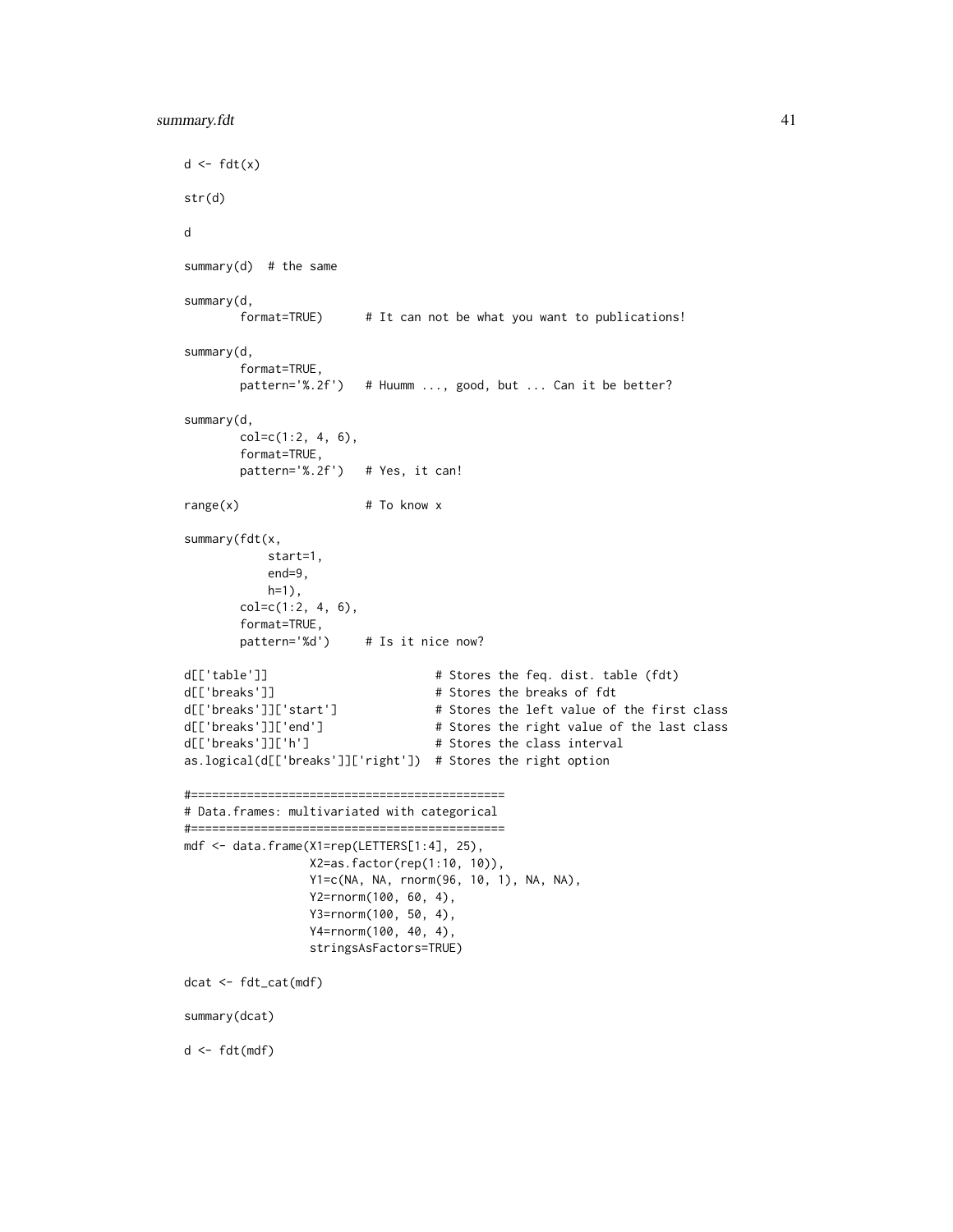```
d \leftarrow fdt(x)str(d)
d
summary(d) # the same
summary(d,
       format=TRUE) # It can not be what you want to publications!
summary(d,
       format=TRUE,
       pattern='%.2f') # Huumm ..., good, but ... Can it be better?
summary(d,
       col=c(1:2, 4, 6),
       format=TRUE,
       pattern='%.2f') # Yes, it can!
range(x) # To know x
summary(fdt(x,
           start=1,
           end=9,
           h=1),
       col=c(1:2, 4, 6),format=TRUE,
       pattern='%d') # Is it nice now?
d[['table']] # Stores the feq. dist. table (fdt)
d[['breaks']] # Stores the breaks of fdt
d[['breaks']]['start'] # Stores the left value of the first class
d[['breaks']]['end'] # Stores the right value of the last class
d[['breaks']]['h'] # Stores the class interval
as.logical(d[['breaks']]['right']) # Stores the right option
#=============================================
# Data.frames: multivariated with categorical
#=============================================
mdf <- data.frame(X1=rep(LETTERS[1:4], 25),
                X2=as.factor(rep(1:10, 10)),
                Y1=c(NA, NA, rnorm(96, 10, 1), NA, NA),
                Y2=rnorm(100, 60, 4),
                Y3=rnorm(100, 50, 4),
                Y4=rnorm(100, 40, 4),
                stringsAsFactors=TRUE)
dcat <- fdt_cat(mdf)
summary(dcat)
d <- fdt(mdf)
```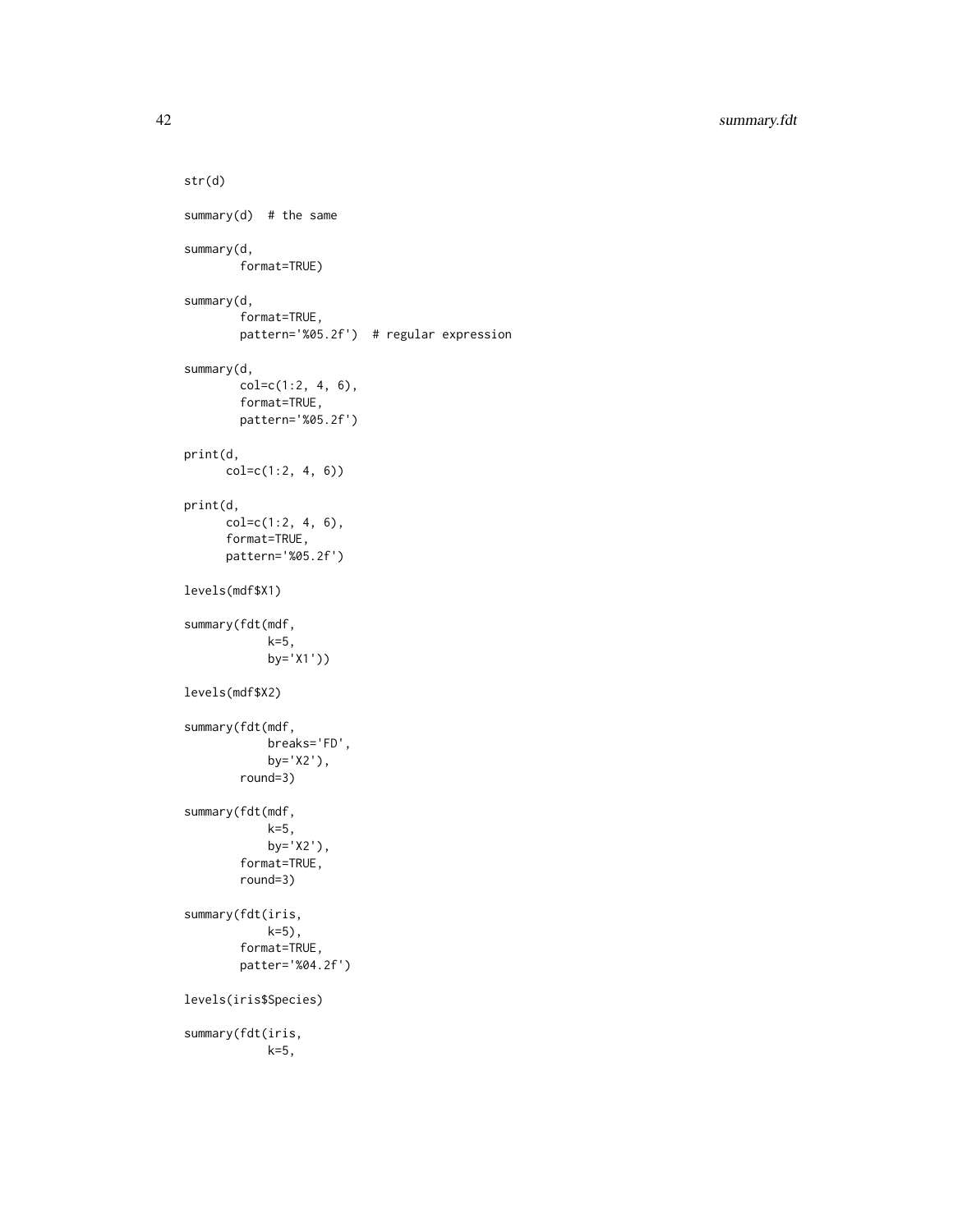```
str(d)
summary(d) # the same
summary(d,
       format=TRUE)
summary(d,
       format=TRUE,
       pattern='%05.2f') # regular expression
summary(d,
       col=c(1:2, 4, 6),format=TRUE,
       pattern='%05.2f')
print(d,
     col=c(1:2, 4, 6))
print(d,
     col=c(1:2, 4, 6),
      format=TRUE,
      pattern='%05.2f')
levels(mdf$X1)
summary(fdt(mdf,
           k=5,
            by='X1'))
levels(mdf$X2)
summary(fdt(mdf,
           breaks='FD',
           by='X2'),
       round=3)
summary(fdt(mdf,
            k=5,
            by='X2'),
       format=TRUE,
       round=3)
summary(fdt(iris,
            k=5),
       format=TRUE,
       patter='%04.2f')
levels(iris$Species)
summary(fdt(iris,
            k=5,
```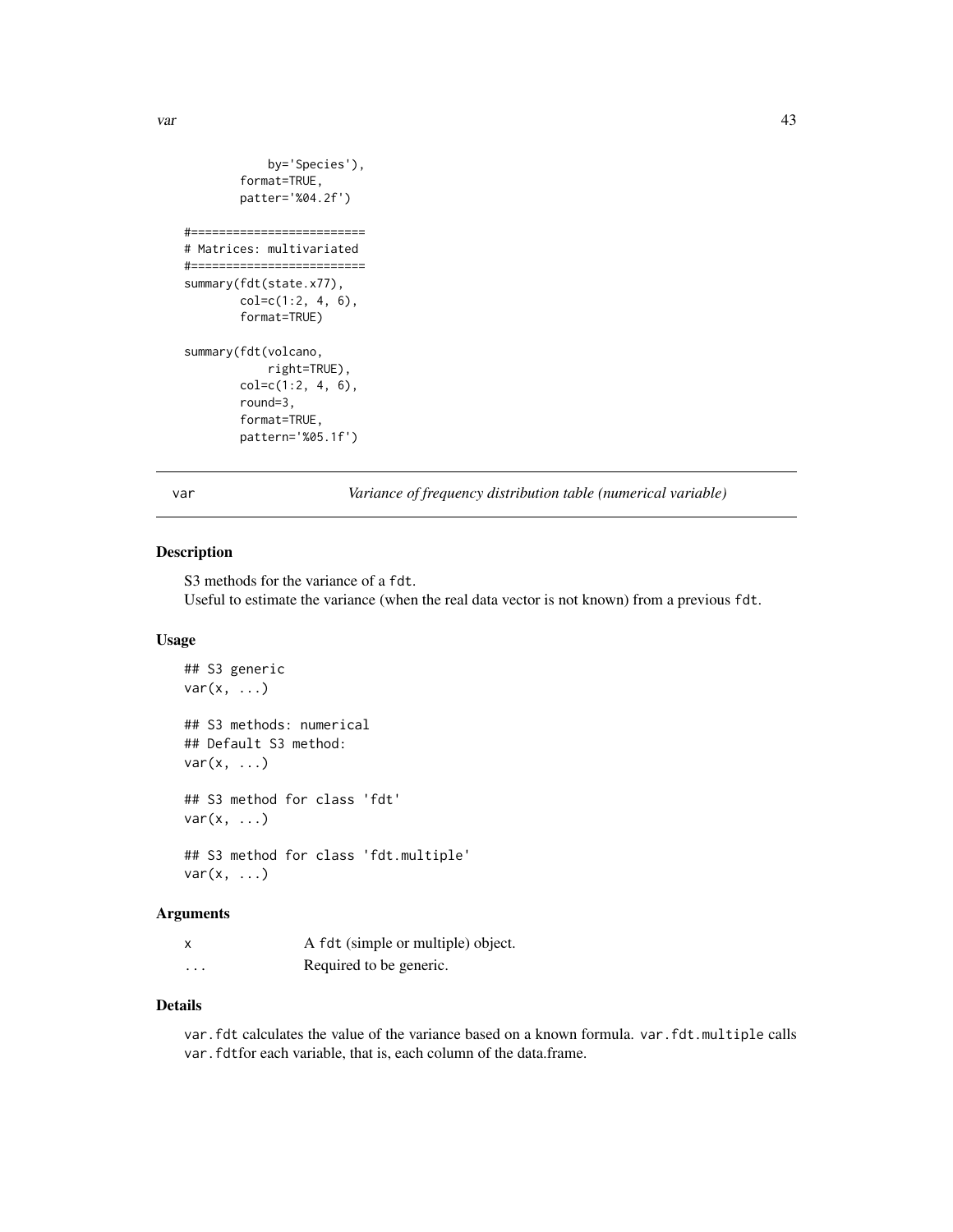```
by='Species'),
        format=TRUE,
        patter='%04.2f')
#=========================
# Matrices: multivariated
#=========================
summary(fdt(state.x77),
       col=c(1:2, 4, 6),format=TRUE)
summary(fdt(volcano,
            right=TRUE),
```

```
col=c(1:2, 4, 6),round=3,
format=TRUE,
pattern='%05.1f')
```
var *Variance of frequency distribution table (numerical variable)*

# Description

S3 methods for the variance of a fdt. Useful to estimate the variance (when the real data vector is not known) from a previous fdt.

# Usage

```
## S3 generic
var(x, \ldots)## S3 methods: numerical
## Default S3 method:
var(x, \ldots)## S3 method for class 'fdt'
var(x, \ldots)## S3 method for class 'fdt.multiple'
var(x, \ldots)
```
# Arguments

|         | A fdt (simple or multiple) object. |
|---------|------------------------------------|
| $\cdot$ | Required to be generic.            |

#### Details

var.fdt calculates the value of the variance based on a known formula. var.fdt.multiple calls var. fdtfor each variable, that is, each column of the data.frame.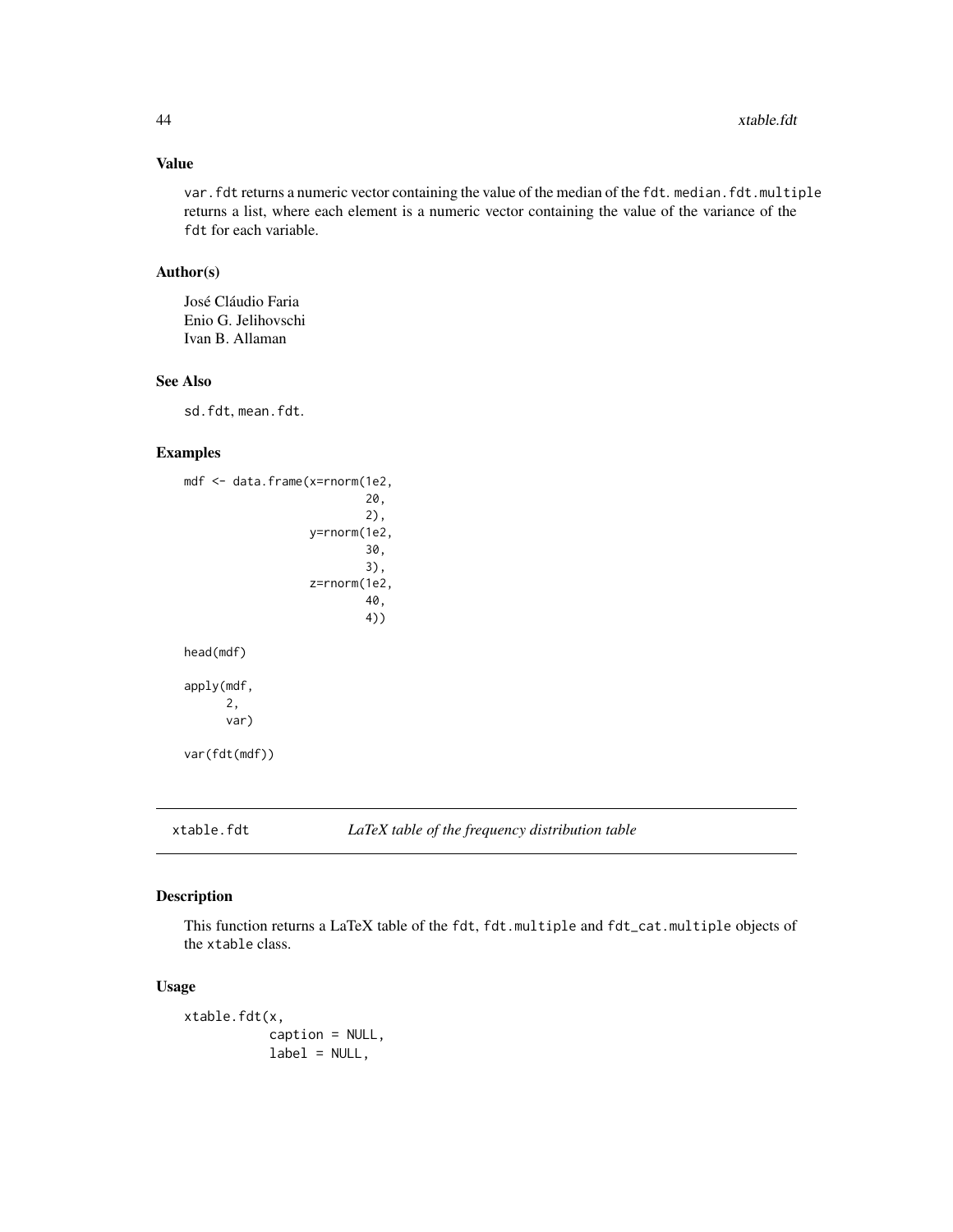# <span id="page-43-0"></span>Value

var.fdt returns a numeric vector containing the value of the median of the fdt. median.fdt.multiple returns a list, where each element is a numeric vector containing the value of the variance of the fdt for each variable.

# Author(s)

José Cláudio Faria Enio G. Jelihovschi Ivan B. Allaman

#### See Also

sd.fdt, mean.fdt.

# Examples

```
mdf <- data.frame(x=rnorm(1e2,
                           20,
                           2),
                   y=rnorm(1e2,
                           30,
                           3),
                   z=rnorm(1e2,
                           40,
                           4))
head(mdf)
apply(mdf,
      2,
      var)
var(fdt(mdf))
```
# xtable.fdt *LaTeX table of the frequency distribution table*

# Description

This function returns a LaTeX table of the fdt, fdt.multiple and fdt\_cat.multiple objects of the xtable class.

#### Usage

```
xtable.fdt(x,
           caption = NULL,
           label = NULL,
```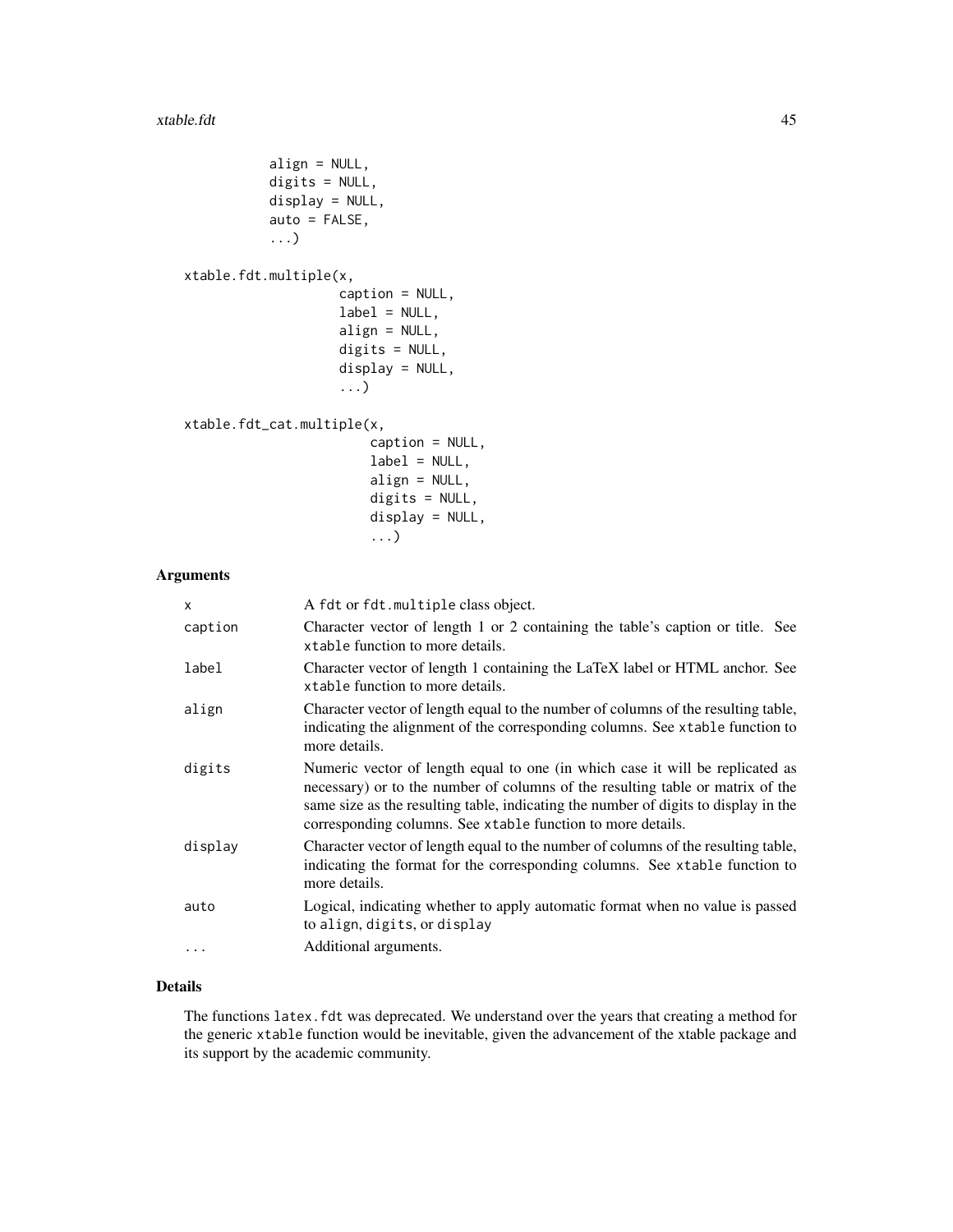```
align = NULL,
digits = NULL,
display = NULL,
auto = FALSE,
...)
```
xtable.fdt.multiple(x,

```
caption = NULL,
label = NULL,align = NULL,
digits = NULL,
display = NULL,
...)
```

```
xtable.fdt_cat.multiple(x,
```

```
caption = NULL,
label = NULL,align = NULL,
digits = NULL,
display = NULL,
...)
```
#### Arguments

| x                | A fdt or fdt.multiple class object.                                                                                                                                                                                                                                                                                   |
|------------------|-----------------------------------------------------------------------------------------------------------------------------------------------------------------------------------------------------------------------------------------------------------------------------------------------------------------------|
| caption          | Character vector of length 1 or 2 containing the table's caption or title. See<br>xtable function to more details.                                                                                                                                                                                                    |
| label            | Character vector of length 1 containing the LaTeX label or HTML anchor. See<br>xtable function to more details.                                                                                                                                                                                                       |
| align            | Character vector of length equal to the number of columns of the resulting table,<br>indicating the alignment of the corresponding columns. See xtable function to<br>more details.                                                                                                                                   |
| digits           | Numeric vector of length equal to one (in which case it will be replicated as<br>necessary) or to the number of columns of the resulting table or matrix of the<br>same size as the resulting table, indicating the number of digits to display in the<br>corresponding columns. See xtable function to more details. |
| display          | Character vector of length equal to the number of columns of the resulting table,<br>indicating the format for the corresponding columns. See xtable function to<br>more details.                                                                                                                                     |
| auto<br>$\cdots$ | Logical, indicating whether to apply automatic format when no value is passed<br>to align, digits, or display<br>Additional arguments.                                                                                                                                                                                |
|                  |                                                                                                                                                                                                                                                                                                                       |

# Details

The functions latex. fdt was deprecated. We understand over the years that creating a method for the generic xtable function would be inevitable, given the advancement of the xtable package and its support by the academic community.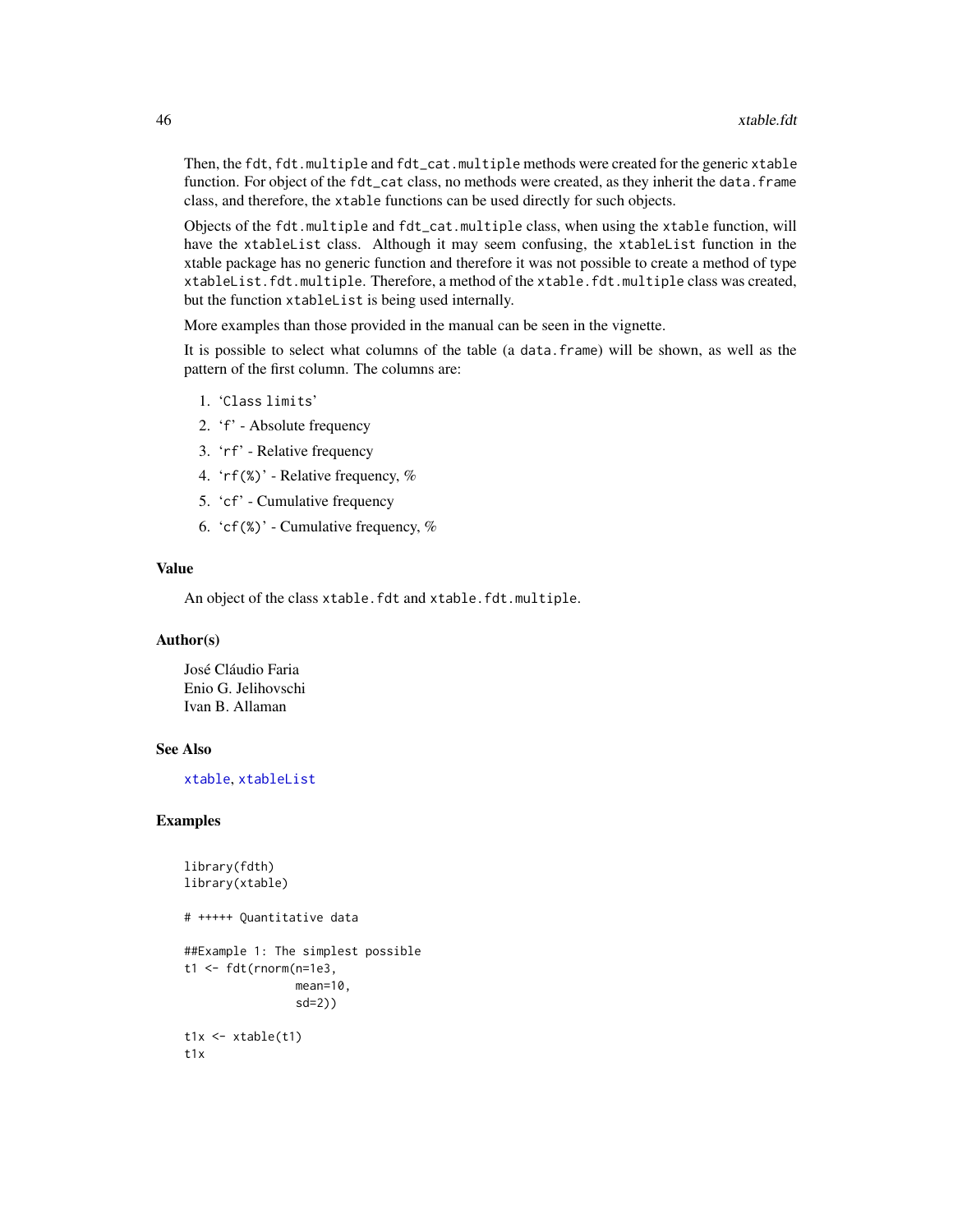Then, the fdt, fdt.multiple and fdt\_cat.multiple methods were created for the generic xtable function. For object of the fdt\_cat class, no methods were created, as they inherit the data. frame class, and therefore, the xtable functions can be used directly for such objects.

Objects of the fdt.multiple and fdt\_cat.multiple class, when using the xtable function, will have the xtableList class. Although it may seem confusing, the xtableList function in the xtable package has no generic function and therefore it was not possible to create a method of type xtableList.fdt.multiple. Therefore, a method of the xtable.fdt.multiple class was created, but the function xtableList is being used internally.

More examples than those provided in the manual can be seen in the vignette.

It is possible to select what columns of the table (a data.frame) will be shown, as well as the pattern of the first column. The columns are:

- 1. 'Class limits'
- 2. 'f' Absolute frequency
- 3. 'rf' Relative frequency
- 4. 'rf(%)' Relative frequency, %
- 5. 'cf' Cumulative frequency
- 6.  $\text{`cf}(\%)$ ' Cumulative frequency, %

#### Value

An object of the class xtable.fdt and xtable.fdt.multiple.

#### Author(s)

José Cláudio Faria Enio G. Jelihovschi Ivan B. Allaman

#### See Also

[xtable](#page-0-0), [xtableList](#page-0-0)

#### Examples

```
library(fdth)
library(xtable)
# +++++ Quantitative data
##Example 1: The simplest possible
t1 <- fdt(rnorm(n=1e3,
                mean=10,
                 sd=2))
t1x \leftarrow xtable(t1)t1x
```
<span id="page-45-0"></span>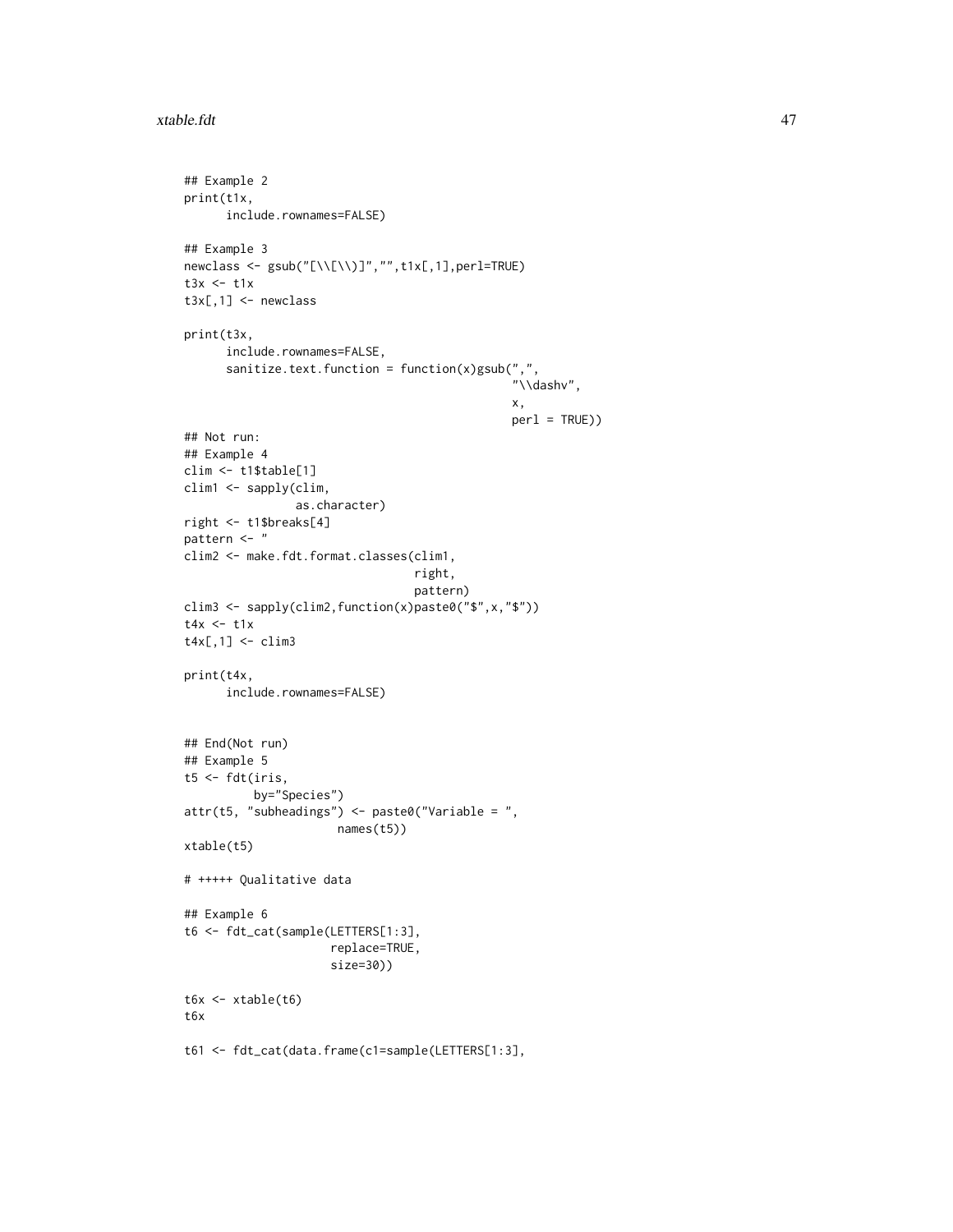#### xtable.fdt 47

```
## Example 2
print(t1x,
     include.rownames=FALSE)
## Example 3
newclass <- gsub("[\\[\\)]","",t1x[,1],perl=TRUE)
t3x < - t1xt3x[,1] <- newclass
print(t3x,
      include.rownames=FALSE,
      sanitize.text.function = function(x)gsub(",",
                                                "\\dashv",
                                                x,
                                                perl = TRUE))
## Not run:
## Example 4
clim <- t1$table[1]
clim1 <- sapply(clim,
                as.character)
right <- t1$breaks[4]
pattern <- "
clim2 <- make.fdt.format.classes(clim1,
                                 right,
                                 pattern)
clim3 <- sapply(clim2,function(x)paste0("$",x,"$"))
t4x < - t1xt4x[,1] <- clim3
print(t4x,
      include.rownames=FALSE)
## End(Not run)
## Example 5
t5 < - fdt(iris,
          by="Species")
attr(t5, "subheading") \leq paste0("Variable = ",names(t5))
xtable(t5)
# +++++ Qualitative data
## Example 6
t6 <- fdt_cat(sample(LETTERS[1:3],
                     replace=TRUE,
                     size=30))
t6x <- xtable(t6)
t6x
t61 <- fdt_cat(data.frame(c1=sample(LETTERS[1:3],
```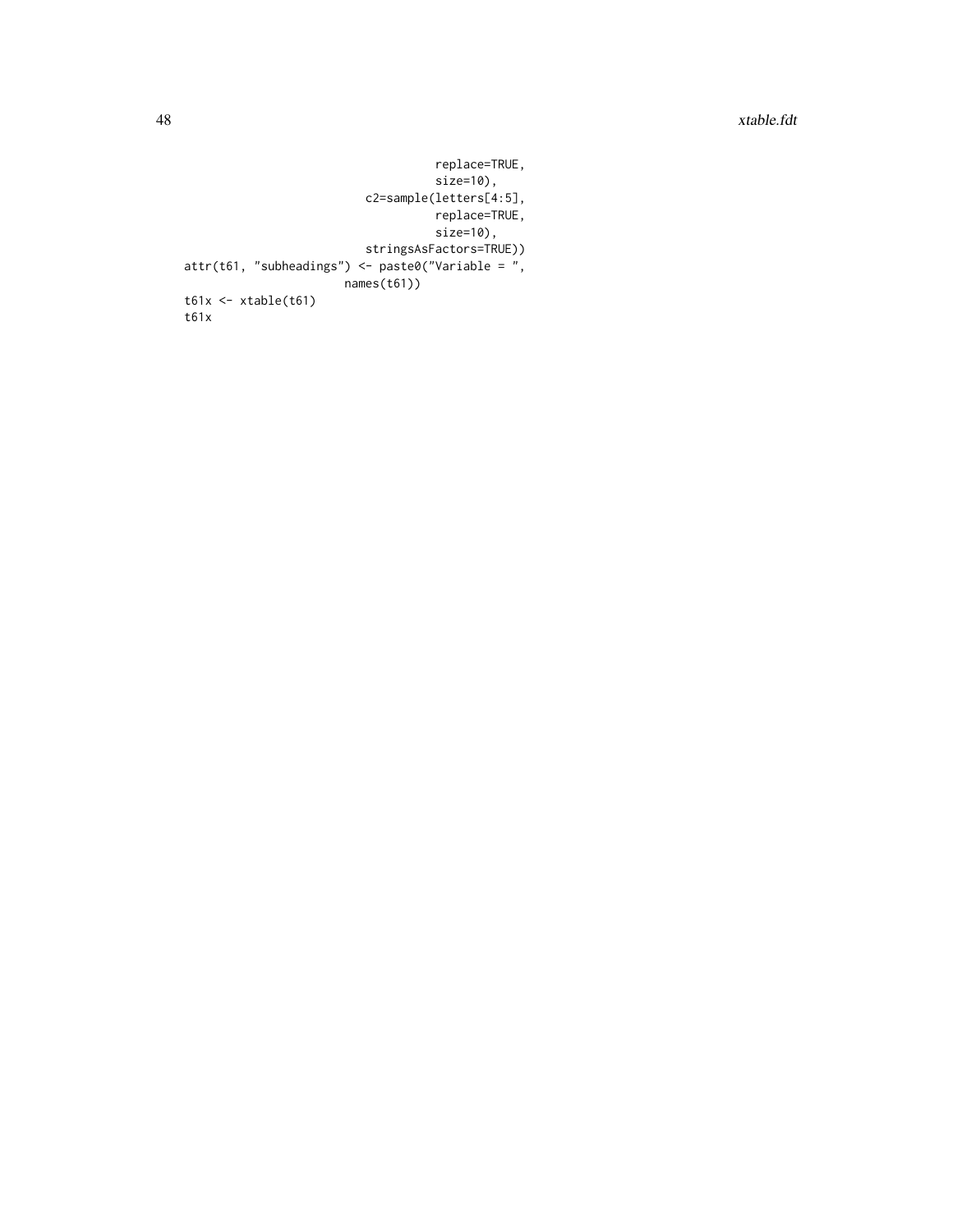```
replace=TRUE,
                                    size=10),
                          c2=sample(letters[4:5],
                                    replace=TRUE,
                                    size=10),
                          stringsAsFactors=TRUE))
attr(t61, "subheadings") \leq paste0("Variable = ",names(t61))
t61x \leftarrow xtable(t61)t61x
```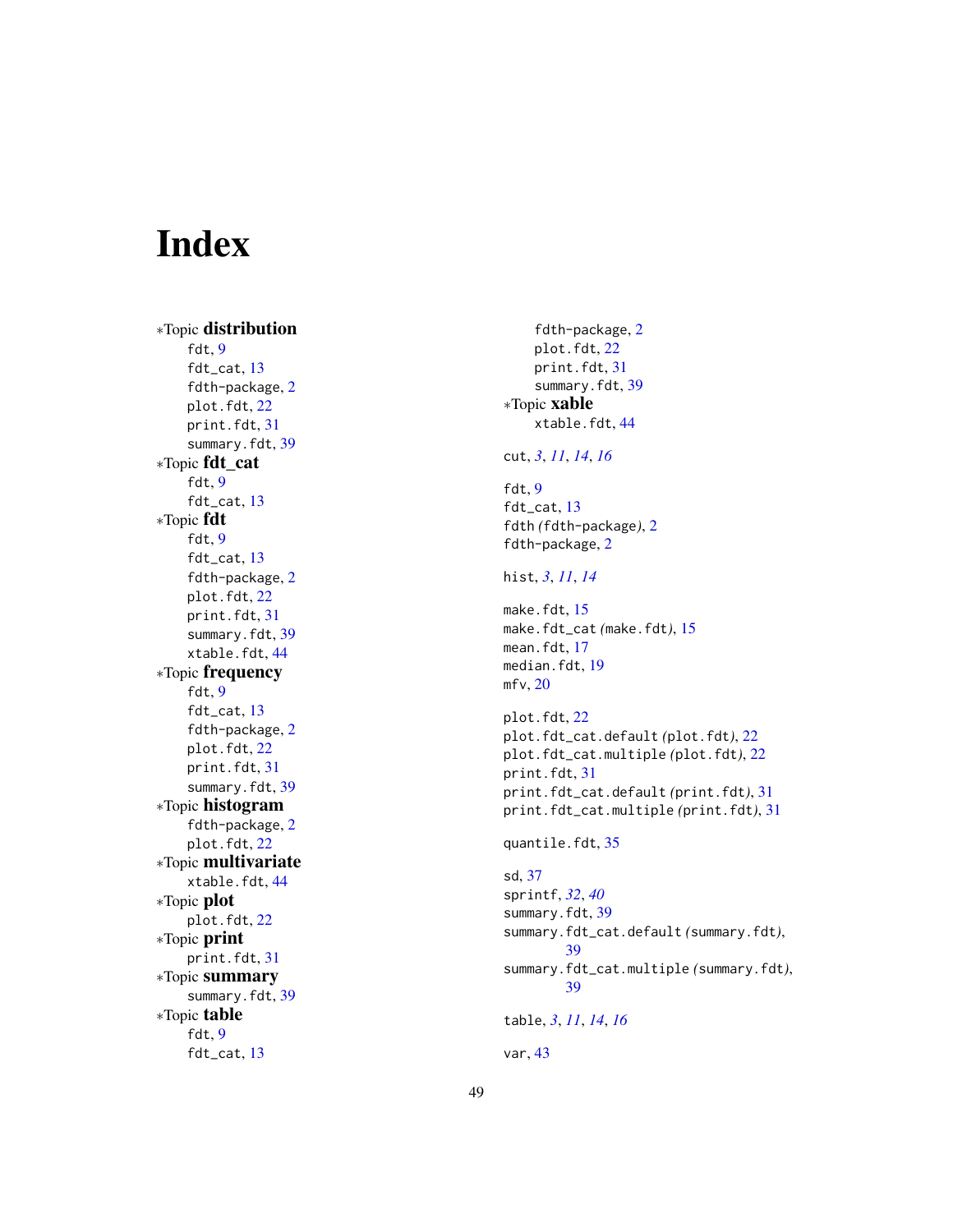# <span id="page-48-0"></span>Index

∗Topic distribution fdt , [9](#page-8-0) fdt\_cat , [13](#page-12-0) fdth-package , [2](#page-1-0) plot.fdt , [22](#page-21-0) print.fdt , [31](#page-30-0) summary.fdt , [39](#page-38-0) ∗Topic fdt\_cat fdt , [9](#page-8-0) fdt\_cat , [13](#page-12-0) ∗Topic fdt fdt , [9](#page-8-0) fdt\_cat , [13](#page-12-0) fdth-package , [2](#page-1-0) plot.fdt , [22](#page-21-0) print.fdt , [31](#page-30-0) summary.fdt , [39](#page-38-0) xtable.fdt , [44](#page-43-0) ∗Topic frequency fdt , [9](#page-8-0) fdt\_cat , [13](#page-12-0) fdth-package , [2](#page-1-0) plot.fdt , [22](#page-21-0) print.fdt , [31](#page-30-0) summary.fdt , [39](#page-38-0) ∗Topic histogram fdth-package , [2](#page-1-0) plot.fdt , [22](#page-21-0) ∗Topic multivariate xtable.fdt , [44](#page-43-0) ∗Topic plot plot.fdt , [22](#page-21-0) ∗Topic print print.fdt , [31](#page-30-0) ∗Topic summary summary.fdt , [39](#page-38-0) ∗Topic table fdt , [9](#page-8-0) fdt\_cat , [13](#page-12-0)

fdth-package , [2](#page-1-0) plot.fdt , [22](#page-21-0) print.fdt , [31](#page-30-0) summary.fdt, [39](#page-38-0) ∗Topic xable xtable.fdt , [44](#page-43-0) cut , *[3](#page-2-0)* , *[11](#page-10-0)* , *[14](#page-13-0)* , *[16](#page-15-0)* fdt , [9](#page-8-0) fdt\_cat , [13](#page-12-0) fdth *(*fdth-package *)* , [2](#page-1-0) fdth-package , [2](#page-1-0) hist , *[3](#page-2-0)* , *[11](#page-10-0)* , *[14](#page-13-0)* make.fdt, [15](#page-14-0) make.fdt\_cat *(*make.fdt *)* , [15](#page-14-0) mean.fdt, [17](#page-16-0) median.fdt,1<mark>9</mark> mfv , [20](#page-19-0) plot.fdt , [22](#page-21-0) plot.fdt\_cat.default *(*plot.fdt *)* , [22](#page-21-0) plot.fdt\_cat.multiple *(*plot.fdt *)* , [22](#page-21-0) print.fdt , [31](#page-30-0) print.fdt\_cat.default *(*print.fdt *)* , [31](#page-30-0) print.fdt\_cat.multiple *(*print.fdt *)* , [31](#page-30-0) quantile.fdt , [35](#page-34-0) sd , [37](#page-36-0) sprintf , *[32](#page-31-0)* , *[40](#page-39-0)* summary.fdt, [39](#page-38-0) summary.fdt\_cat.default *(*summary.fdt *)* , [39](#page-38-0) summary.fdt\_cat.multiple *(*summary.fdt *)* , [39](#page-38-0) table , *[3](#page-2-0)* , *[11](#page-10-0)* , *[14](#page-13-0)* , *[16](#page-15-0)* var , [43](#page-42-0)